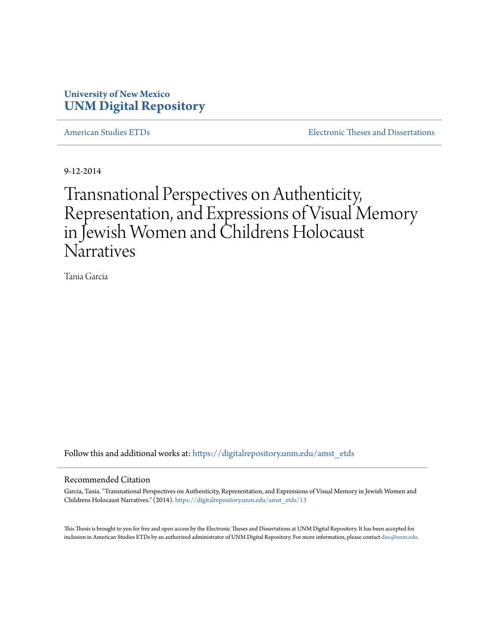### **University of New Mexico [UNM Digital Repository](https://digitalrepository.unm.edu?utm_source=digitalrepository.unm.edu%2Famst_etds%2F13&utm_medium=PDF&utm_campaign=PDFCoverPages)**

[American Studies ETDs](https://digitalrepository.unm.edu/amst_etds?utm_source=digitalrepository.unm.edu%2Famst_etds%2F13&utm_medium=PDF&utm_campaign=PDFCoverPages) **[Electronic Theses and Dissertations](https://digitalrepository.unm.edu/etds?utm_source=digitalrepository.unm.edu%2Famst_etds%2F13&utm_medium=PDF&utm_campaign=PDFCoverPages)** 

9-12-2014

# Transnational Perspectives on Authenticity, Representation, and Expressions of Visual Memory in Jewish Women and Childrens Holocaust **Narratives**

Tania Garcia

Follow this and additional works at: [https://digitalrepository.unm.edu/amst\\_etds](https://digitalrepository.unm.edu/amst_etds?utm_source=digitalrepository.unm.edu%2Famst_etds%2F13&utm_medium=PDF&utm_campaign=PDFCoverPages)

#### Recommended Citation

Garcia, Tania. "Transnational Perspectives on Authenticity, Representation, and Expressions of Visual Memory in Jewish Women and Childrens Holocaust Narratives." (2014). [https://digitalrepository.unm.edu/amst\\_etds/13](https://digitalrepository.unm.edu/amst_etds/13?utm_source=digitalrepository.unm.edu%2Famst_etds%2F13&utm_medium=PDF&utm_campaign=PDFCoverPages)

This Thesis is brought to you for free and open access by the Electronic Theses and Dissertations at UNM Digital Repository. It has been accepted for inclusion in American Studies ETDs by an authorized administrator of UNM Digital Repository. For more information, please contact [disc@unm.edu.](mailto:disc@unm.edu)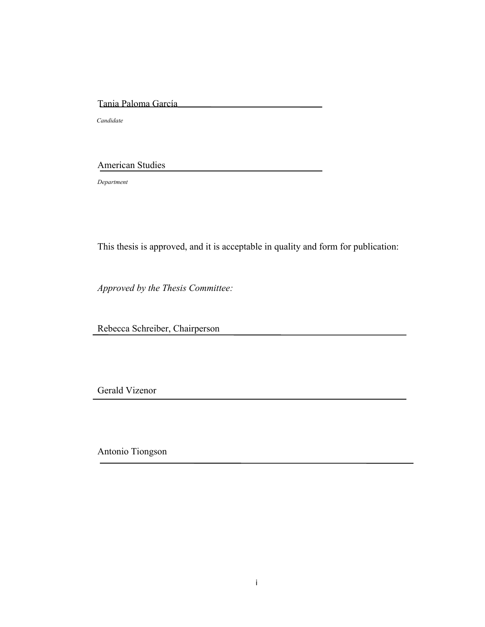### Tania Paloma García

 *Candidate*

### American Studies

*Department*

This thesis is approved, and it is acceptable in quality and form for publication:

*Approved by the Thesis Committee:*

Rebecca Schreiber, Chairperson

Gerald Vizenor

Antonio Tiongson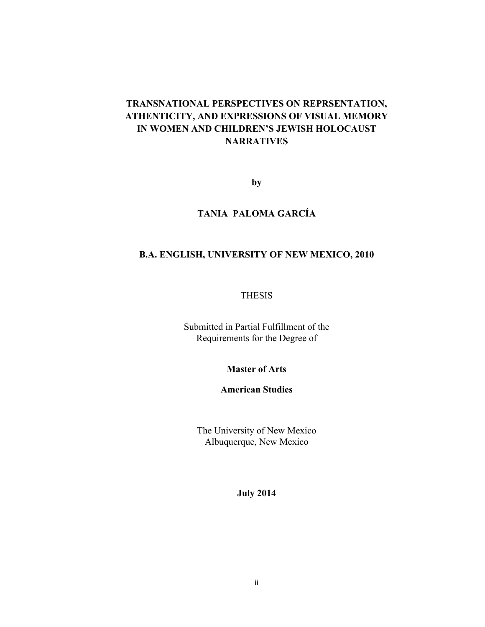### **TRANSNATIONAL PERSPECTIVES ON REPRSENTATION, ATHENTICITY, AND EXPRESSIONS OF VISUAL MEMORY IN WOMEN AND CHILDREN'S JEWISH HOLOCAUST NARRATIVES**

**by**

### **TANIA PALOMA GARCÍA**

### **B.A. ENGLISH, UNIVERSITY OF NEW MEXICO, 2010**

### THESIS

Submitted in Partial Fulfillment of the Requirements for the Degree of

**Master of Arts**

**American Studies**

The University of New Mexico Albuquerque, New Mexico

**July 2014**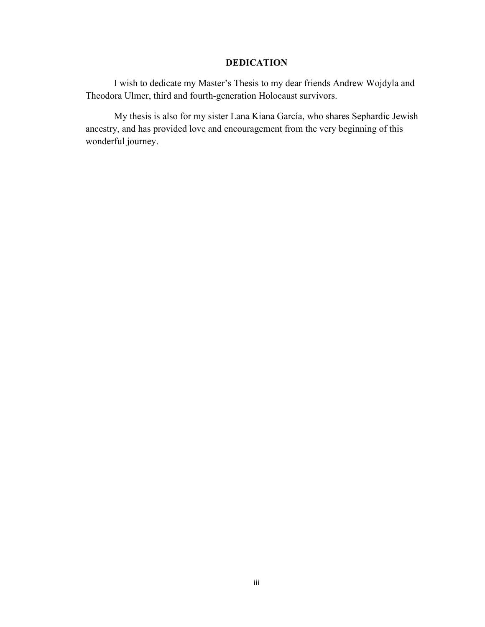### **DEDICATION**

I wish to dedicate my Master's Thesis to my dear friends Andrew Wojdyla and Theodora Ulmer, third and fourth-generation Holocaust survivors.

My thesis is also for my sister Lana Kiana García, who shares Sephardic Jewish ancestry, and has provided love and encouragement from the very beginning of this wonderful journey.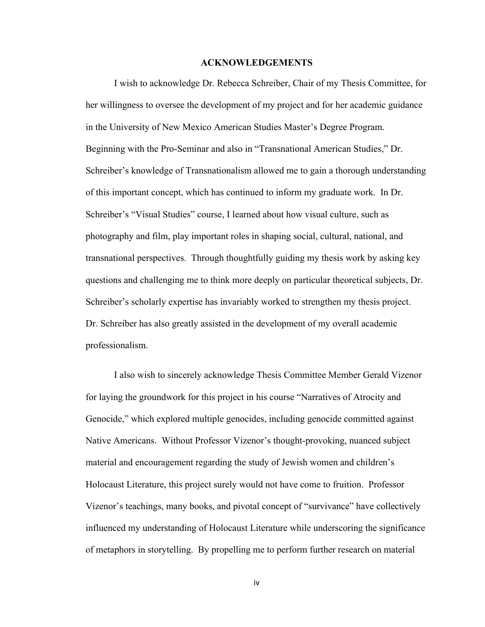### **ACKNOWLEDGEMENTS**

I wish to acknowledge Dr. Rebecca Schreiber, Chair of my Thesis Committee, for her willingness to oversee the development of my project and for her academic guidance in the University of New Mexico American Studies Master's Degree Program. Beginning with the Pro-Seminar and also in "Transnational American Studies," Dr. Schreiber's knowledge of Transnationalism allowed me to gain a thorough understanding of this important concept, which has continued to inform my graduate work. In Dr. Schreiber's "Visual Studies" course, I learned about how visual culture, such as photography and film, play important roles in shaping social, cultural, national, and transnational perspectives. Through thoughtfully guiding my thesis work by asking key questions and challenging me to think more deeply on particular theoretical subjects, Dr. Schreiber's scholarly expertise has invariably worked to strengthen my thesis project. Dr. Schreiber has also greatly assisted in the development of my overall academic professionalism.

I also wish to sincerely acknowledge Thesis Committee Member Gerald Vizenor for laying the groundwork for this project in his course "Narratives of Atrocity and Genocide," which explored multiple genocides, including genocide committed against Native Americans. Without Professor Vizenor's thought-provoking, nuanced subject material and encouragement regarding the study of Jewish women and children's Holocaust Literature, this project surely would not have come to fruition. Professor Vizenor's teachings, many books, and pivotal concept of "survivance" have collectively influenced my understanding of Holocaust Literature while underscoring the significance of metaphors in storytelling. By propelling me to perform further research on material

iv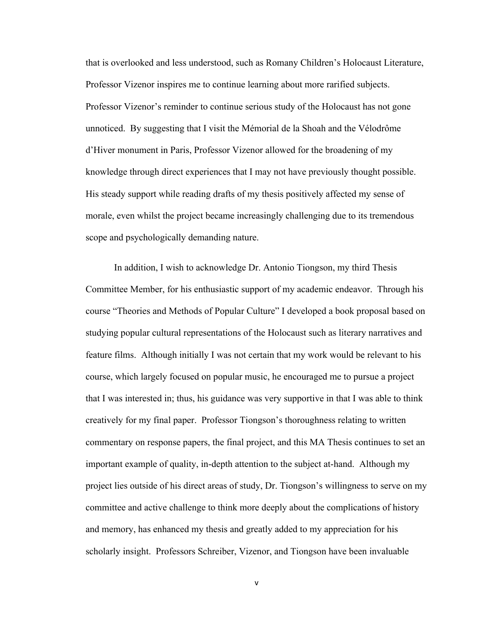that is overlooked and less understood, such as Romany Children's Holocaust Literature, Professor Vizenor inspires me to continue learning about more rarified subjects. Professor Vizenor's reminder to continue serious study of the Holocaust has not gone unnoticed. By suggesting that I visit the Mémorial de la Shoah and the Vélodrôme d'Hiver monument in Paris, Professor Vizenor allowed for the broadening of my knowledge through direct experiences that I may not have previously thought possible. His steady support while reading drafts of my thesis positively affected my sense of morale, even whilst the project became increasingly challenging due to its tremendous scope and psychologically demanding nature.

In addition, I wish to acknowledge Dr. Antonio Tiongson, my third Thesis Committee Member, for his enthusiastic support of my academic endeavor. Through his course "Theories and Methods of Popular Culture" I developed a book proposal based on studying popular cultural representations of the Holocaust such as literary narratives and feature films. Although initially I was not certain that my work would be relevant to his course, which largely focused on popular music, he encouraged me to pursue a project that I was interested in; thus, his guidance was very supportive in that I was able to think creatively for my final paper. Professor Tiongson's thoroughness relating to written commentary on response papers, the final project, and this MA Thesis continues to set an important example of quality, in-depth attention to the subject at-hand. Although my project lies outside of his direct areas of study, Dr. Tiongson's willingness to serve on my committee and active challenge to think more deeply about the complications of history and memory, has enhanced my thesis and greatly added to my appreciation for his scholarly insight. Professors Schreiber, Vizenor, and Tiongson have been invaluable

v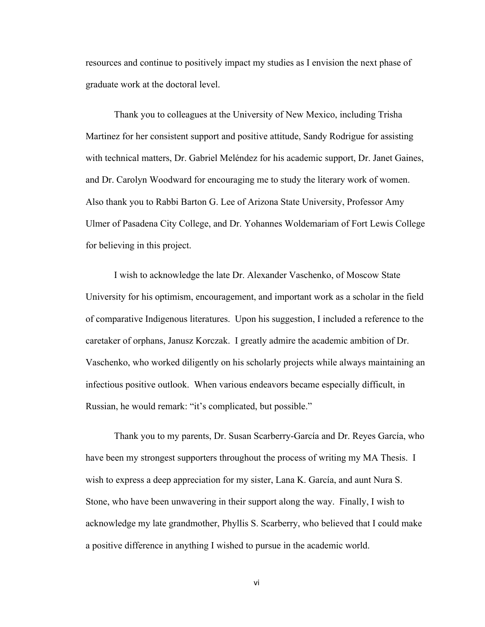resources and continue to positively impact my studies as I envision the next phase of graduate work at the doctoral level.

Thank you to colleagues at the University of New Mexico, including Trisha Martinez for her consistent support and positive attitude, Sandy Rodrigue for assisting with technical matters, Dr. Gabriel Meléndez for his academic support, Dr. Janet Gaines, and Dr. Carolyn Woodward for encouraging me to study the literary work of women. Also thank you to Rabbi Barton G. Lee of Arizona State University, Professor Amy Ulmer of Pasadena City College, and Dr. Yohannes Woldemariam of Fort Lewis College for believing in this project.

I wish to acknowledge the late Dr. Alexander Vaschenko, of Moscow State University for his optimism, encouragement, and important work as a scholar in the field of comparative Indigenous literatures. Upon his suggestion, I included a reference to the caretaker of orphans, Janusz Korczak. I greatly admire the academic ambition of Dr. Vaschenko, who worked diligently on his scholarly projects while always maintaining an infectious positive outlook. When various endeavors became especially difficult, in Russian, he would remark: "it's complicated, but possible."

Thank you to my parents, Dr. Susan Scarberry-García and Dr. Reyes García, who have been my strongest supporters throughout the process of writing my MA Thesis. I wish to express a deep appreciation for my sister, Lana K. García, and aunt Nura S. Stone, who have been unwavering in their support along the way. Finally, I wish to acknowledge my late grandmother, Phyllis S. Scarberry, who believed that I could make a positive difference in anything I wished to pursue in the academic world.

vi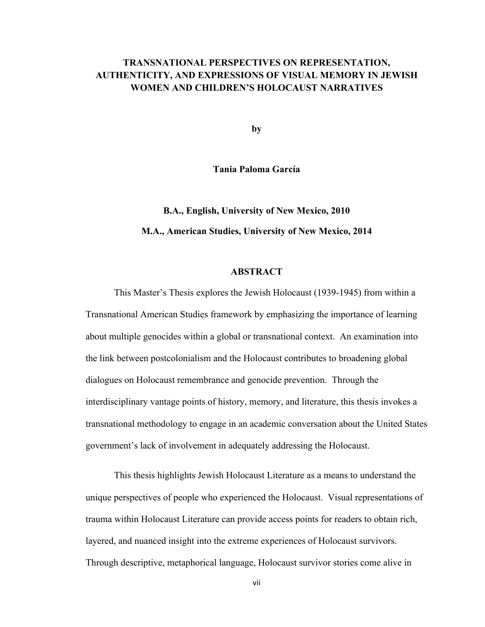### **TRANSNATIONAL PERSPECTIVES ON REPRESENTATION, AUTHENTICITY, AND EXPRESSIONS OF VISUAL MEMORY IN JEWISH WOMEN AND CHILDREN'S HOLOCAUST NARRATIVES**

**by**

**Tania Paloma García**

## **B.A., English, University of New Mexico, 2010 M.A., American Studies, University of New Mexico, 2014**

### **ABSTRACT**

This Master's Thesis explores the Jewish Holocaust (1939-1945) from within a Transnational American Studies framework by emphasizing the importance of learning about multiple genocides within a global or transnational context. An examination into the link between postcolonialism and the Holocaust contributes to broadening global dialogues on Holocaust remembrance and genocide prevention. Through the interdisciplinary vantage points of history, memory, and literature, this thesis invokes a transnational methodology to engage in an academic conversation about the United States government's lack of involvement in adequately addressing the Holocaust.

This thesis highlights Jewish Holocaust Literature as a means to understand the unique perspectives of people who experienced the Holocaust. Visual representations of trauma within Holocaust Literature can provide access points for readers to obtain rich, layered, and nuanced insight into the extreme experiences of Holocaust survivors. Through descriptive, metaphorical language, Holocaust survivor stories come alive in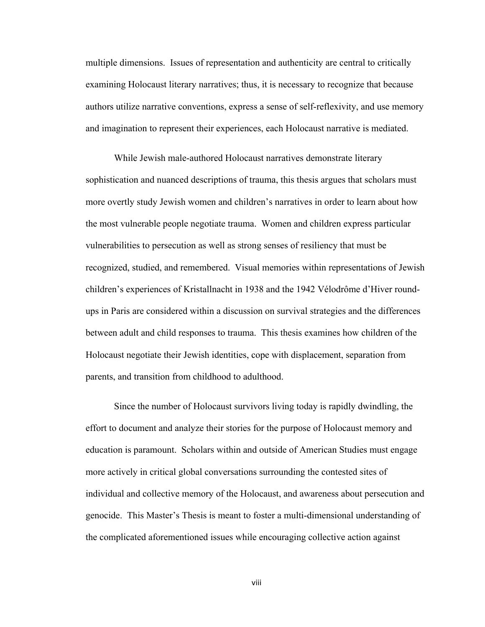multiple dimensions. Issues of representation and authenticity are central to critically examining Holocaust literary narratives; thus, it is necessary to recognize that because authors utilize narrative conventions, express a sense of self-reflexivity, and use memory and imagination to represent their experiences, each Holocaust narrative is mediated.

While Jewish male-authored Holocaust narratives demonstrate literary sophistication and nuanced descriptions of trauma, this thesis argues that scholars must more overtly study Jewish women and children's narratives in order to learn about how the most vulnerable people negotiate trauma. Women and children express particular vulnerabilities to persecution as well as strong senses of resiliency that must be recognized, studied, and remembered. Visual memories within representations of Jewish children's experiences of Kristallnacht in 1938 and the 1942 Vélodrôme d'Hiver roundups in Paris are considered within a discussion on survival strategies and the differences between adult and child responses to trauma. This thesis examines how children of the Holocaust negotiate their Jewish identities, cope with displacement, separation from parents, and transition from childhood to adulthood.

Since the number of Holocaust survivors living today is rapidly dwindling, the effort to document and analyze their stories for the purpose of Holocaust memory and education is paramount. Scholars within and outside of American Studies must engage more actively in critical global conversations surrounding the contested sites of individual and collective memory of the Holocaust, and awareness about persecution and genocide. This Master's Thesis is meant to foster a multi-dimensional understanding of the complicated aforementioned issues while encouraging collective action against

viii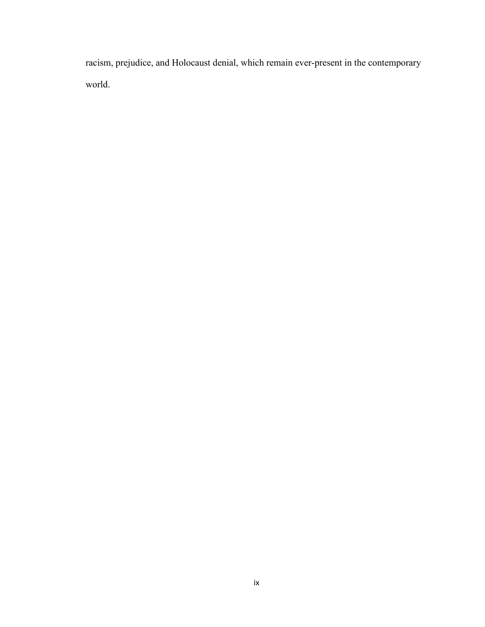racism, prejudice, and Holocaust denial, which remain ever-present in the contemporary world.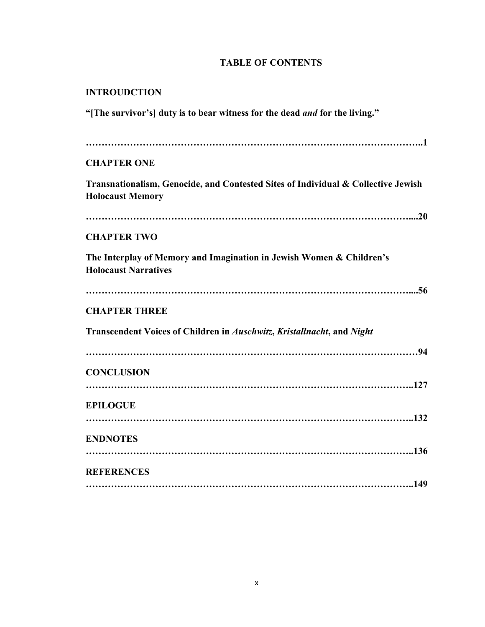### **TABLE OF CONTENTS**

### **INTROUDCTION**

**"[The survivor's] duty is to bear witness for the dead** *and* **for the living."**

| <b>CHAPTER ONE</b>                                                                                           |
|--------------------------------------------------------------------------------------------------------------|
| Transnationalism, Genocide, and Contested Sites of Individual & Collective Jewish<br><b>Holocaust Memory</b> |
|                                                                                                              |
| <b>CHAPTER TWO</b>                                                                                           |
| The Interplay of Memory and Imagination in Jewish Women & Children's<br><b>Holocaust Narratives</b>          |
|                                                                                                              |
| <b>CHAPTER THREE</b>                                                                                         |
| Transcendent Voices of Children in Auschwitz, Kristallnacht, and Night                                       |
|                                                                                                              |
| <b>CONCLUSION</b>                                                                                            |
|                                                                                                              |
| <b>EPILOGUE</b>                                                                                              |
| <b>ENDNOTES</b>                                                                                              |
|                                                                                                              |
| <b>REFERENCES</b>                                                                                            |
|                                                                                                              |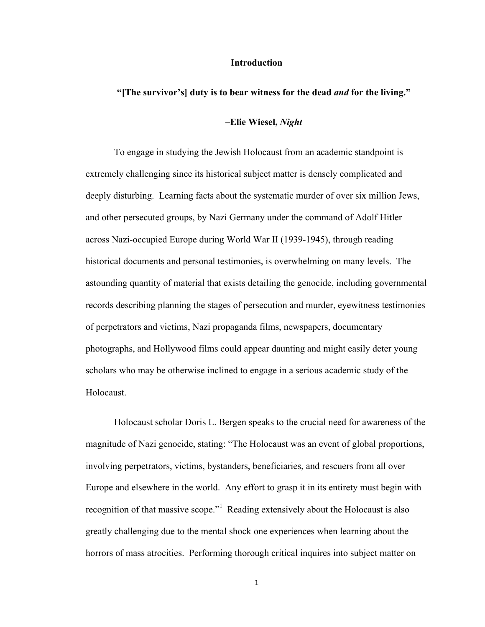#### **Introduction**

#### **"[The survivor's] duty is to bear witness for the dead** *and* **for the living."**

### **–Elie Wiesel,** *Night*

To engage in studying the Jewish Holocaust from an academic standpoint is extremely challenging since its historical subject matter is densely complicated and deeply disturbing. Learning facts about the systematic murder of over six million Jews, and other persecuted groups, by Nazi Germany under the command of Adolf Hitler across Nazi-occupied Europe during World War II (1939-1945), through reading historical documents and personal testimonies, is overwhelming on many levels. The astounding quantity of material that exists detailing the genocide, including governmental records describing planning the stages of persecution and murder, eyewitness testimonies of perpetrators and victims, Nazi propaganda films, newspapers, documentary photographs, and Hollywood films could appear daunting and might easily deter young scholars who may be otherwise inclined to engage in a serious academic study of the Holocaust.

Holocaust scholar Doris L. Bergen speaks to the crucial need for awareness of the magnitude of Nazi genocide, stating: "The Holocaust was an event of global proportions, involving perpetrators, victims, bystanders, beneficiaries, and rescuers from all over Europe and elsewhere in the world. Any effort to grasp it in its entirety must begin with recognition of that massive scope."<sup>1</sup> Reading extensively about the Holocaust is also greatly challenging due to the mental shock one experiences when learning about the horrors of mass atrocities. Performing thorough critical inquires into subject matter on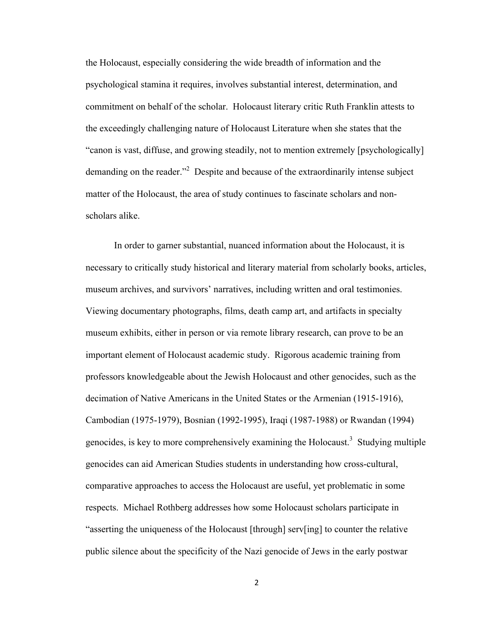the Holocaust, especially considering the wide breadth of information and the psychological stamina it requires, involves substantial interest, determination, and commitment on behalf of the scholar. Holocaust literary critic Ruth Franklin attests to the exceedingly challenging nature of Holocaust Literature when she states that the "canon is vast, diffuse, and growing steadily, not to mention extremely [psychologically] demanding on the reader."<sup>2</sup> Despite and because of the extraordinarily intense subject matter of the Holocaust, the area of study continues to fascinate scholars and nonscholars alike.

In order to garner substantial, nuanced information about the Holocaust, it is necessary to critically study historical and literary material from scholarly books, articles, museum archives, and survivors' narratives, including written and oral testimonies. Viewing documentary photographs, films, death camp art, and artifacts in specialty museum exhibits, either in person or via remote library research, can prove to be an important element of Holocaust academic study. Rigorous academic training from professors knowledgeable about the Jewish Holocaust and other genocides, such as the decimation of Native Americans in the United States or the Armenian (1915-1916), Cambodian (1975-1979), Bosnian (1992-1995), Iraqi (1987-1988) or Rwandan (1994) genocides, is key to more comprehensively examining the Holocaust.<sup>3</sup> Studying multiple genocides can aid American Studies students in understanding how cross-cultural, comparative approaches to access the Holocaust are useful, yet problematic in some respects. Michael Rothberg addresses how some Holocaust scholars participate in "asserting the uniqueness of the Holocaust [through] serv[ing] to counter the relative public silence about the specificity of the Nazi genocide of Jews in the early postwar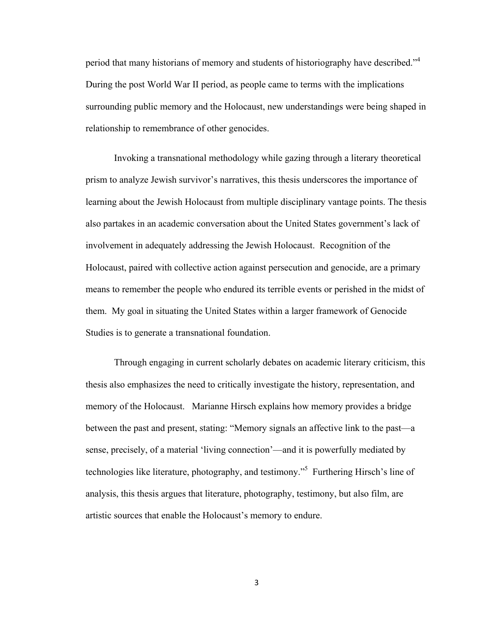period that many historians of memory and students of historiography have described."<sup>4</sup> During the post World War II period, as people came to terms with the implications surrounding public memory and the Holocaust, new understandings were being shaped in relationship to remembrance of other genocides.

Invoking a transnational methodology while gazing through a literary theoretical prism to analyze Jewish survivor's narratives, this thesis underscores the importance of learning about the Jewish Holocaust from multiple disciplinary vantage points. The thesis also partakes in an academic conversation about the United States government's lack of involvement in adequately addressing the Jewish Holocaust. Recognition of the Holocaust, paired with collective action against persecution and genocide, are a primary means to remember the people who endured its terrible events or perished in the midst of them. My goal in situating the United States within a larger framework of Genocide Studies is to generate a transnational foundation.

Through engaging in current scholarly debates on academic literary criticism, this thesis also emphasizes the need to critically investigate the history, representation, and memory of the Holocaust. Marianne Hirsch explains how memory provides a bridge between the past and present, stating: "Memory signals an affective link to the past—a sense, precisely, of a material 'living connection'—and it is powerfully mediated by technologies like literature, photography, and testimony."<sup>5</sup> Furthering Hirsch's line of analysis, this thesis argues that literature, photography, testimony, but also film, are artistic sources that enable the Holocaust's memory to endure.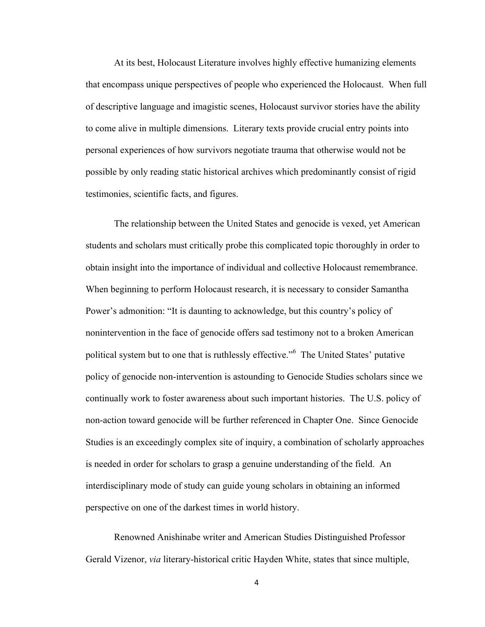At its best, Holocaust Literature involves highly effective humanizing elements that encompass unique perspectives of people who experienced the Holocaust. When full of descriptive language and imagistic scenes, Holocaust survivor stories have the ability to come alive in multiple dimensions. Literary texts provide crucial entry points into personal experiences of how survivors negotiate trauma that otherwise would not be possible by only reading static historical archives which predominantly consist of rigid testimonies, scientific facts, and figures.

The relationship between the United States and genocide is vexed, yet American students and scholars must critically probe this complicated topic thoroughly in order to obtain insight into the importance of individual and collective Holocaust remembrance. When beginning to perform Holocaust research, it is necessary to consider Samantha Power's admonition: "It is daunting to acknowledge, but this country's policy of nonintervention in the face of genocide offers sad testimony not to a broken American political system but to one that is ruthlessly effective."6 The United States' putative policy of genocide non-intervention is astounding to Genocide Studies scholars since we continually work to foster awareness about such important histories. The U.S. policy of non-action toward genocide will be further referenced in Chapter One. Since Genocide Studies is an exceedingly complex site of inquiry, a combination of scholarly approaches is needed in order for scholars to grasp a genuine understanding of the field. An interdisciplinary mode of study can guide young scholars in obtaining an informed perspective on one of the darkest times in world history.

Renowned Anishinabe writer and American Studies Distinguished Professor Gerald Vizenor, *via* literary-historical critic Hayden White, states that since multiple,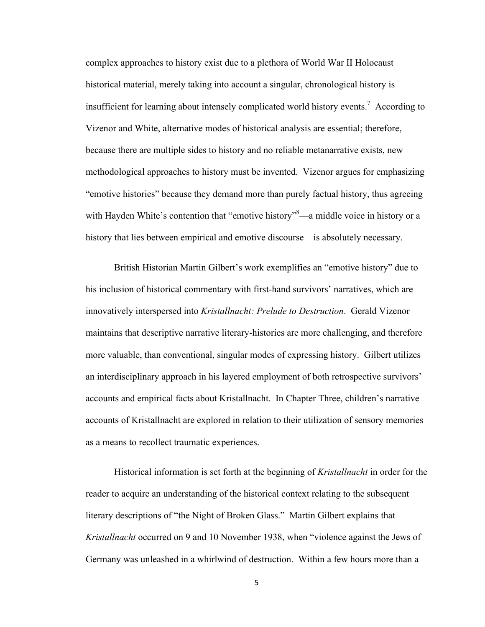complex approaches to history exist due to a plethora of World War II Holocaust historical material, merely taking into account a singular, chronological history is insufficient for learning about intensely complicated world history events. 7 According to Vizenor and White, alternative modes of historical analysis are essential; therefore, because there are multiple sides to history and no reliable metanarrative exists, new methodological approaches to history must be invented. Vizenor argues for emphasizing "emotive histories" because they demand more than purely factual history, thus agreeing with Hayden White's contention that "emotive history"<sup>8</sup>—a middle voice in history or a history that lies between empirical and emotive discourse—is absolutely necessary.

British Historian Martin Gilbert's work exemplifies an "emotive history" due to his inclusion of historical commentary with first-hand survivors' narratives, which are innovatively interspersed into *Kristallnacht: Prelude to Destruction*. Gerald Vizenor maintains that descriptive narrative literary-histories are more challenging, and therefore more valuable, than conventional, singular modes of expressing history. Gilbert utilizes an interdisciplinary approach in his layered employment of both retrospective survivors' accounts and empirical facts about Kristallnacht. In Chapter Three, children's narrative accounts of Kristallnacht are explored in relation to their utilization of sensory memories as a means to recollect traumatic experiences.

Historical information is set forth at the beginning of *Kristallnacht* in order for the reader to acquire an understanding of the historical context relating to the subsequent literary descriptions of "the Night of Broken Glass." Martin Gilbert explains that *Kristallnacht* occurred on 9 and 10 November 1938, when "violence against the Jews of Germany was unleashed in a whirlwind of destruction. Within a few hours more than a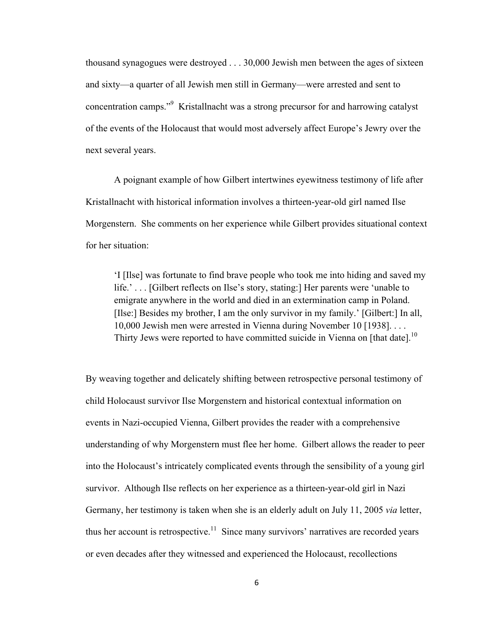thousand synagogues were destroyed . . . 30,000 Jewish men between the ages of sixteen and sixty—a quarter of all Jewish men still in Germany—were arrested and sent to concentration camps."<sup>9</sup> Kristallnacht was a strong precursor for and harrowing catalyst of the events of the Holocaust that would most adversely affect Europe's Jewry over the next several years.

A poignant example of how Gilbert intertwines eyewitness testimony of life after Kristallnacht with historical information involves a thirteen-year-old girl named Ilse Morgenstern. She comments on her experience while Gilbert provides situational context for her situation:

'I [Ilse] was fortunate to find brave people who took me into hiding and saved my life.' . . . [Gilbert reflects on Ilse's story, stating:] Her parents were 'unable to emigrate anywhere in the world and died in an extermination camp in Poland. [Ilse:] Besides my brother, I am the only survivor in my family.' [Gilbert:] In all, 10,000 Jewish men were arrested in Vienna during November 10 [1938]. . . . Thirty Jews were reported to have committed suicide in Vienna on [that date].<sup>10</sup>

By weaving together and delicately shifting between retrospective personal testimony of child Holocaust survivor Ilse Morgenstern and historical contextual information on events in Nazi-occupied Vienna, Gilbert provides the reader with a comprehensive understanding of why Morgenstern must flee her home. Gilbert allows the reader to peer into the Holocaust's intricately complicated events through the sensibility of a young girl survivor. Although Ilse reflects on her experience as a thirteen-year-old girl in Nazi Germany, her testimony is taken when she is an elderly adult on July 11, 2005 *via* letter, thus her account is retrospective.<sup>11</sup> Since many survivors' narratives are recorded years or even decades after they witnessed and experienced the Holocaust, recollections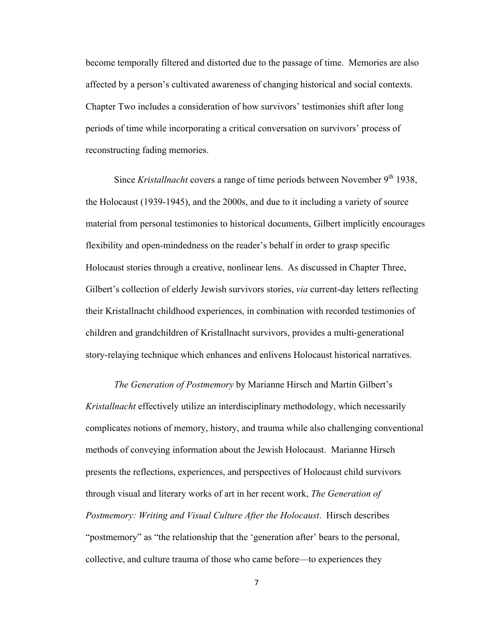become temporally filtered and distorted due to the passage of time. Memories are also affected by a person's cultivated awareness of changing historical and social contexts. Chapter Two includes a consideration of how survivors' testimonies shift after long periods of time while incorporating a critical conversation on survivors' process of reconstructing fading memories.

Since *Kristallnacht* covers a range of time periods between November 9<sup>th</sup> 1938, the Holocaust (1939-1945), and the 2000s, and due to it including a variety of source material from personal testimonies to historical documents, Gilbert implicitly encourages flexibility and open-mindedness on the reader's behalf in order to grasp specific Holocaust stories through a creative, nonlinear lens. As discussed in Chapter Three, Gilbert's collection of elderly Jewish survivors stories, *via* current-day letters reflecting their Kristallnacht childhood experiences, in combination with recorded testimonies of children and grandchildren of Kristallnacht survivors, provides a multi-generational story-relaying technique which enhances and enlivens Holocaust historical narratives.

*The Generation of Postmemory* by Marianne Hirsch and Martin Gilbert's *Kristallnacht* effectively utilize an interdisciplinary methodology, which necessarily complicates notions of memory, history, and trauma while also challenging conventional methods of conveying information about the Jewish Holocaust. Marianne Hirsch presents the reflections, experiences, and perspectives of Holocaust child survivors through visual and literary works of art in her recent work, *The Generation of Postmemory: Writing and Visual Culture After the Holocaust*. Hirsch describes "postmemory" as "the relationship that the 'generation after' bears to the personal, collective, and culture trauma of those who came before—to experiences they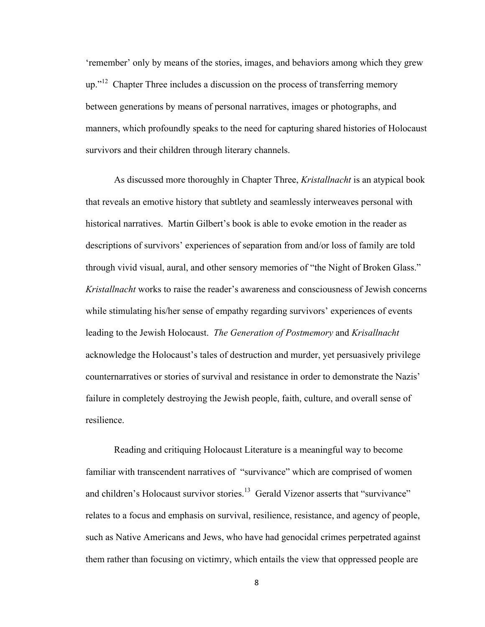'remember' only by means of the stories, images, and behaviors among which they grew  $up.^{12}$  Chapter Three includes a discussion on the process of transferring memory between generations by means of personal narratives, images or photographs, and manners, which profoundly speaks to the need for capturing shared histories of Holocaust survivors and their children through literary channels.

As discussed more thoroughly in Chapter Three, *Kristallnacht* is an atypical book that reveals an emotive history that subtlety and seamlessly interweaves personal with historical narratives. Martin Gilbert's book is able to evoke emotion in the reader as descriptions of survivors' experiences of separation from and/or loss of family are told through vivid visual, aural, and other sensory memories of "the Night of Broken Glass." *Kristallnacht* works to raise the reader's awareness and consciousness of Jewish concerns while stimulating his/her sense of empathy regarding survivors' experiences of events leading to the Jewish Holocaust. *The Generation of Postmemory* and *Krisallnacht* acknowledge the Holocaust's tales of destruction and murder, yet persuasively privilege counternarratives or stories of survival and resistance in order to demonstrate the Nazis' failure in completely destroying the Jewish people, faith, culture, and overall sense of resilience.

Reading and critiquing Holocaust Literature is a meaningful way to become familiar with transcendent narratives of "survivance" which are comprised of women and children's Holocaust survivor stories.<sup>13</sup> Gerald Vizenor asserts that "survivance" relates to a focus and emphasis on survival, resilience, resistance, and agency of people, such as Native Americans and Jews, who have had genocidal crimes perpetrated against them rather than focusing on victimry, which entails the view that oppressed people are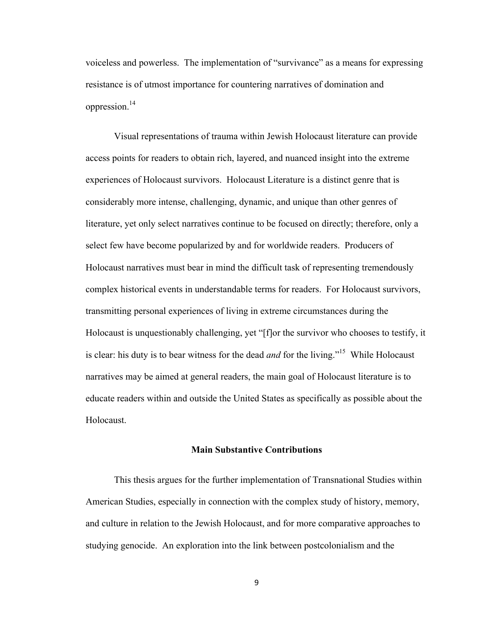voiceless and powerless. The implementation of "survivance" as a means for expressing resistance is of utmost importance for countering narratives of domination and oppression.14

Visual representations of trauma within Jewish Holocaust literature can provide access points for readers to obtain rich, layered, and nuanced insight into the extreme experiences of Holocaust survivors. Holocaust Literature is a distinct genre that is considerably more intense, challenging, dynamic, and unique than other genres of literature, yet only select narratives continue to be focused on directly; therefore, only a select few have become popularized by and for worldwide readers. Producers of Holocaust narratives must bear in mind the difficult task of representing tremendously complex historical events in understandable terms for readers. For Holocaust survivors, transmitting personal experiences of living in extreme circumstances during the Holocaust is unquestionably challenging, yet "[f]or the survivor who chooses to testify, it is clear: his duty is to bear witness for the dead *and* for the living."15 While Holocaust narratives may be aimed at general readers, the main goal of Holocaust literature is to educate readers within and outside the United States as specifically as possible about the **Holocaust** 

#### **Main Substantive Contributions**

This thesis argues for the further implementation of Transnational Studies within American Studies, especially in connection with the complex study of history, memory, and culture in relation to the Jewish Holocaust, and for more comparative approaches to studying genocide. An exploration into the link between postcolonialism and the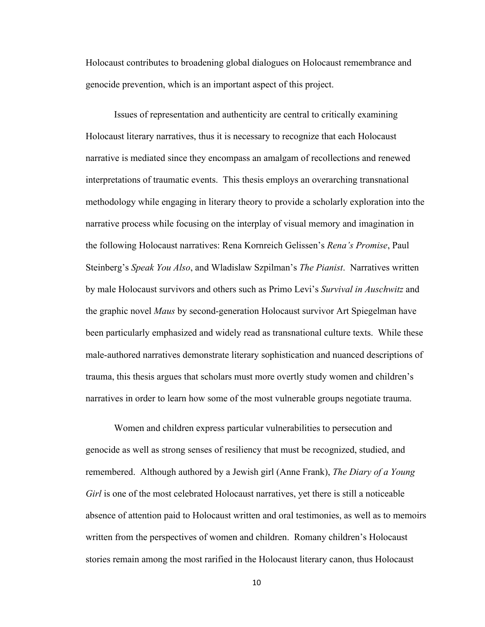Holocaust contributes to broadening global dialogues on Holocaust remembrance and genocide prevention, which is an important aspect of this project.

Issues of representation and authenticity are central to critically examining Holocaust literary narratives, thus it is necessary to recognize that each Holocaust narrative is mediated since they encompass an amalgam of recollections and renewed interpretations of traumatic events. This thesis employs an overarching transnational methodology while engaging in literary theory to provide a scholarly exploration into the narrative process while focusing on the interplay of visual memory and imagination in the following Holocaust narratives: Rena Kornreich Gelissen's *Rena's Promise*, Paul Steinberg's *Speak You Also*, and Wladislaw Szpilman's *The Pianist*. Narratives written by male Holocaust survivors and others such as Primo Levi's *Survival in Auschwitz* and the graphic novel *Maus* by second-generation Holocaust survivor Art Spiegelman have been particularly emphasized and widely read as transnational culture texts. While these male-authored narratives demonstrate literary sophistication and nuanced descriptions of trauma, this thesis argues that scholars must more overtly study women and children's narratives in order to learn how some of the most vulnerable groups negotiate trauma.

Women and children express particular vulnerabilities to persecution and genocide as well as strong senses of resiliency that must be recognized, studied, and remembered. Although authored by a Jewish girl (Anne Frank), *The Diary of a Young Girl* is one of the most celebrated Holocaust narratives, yet there is still a noticeable absence of attention paid to Holocaust written and oral testimonies, as well as to memoirs written from the perspectives of women and children. Romany children's Holocaust stories remain among the most rarified in the Holocaust literary canon, thus Holocaust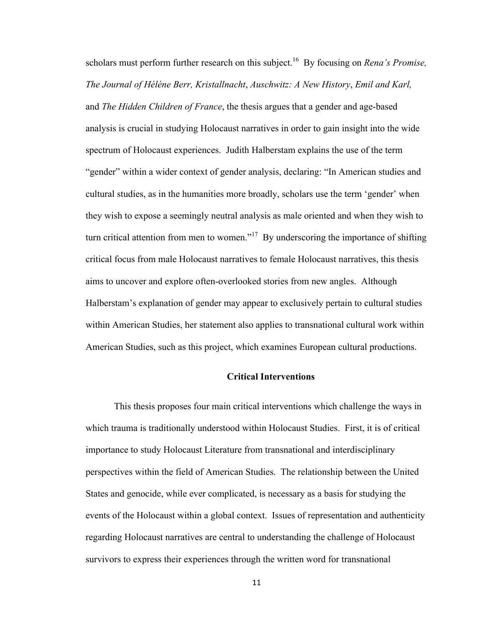scholars must perform further research on this subject.<sup>16</sup> By focusing on *Rena's Promise*, *The Journal of Hélène Berr, Kristallnacht*, *Auschwitz: A New History*, *Emil and Karl,*  and *The Hidden Children of France*, the thesis argues that a gender and age-based analysis is crucial in studying Holocaust narratives in order to gain insight into the wide spectrum of Holocaust experiences. Judith Halberstam explains the use of the term "gender" within a wider context of gender analysis, declaring: "In American studies and cultural studies, as in the humanities more broadly, scholars use the term 'gender' when they wish to expose a seemingly neutral analysis as male oriented and when they wish to turn critical attention from men to women."<sup>17</sup> By underscoring the importance of shifting critical focus from male Holocaust narratives to female Holocaust narratives, this thesis aims to uncover and explore often-overlooked stories from new angles. Although Halberstam's explanation of gender may appear to exclusively pertain to cultural studies within American Studies, her statement also applies to transnational cultural work within American Studies, such as this project, which examines European cultural productions.

### **Critical Interventions**

This thesis proposes four main critical interventions which challenge the ways in which trauma is traditionally understood within Holocaust Studies. First, it is of critical importance to study Holocaust Literature from transnational and interdisciplinary perspectives within the field of American Studies. The relationship between the United States and genocide, while ever complicated, is necessary as a basis for studying the events of the Holocaust within a global context. Issues of representation and authenticity regarding Holocaust narratives are central to understanding the challenge of Holocaust survivors to express their experiences through the written word for transnational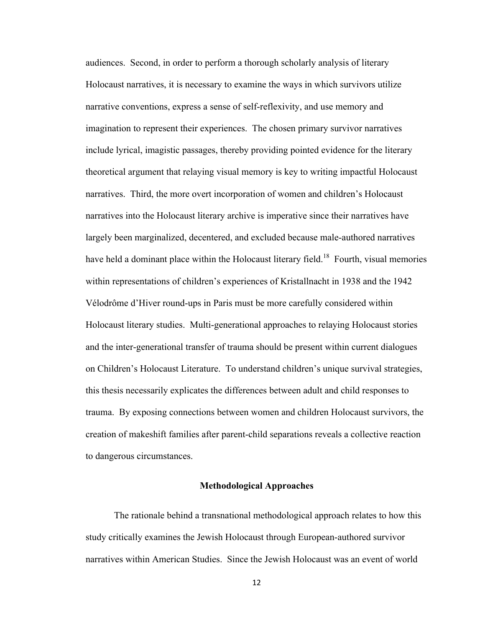audiences. Second, in order to perform a thorough scholarly analysis of literary Holocaust narratives, it is necessary to examine the ways in which survivors utilize narrative conventions, express a sense of self-reflexivity, and use memory and imagination to represent their experiences. The chosen primary survivor narratives include lyrical, imagistic passages, thereby providing pointed evidence for the literary theoretical argument that relaying visual memory is key to writing impactful Holocaust narratives. Third, the more overt incorporation of women and children's Holocaust narratives into the Holocaust literary archive is imperative since their narratives have largely been marginalized, decentered, and excluded because male-authored narratives have held a dominant place within the Holocaust literary field.<sup>18</sup> Fourth, visual memories within representations of children's experiences of Kristallnacht in 1938 and the 1942 Vélodrôme d'Hiver round-ups in Paris must be more carefully considered within Holocaust literary studies. Multi-generational approaches to relaying Holocaust stories and the inter-generational transfer of trauma should be present within current dialogues on Children's Holocaust Literature. To understand children's unique survival strategies, this thesis necessarily explicates the differences between adult and child responses to trauma. By exposing connections between women and children Holocaust survivors, the creation of makeshift families after parent-child separations reveals a collective reaction to dangerous circumstances.

### **Methodological Approaches**

The rationale behind a transnational methodological approach relates to how this study critically examines the Jewish Holocaust through European-authored survivor narratives within American Studies. Since the Jewish Holocaust was an event of world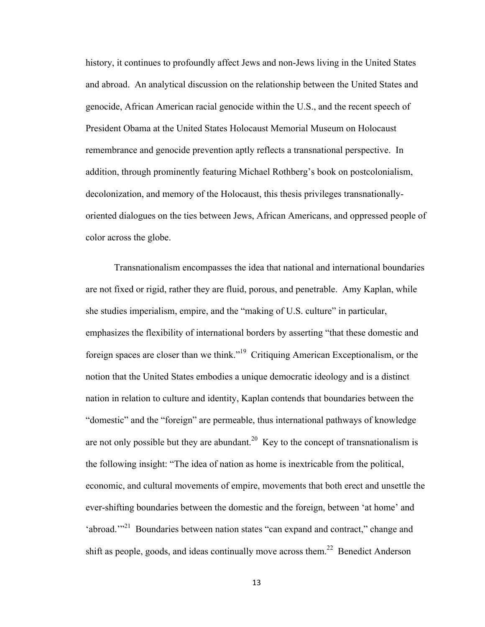history, it continues to profoundly affect Jews and non-Jews living in the United States and abroad. An analytical discussion on the relationship between the United States and genocide, African American racial genocide within the U.S., and the recent speech of President Obama at the United States Holocaust Memorial Museum on Holocaust remembrance and genocide prevention aptly reflects a transnational perspective. In addition, through prominently featuring Michael Rothberg's book on postcolonialism, decolonization, and memory of the Holocaust, this thesis privileges transnationallyoriented dialogues on the ties between Jews, African Americans, and oppressed people of color across the globe.

Transnationalism encompasses the idea that national and international boundaries are not fixed or rigid, rather they are fluid, porous, and penetrable. Amy Kaplan, while she studies imperialism, empire, and the "making of U.S. culture" in particular, emphasizes the flexibility of international borders by asserting "that these domestic and foreign spaces are closer than we think."19 Critiquing American Exceptionalism, or the notion that the United States embodies a unique democratic ideology and is a distinct nation in relation to culture and identity, Kaplan contends that boundaries between the "domestic" and the "foreign" are permeable, thus international pathways of knowledge are not only possible but they are abundant.<sup>20</sup> Key to the concept of transnationalism is the following insight: "The idea of nation as home is inextricable from the political, economic, and cultural movements of empire, movements that both erect and unsettle the ever-shifting boundaries between the domestic and the foreign, between 'at home' and 'abroad.'"<sup>21</sup> Boundaries between nation states "can expand and contract," change and shift as people, goods, and ideas continually move across them.<sup>22</sup> Benedict Anderson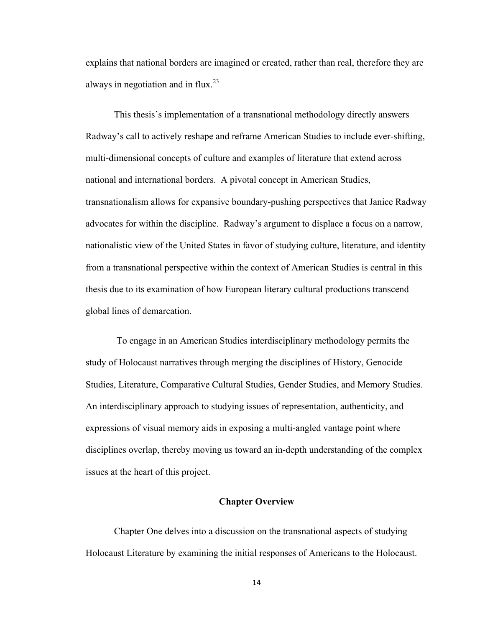explains that national borders are imagined or created, rather than real, therefore they are always in negotiation and in flux.<sup>23</sup>

This thesis's implementation of a transnational methodology directly answers Radway's call to actively reshape and reframe American Studies to include ever-shifting, multi-dimensional concepts of culture and examples of literature that extend across national and international borders. A pivotal concept in American Studies, transnationalism allows for expansive boundary-pushing perspectives that Janice Radway advocates for within the discipline. Radway's argument to displace a focus on a narrow, nationalistic view of the United States in favor of studying culture, literature, and identity from a transnational perspective within the context of American Studies is central in this thesis due to its examination of how European literary cultural productions transcend global lines of demarcation.

 To engage in an American Studies interdisciplinary methodology permits the study of Holocaust narratives through merging the disciplines of History, Genocide Studies, Literature, Comparative Cultural Studies, Gender Studies, and Memory Studies. An interdisciplinary approach to studying issues of representation, authenticity, and expressions of visual memory aids in exposing a multi-angled vantage point where disciplines overlap, thereby moving us toward an in-depth understanding of the complex issues at the heart of this project.

### **Chapter Overview**

Chapter One delves into a discussion on the transnational aspects of studying Holocaust Literature by examining the initial responses of Americans to the Holocaust.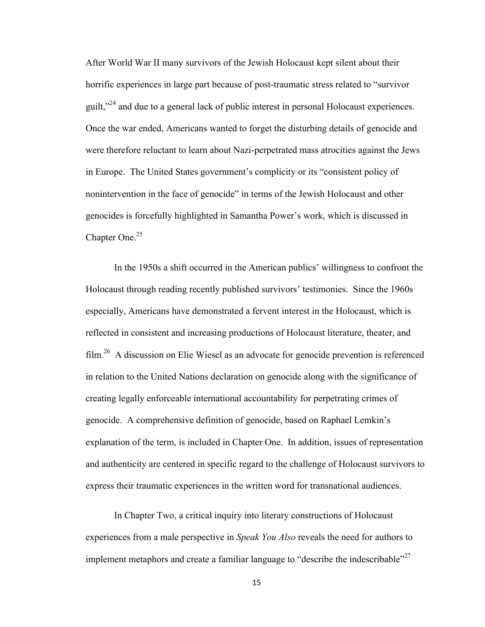After World War II many survivors of the Jewish Holocaust kept silent about their horrific experiences in large part because of post-traumatic stress related to "survivor guilt,"24 and due to a general lack of public interest in personal Holocaust experiences. Once the war ended, Americans wanted to forget the disturbing details of genocide and were therefore reluctant to learn about Nazi-perpetrated mass atrocities against the Jews in Europe. The United States government's complicity or its "consistent policy of nonintervention in the face of genocide" in terms of the Jewish Holocaust and other genocides is forcefully highlighted in Samantha Power's work, which is discussed in Chapter One.<sup>25</sup>

In the 1950s a shift occurred in the American publics' willingness to confront the Holocaust through reading recently published survivors' testimonies. Since the 1960s especially, Americans have demonstrated a fervent interest in the Holocaust, which is reflected in consistent and increasing productions of Holocaust literature, theater, and film.26 A discussion on Elie Wiesel as an advocate for genocide prevention is referenced in relation to the United Nations declaration on genocide along with the significance of creating legally enforceable international accountability for perpetrating crimes of genocide. A comprehensive definition of genocide, based on Raphael Lemkin's explanation of the term, is included in Chapter One. In addition, issues of representation and authenticity are centered in specific regard to the challenge of Holocaust survivors to express their traumatic experiences in the written word for transnational audiences.

In Chapter Two, a critical inquiry into literary constructions of Holocaust experiences from a male perspective in *Speak You Also* reveals the need for authors to implement metaphors and create a familiar language to "describe the indescribable"<sup>27</sup>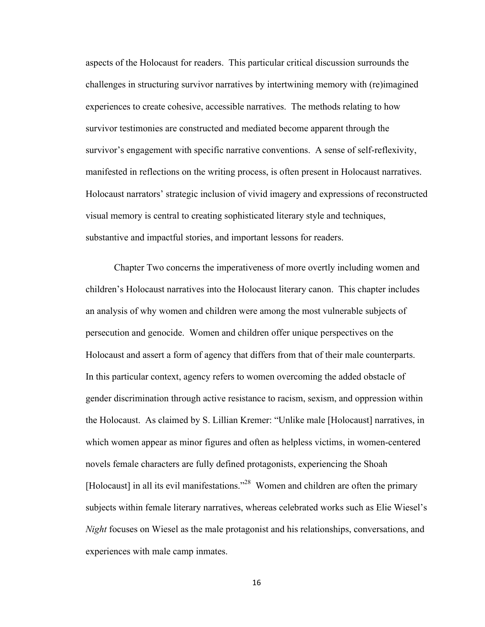aspects of the Holocaust for readers. This particular critical discussion surrounds the challenges in structuring survivor narratives by intertwining memory with (re)imagined experiences to create cohesive, accessible narratives. The methods relating to how survivor testimonies are constructed and mediated become apparent through the survivor's engagement with specific narrative conventions. A sense of self-reflexivity, manifested in reflections on the writing process, is often present in Holocaust narratives. Holocaust narrators' strategic inclusion of vivid imagery and expressions of reconstructed visual memory is central to creating sophisticated literary style and techniques, substantive and impactful stories, and important lessons for readers.

Chapter Two concerns the imperativeness of more overtly including women and children's Holocaust narratives into the Holocaust literary canon. This chapter includes an analysis of why women and children were among the most vulnerable subjects of persecution and genocide. Women and children offer unique perspectives on the Holocaust and assert a form of agency that differs from that of their male counterparts. In this particular context, agency refers to women overcoming the added obstacle of gender discrimination through active resistance to racism, sexism, and oppression within the Holocaust. As claimed by S. Lillian Kremer: "Unlike male [Holocaust] narratives, in which women appear as minor figures and often as helpless victims, in women-centered novels female characters are fully defined protagonists, experiencing the Shoah [Holocaust] in all its evil manifestations."<sup>28</sup> Women and children are often the primary subjects within female literary narratives, whereas celebrated works such as Elie Wiesel's *Night* focuses on Wiesel as the male protagonist and his relationships, conversations, and experiences with male camp inmates.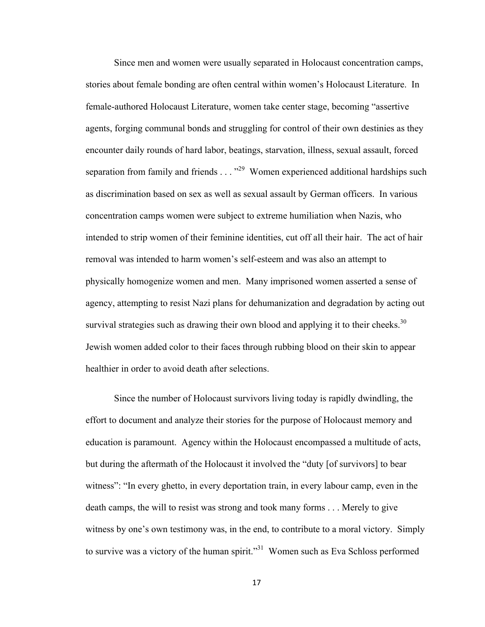Since men and women were usually separated in Holocaust concentration camps, stories about female bonding are often central within women's Holocaust Literature. In female-authored Holocaust Literature, women take center stage, becoming "assertive agents, forging communal bonds and struggling for control of their own destinies as they encounter daily rounds of hard labor, beatings, starvation, illness, sexual assault, forced separation from family and friends  $\ldots$   $^{29}$  Women experienced additional hardships such as discrimination based on sex as well as sexual assault by German officers. In various concentration camps women were subject to extreme humiliation when Nazis, who intended to strip women of their feminine identities, cut off all their hair. The act of hair removal was intended to harm women's self-esteem and was also an attempt to physically homogenize women and men. Many imprisoned women asserted a sense of agency, attempting to resist Nazi plans for dehumanization and degradation by acting out survival strategies such as drawing their own blood and applying it to their cheeks.<sup>30</sup> Jewish women added color to their faces through rubbing blood on their skin to appear healthier in order to avoid death after selections.

Since the number of Holocaust survivors living today is rapidly dwindling, the effort to document and analyze their stories for the purpose of Holocaust memory and education is paramount. Agency within the Holocaust encompassed a multitude of acts, but during the aftermath of the Holocaust it involved the "duty [of survivors] to bear witness": "In every ghetto, in every deportation train, in every labour camp, even in the death camps, the will to resist was strong and took many forms . . . Merely to give witness by one's own testimony was, in the end, to contribute to a moral victory. Simply to survive was a victory of the human spirit."<sup>31</sup> Women such as Eva Schloss performed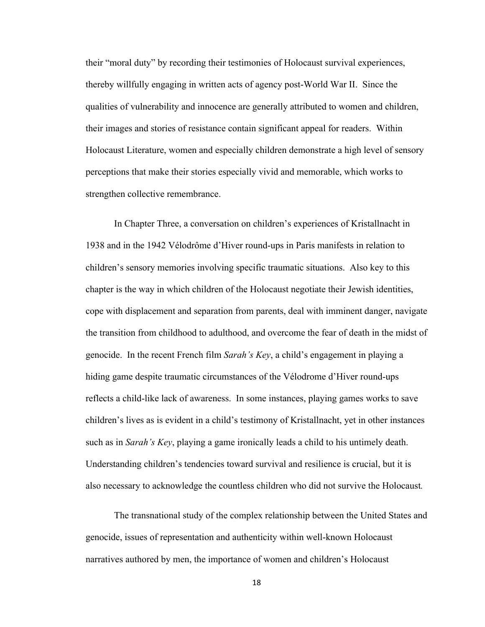their "moral duty" by recording their testimonies of Holocaust survival experiences, thereby willfully engaging in written acts of agency post-World War II. Since the qualities of vulnerability and innocence are generally attributed to women and children, their images and stories of resistance contain significant appeal for readers. Within Holocaust Literature, women and especially children demonstrate a high level of sensory perceptions that make their stories especially vivid and memorable, which works to strengthen collective remembrance.

In Chapter Three, a conversation on children's experiences of Kristallnacht in 1938 and in the 1942 Vélodrôme d'Hiver round-ups in Paris manifests in relation to children's sensory memories involving specific traumatic situations. Also key to this chapter is the way in which children of the Holocaust negotiate their Jewish identities, cope with displacement and separation from parents, deal with imminent danger, navigate the transition from childhood to adulthood, and overcome the fear of death in the midst of genocide. In the recent French film *Sarah's Key*, a child's engagement in playing a hiding game despite traumatic circumstances of the Vélodrome d'Hiver round-ups reflects a child-like lack of awareness. In some instances, playing games works to save children's lives as is evident in a child's testimony of Kristallnacht, yet in other instances such as in *Sarah's Key*, playing a game ironically leads a child to his untimely death. Understanding children's tendencies toward survival and resilience is crucial, but it is also necessary to acknowledge the countless children who did not survive the Holocaust*.*

The transnational study of the complex relationship between the United States and genocide, issues of representation and authenticity within well-known Holocaust narratives authored by men, the importance of women and children's Holocaust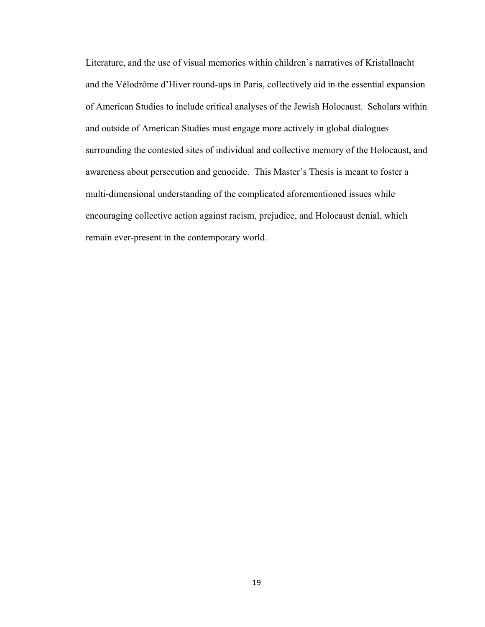Literature, and the use of visual memories within children's narratives of Kristallnacht and the Vélodrôme d'Hiver round-ups in Paris, collectively aid in the essential expansion of American Studies to include critical analyses of the Jewish Holocaust. Scholars within and outside of American Studies must engage more actively in global dialogues surrounding the contested sites of individual and collective memory of the Holocaust, and awareness about persecution and genocide. This Master's Thesis is meant to foster a multi-dimensional understanding of the complicated aforementioned issues while encouraging collective action against racism, prejudice, and Holocaust denial, which remain ever-present in the contemporary world.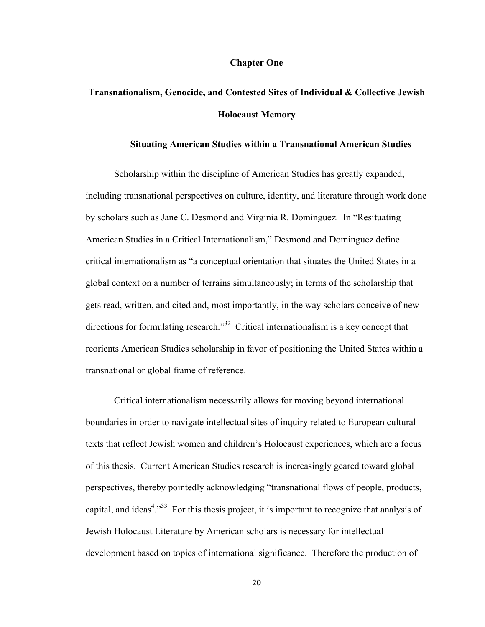#### **Chapter One**

# **Transnationalism, Genocide, and Contested Sites of Individual & Collective Jewish Holocaust Memory**

### **Situating American Studies within a Transnational American Studies**

Scholarship within the discipline of American Studies has greatly expanded, including transnational perspectives on culture, identity, and literature through work done by scholars such as Jane C. Desmond and Virginia R. Dominguez. In "Resituating American Studies in a Critical Internationalism," Desmond and Dominguez define critical internationalism as "a conceptual orientation that situates the United States in a global context on a number of terrains simultaneously; in terms of the scholarship that gets read, written, and cited and, most importantly, in the way scholars conceive of new directions for formulating research."<sup>32</sup> Critical internationalism is a key concept that reorients American Studies scholarship in favor of positioning the United States within a transnational or global frame of reference.

Critical internationalism necessarily allows for moving beyond international boundaries in order to navigate intellectual sites of inquiry related to European cultural texts that reflect Jewish women and children's Holocaust experiences, which are a focus of this thesis. Current American Studies research is increasingly geared toward global perspectives, thereby pointedly acknowledging "transnational flows of people, products, capital, and ideas<sup>4</sup>.<sup>33</sup> For this thesis project, it is important to recognize that analysis of Jewish Holocaust Literature by American scholars is necessary for intellectual development based on topics of international significance. Therefore the production of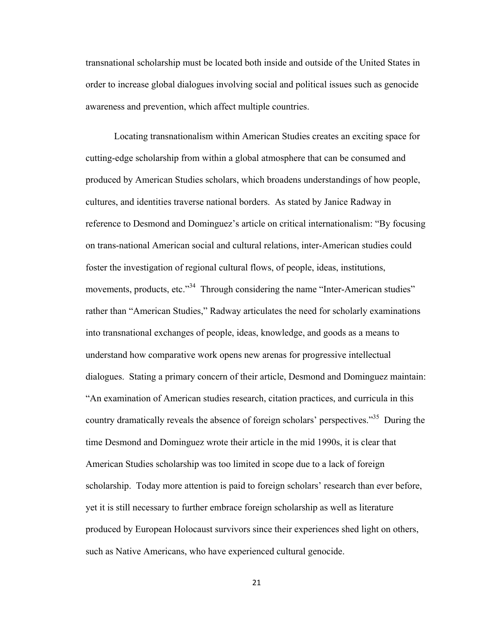transnational scholarship must be located both inside and outside of the United States in order to increase global dialogues involving social and political issues such as genocide awareness and prevention, which affect multiple countries.

Locating transnationalism within American Studies creates an exciting space for cutting-edge scholarship from within a global atmosphere that can be consumed and produced by American Studies scholars, which broadens understandings of how people, cultures, and identities traverse national borders. As stated by Janice Radway in reference to Desmond and Dominguez's article on critical internationalism: "By focusing on trans-national American social and cultural relations, inter-American studies could foster the investigation of regional cultural flows, of people, ideas, institutions, movements, products, etc."<sup>34</sup> Through considering the name "Inter-American studies" rather than "American Studies," Radway articulates the need for scholarly examinations into transnational exchanges of people, ideas, knowledge, and goods as a means to understand how comparative work opens new arenas for progressive intellectual dialogues. Stating a primary concern of their article, Desmond and Dominguez maintain: "An examination of American studies research, citation practices, and curricula in this country dramatically reveals the absence of foreign scholars' perspectives."<sup>35</sup> During the time Desmond and Dominguez wrote their article in the mid 1990s, it is clear that American Studies scholarship was too limited in scope due to a lack of foreign scholarship. Today more attention is paid to foreign scholars' research than ever before, yet it is still necessary to further embrace foreign scholarship as well as literature produced by European Holocaust survivors since their experiences shed light on others, such as Native Americans, who have experienced cultural genocide.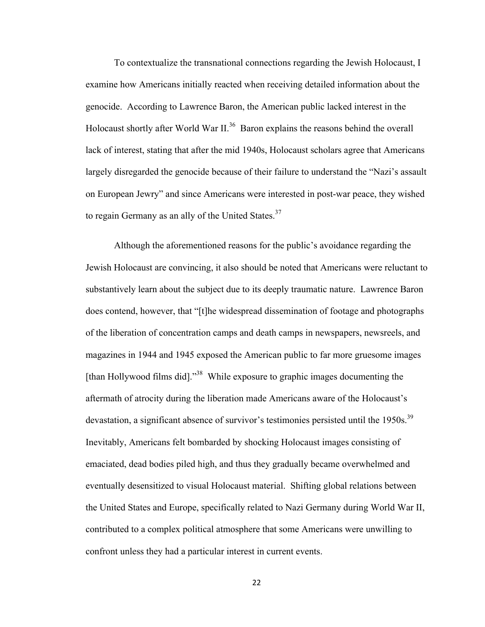To contextualize the transnational connections regarding the Jewish Holocaust, I examine how Americans initially reacted when receiving detailed information about the genocide. According to Lawrence Baron, the American public lacked interest in the Holocaust shortly after World War II.<sup>36</sup> Baron explains the reasons behind the overall lack of interest, stating that after the mid 1940s, Holocaust scholars agree that Americans largely disregarded the genocide because of their failure to understand the "Nazi's assault on European Jewry" and since Americans were interested in post-war peace, they wished to regain Germany as an ally of the United States.<sup>37</sup>

Although the aforementioned reasons for the public's avoidance regarding the Jewish Holocaust are convincing, it also should be noted that Americans were reluctant to substantively learn about the subject due to its deeply traumatic nature. Lawrence Baron does contend, however, that "[t]he widespread dissemination of footage and photographs of the liberation of concentration camps and death camps in newspapers, newsreels, and magazines in 1944 and 1945 exposed the American public to far more gruesome images [than Hollywood films did]."38 While exposure to graphic images documenting the aftermath of atrocity during the liberation made Americans aware of the Holocaust's devastation, a significant absence of survivor's testimonies persisted until the 1950s.<sup>39</sup> Inevitably, Americans felt bombarded by shocking Holocaust images consisting of emaciated, dead bodies piled high, and thus they gradually became overwhelmed and eventually desensitized to visual Holocaust material. Shifting global relations between the United States and Europe, specifically related to Nazi Germany during World War II, contributed to a complex political atmosphere that some Americans were unwilling to confront unless they had a particular interest in current events.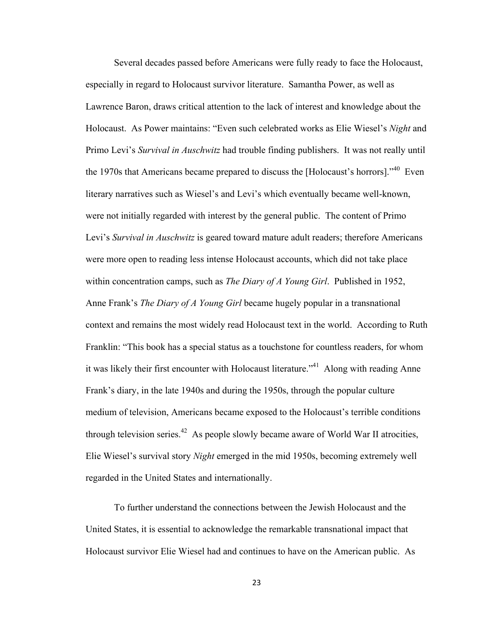Several decades passed before Americans were fully ready to face the Holocaust, especially in regard to Holocaust survivor literature. Samantha Power, as well as Lawrence Baron, draws critical attention to the lack of interest and knowledge about the Holocaust. As Power maintains: "Even such celebrated works as Elie Wiesel's *Night* and Primo Levi's *Survival in Auschwitz* had trouble finding publishers. It was not really until the 1970s that Americans became prepared to discuss the [Holocaust's horrors]."40 Even literary narratives such as Wiesel's and Levi's which eventually became well-known, were not initially regarded with interest by the general public. The content of Primo Levi's *Survival in Auschwitz* is geared toward mature adult readers; therefore Americans were more open to reading less intense Holocaust accounts, which did not take place within concentration camps, such as *The Diary of A Young Girl*. Published in 1952, Anne Frank's *The Diary of A Young Girl* became hugely popular in a transnational context and remains the most widely read Holocaust text in the world. According to Ruth Franklin: "This book has a special status as a touchstone for countless readers, for whom it was likely their first encounter with Holocaust literature.<sup>"41</sup> Along with reading Anne Frank's diary, in the late 1940s and during the 1950s, through the popular culture medium of television, Americans became exposed to the Holocaust's terrible conditions through television series.<sup>42</sup> As people slowly became aware of World War II atrocities, Elie Wiesel's survival story *Night* emerged in the mid 1950s, becoming extremely well regarded in the United States and internationally.

To further understand the connections between the Jewish Holocaust and the United States, it is essential to acknowledge the remarkable transnational impact that Holocaust survivor Elie Wiesel had and continues to have on the American public. As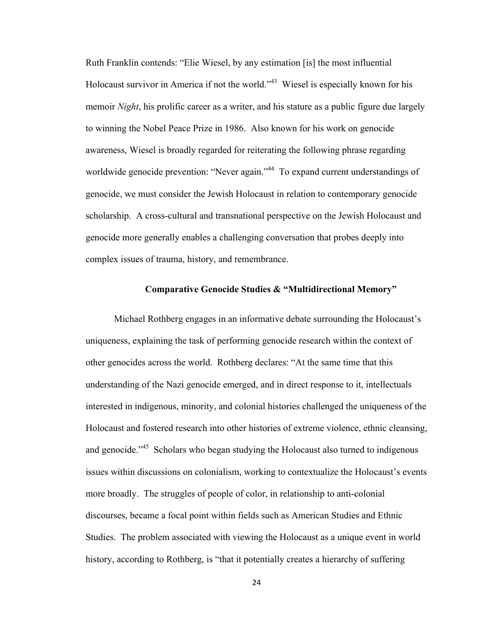Ruth Franklin contends: "Elie Wiesel, by any estimation [is] the most influential Holocaust survivor in America if not the world."<sup>43</sup> Wiesel is especially known for his memoir *Night*, his prolific career as a writer, and his stature as a public figure due largely to winning the Nobel Peace Prize in 1986. Also known for his work on genocide awareness, Wiesel is broadly regarded for reiterating the following phrase regarding worldwide genocide prevention: "Never again."<sup>44</sup> To expand current understandings of genocide, we must consider the Jewish Holocaust in relation to contemporary genocide scholarship. A cross-cultural and transnational perspective on the Jewish Holocaust and genocide more generally enables a challenging conversation that probes deeply into complex issues of trauma, history, and remembrance.

### **Comparative Genocide Studies & "Multidirectional Memory"**

Michael Rothberg engages in an informative debate surrounding the Holocaust's uniqueness, explaining the task of performing genocide research within the context of other genocides across the world. Rothberg declares: "At the same time that this understanding of the Nazi genocide emerged, and in direct response to it, intellectuals interested in indigenous, minority, and colonial histories challenged the uniqueness of the Holocaust and fostered research into other histories of extreme violence, ethnic cleansing, and genocide.<sup>45</sup> Scholars who began studying the Holocaust also turned to indigenous issues within discussions on colonialism, working to contextualize the Holocaust's events more broadly. The struggles of people of color, in relationship to anti-colonial discourses, became a focal point within fields such as American Studies and Ethnic Studies. The problem associated with viewing the Holocaust as a unique event in world history, according to Rothberg, is "that it potentially creates a hierarchy of suffering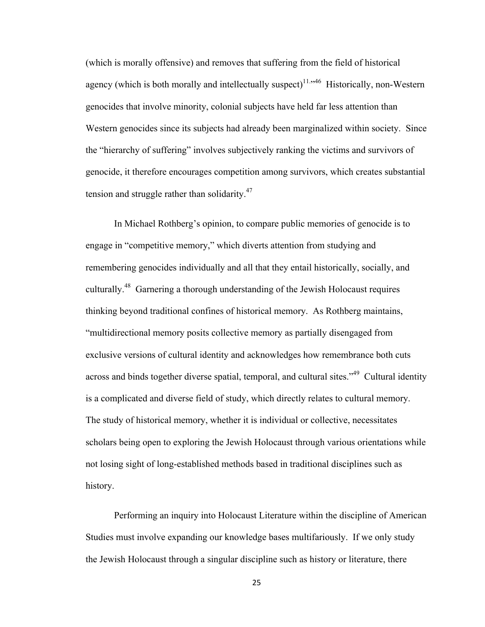(which is morally offensive) and removes that suffering from the field of historical agency (which is both morally and intellectually suspect) $11.546$  Historically, non-Western genocides that involve minority, colonial subjects have held far less attention than Western genocides since its subjects had already been marginalized within society. Since the "hierarchy of suffering" involves subjectively ranking the victims and survivors of genocide, it therefore encourages competition among survivors, which creates substantial tension and struggle rather than solidarity.<sup>47</sup>

In Michael Rothberg's opinion, to compare public memories of genocide is to engage in "competitive memory," which diverts attention from studying and remembering genocides individually and all that they entail historically, socially, and culturally.48 Garnering a thorough understanding of the Jewish Holocaust requires thinking beyond traditional confines of historical memory. As Rothberg maintains, "multidirectional memory posits collective memory as partially disengaged from exclusive versions of cultural identity and acknowledges how remembrance both cuts across and binds together diverse spatial, temporal, and cultural sites.<sup>349</sup> Cultural identity is a complicated and diverse field of study, which directly relates to cultural memory. The study of historical memory, whether it is individual or collective, necessitates scholars being open to exploring the Jewish Holocaust through various orientations while not losing sight of long-established methods based in traditional disciplines such as history.

Performing an inquiry into Holocaust Literature within the discipline of American Studies must involve expanding our knowledge bases multifariously. If we only study the Jewish Holocaust through a singular discipline such as history or literature, there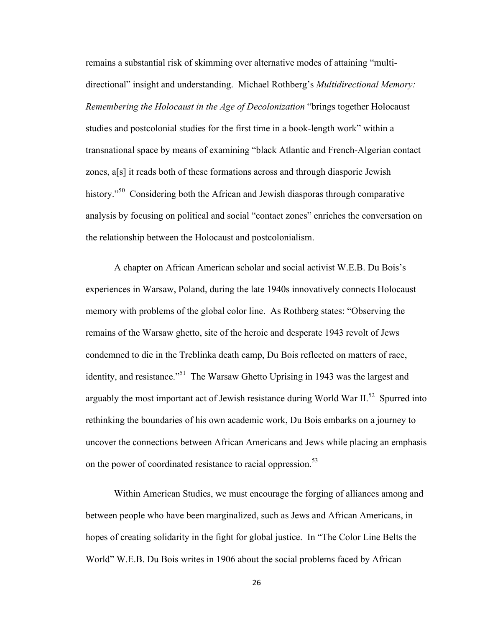remains a substantial risk of skimming over alternative modes of attaining "multidirectional" insight and understanding. Michael Rothberg's *Multidirectional Memory: Remembering the Holocaust in the Age of Decolonization* "brings together Holocaust studies and postcolonial studies for the first time in a book-length work" within a transnational space by means of examining "black Atlantic and French-Algerian contact zones, a[s] it reads both of these formations across and through diasporic Jewish history."<sup>50</sup> Considering both the African and Jewish diasporas through comparative analysis by focusing on political and social "contact zones" enriches the conversation on the relationship between the Holocaust and postcolonialism.

A chapter on African American scholar and social activist W.E.B. Du Bois's experiences in Warsaw, Poland, during the late 1940s innovatively connects Holocaust memory with problems of the global color line. As Rothberg states: "Observing the remains of the Warsaw ghetto, site of the heroic and desperate 1943 revolt of Jews condemned to die in the Treblinka death camp, Du Bois reflected on matters of race, identity, and resistance."<sup>51</sup> The Warsaw Ghetto Uprising in 1943 was the largest and arguably the most important act of Jewish resistance during World War  $II^{52}$  Spurred into rethinking the boundaries of his own academic work, Du Bois embarks on a journey to uncover the connections between African Americans and Jews while placing an emphasis on the power of coordinated resistance to racial oppression.<sup>53</sup>

Within American Studies, we must encourage the forging of alliances among and between people who have been marginalized, such as Jews and African Americans, in hopes of creating solidarity in the fight for global justice. In "The Color Line Belts the World" W.E.B. Du Bois writes in 1906 about the social problems faced by African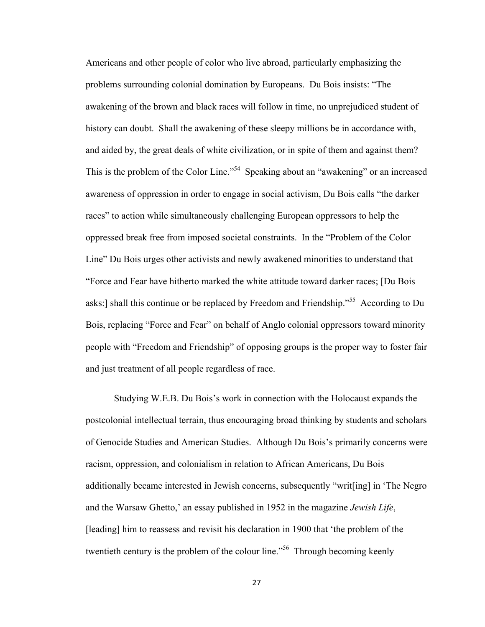Americans and other people of color who live abroad, particularly emphasizing the problems surrounding colonial domination by Europeans. Du Bois insists: "The awakening of the brown and black races will follow in time, no unprejudiced student of history can doubt. Shall the awakening of these sleepy millions be in accordance with, and aided by, the great deals of white civilization, or in spite of them and against them? This is the problem of the Color Line."<sup>54</sup> Speaking about an "awakening" or an increased awareness of oppression in order to engage in social activism, Du Bois calls "the darker races" to action while simultaneously challenging European oppressors to help the oppressed break free from imposed societal constraints. In the "Problem of the Color Line" Du Bois urges other activists and newly awakened minorities to understand that "Force and Fear have hitherto marked the white attitude toward darker races; [Du Bois asks:] shall this continue or be replaced by Freedom and Friendship."55 According to Du Bois, replacing "Force and Fear" on behalf of Anglo colonial oppressors toward minority people with "Freedom and Friendship" of opposing groups is the proper way to foster fair and just treatment of all people regardless of race.

Studying W.E.B. Du Bois's work in connection with the Holocaust expands the postcolonial intellectual terrain, thus encouraging broad thinking by students and scholars of Genocide Studies and American Studies. Although Du Bois's primarily concerns were racism, oppression, and colonialism in relation to African Americans, Du Bois additionally became interested in Jewish concerns, subsequently "writ[ing] in 'The Negro and the Warsaw Ghetto,' an essay published in 1952 in the magazine *Jewish Life*, [leading] him to reassess and revisit his declaration in 1900 that 'the problem of the twentieth century is the problem of the colour line."<sup>56</sup> Through becoming keenly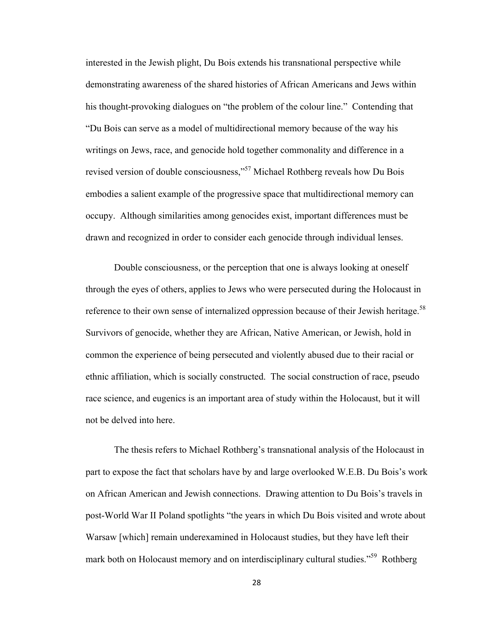interested in the Jewish plight, Du Bois extends his transnational perspective while demonstrating awareness of the shared histories of African Americans and Jews within his thought-provoking dialogues on "the problem of the colour line." Contending that "Du Bois can serve as a model of multidirectional memory because of the way his writings on Jews, race, and genocide hold together commonality and difference in a revised version of double consciousness,"57 Michael Rothberg reveals how Du Bois embodies a salient example of the progressive space that multidirectional memory can occupy. Although similarities among genocides exist, important differences must be drawn and recognized in order to consider each genocide through individual lenses.

Double consciousness, or the perception that one is always looking at oneself through the eyes of others, applies to Jews who were persecuted during the Holocaust in reference to their own sense of internalized oppression because of their Jewish heritage.<sup>58</sup> Survivors of genocide, whether they are African, Native American, or Jewish, hold in common the experience of being persecuted and violently abused due to their racial or ethnic affiliation, which is socially constructed. The social construction of race, pseudo race science, and eugenics is an important area of study within the Holocaust, but it will not be delved into here.

The thesis refers to Michael Rothberg's transnational analysis of the Holocaust in part to expose the fact that scholars have by and large overlooked W.E.B. Du Bois's work on African American and Jewish connections. Drawing attention to Du Bois's travels in post-World War II Poland spotlights "the years in which Du Bois visited and wrote about Warsaw [which] remain underexamined in Holocaust studies, but they have left their mark both on Holocaust memory and on interdisciplinary cultural studies.<sup>59</sup> Rothberg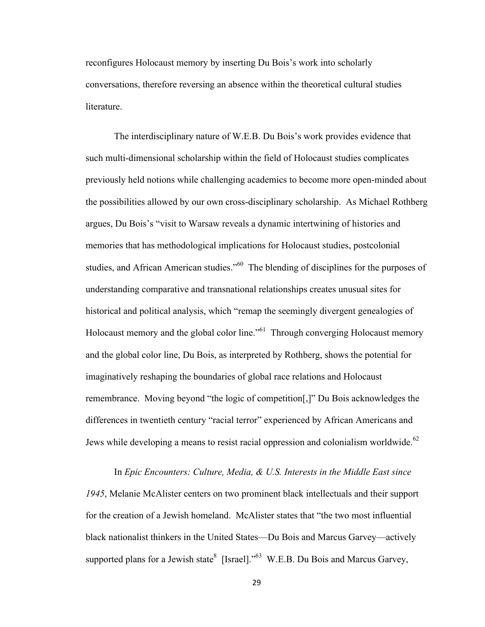reconfigures Holocaust memory by inserting Du Bois's work into scholarly conversations, therefore reversing an absence within the theoretical cultural studies literature.

The interdisciplinary nature of W.E.B. Du Bois's work provides evidence that such multi-dimensional scholarship within the field of Holocaust studies complicates previously held notions while challenging academics to become more open-minded about the possibilities allowed by our own cross-disciplinary scholarship. As Michael Rothberg argues, Du Bois's "visit to Warsaw reveals a dynamic intertwining of histories and memories that has methodological implications for Holocaust studies, postcolonial studies, and African American studies."<sup>60</sup> The blending of disciplines for the purposes of understanding comparative and transnational relationships creates unusual sites for historical and political analysis, which "remap the seemingly divergent genealogies of Holocaust memory and the global color line.<sup>"61</sup> Through converging Holocaust memory and the global color line, Du Bois, as interpreted by Rothberg, shows the potential for imaginatively reshaping the boundaries of global race relations and Holocaust remembrance. Moving beyond "the logic of competition[,]" Du Bois acknowledges the differences in twentieth century "racial terror" experienced by African Americans and Jews while developing a means to resist racial oppression and colonialism worldwide.<sup>62</sup>

In *Epic Encounters: Culture, Media, & U.S. Interests in the Middle East since 1945*, Melanie McAlister centers on two prominent black intellectuals and their support for the creation of a Jewish homeland. McAlister states that "the two most influential black nationalist thinkers in the United States—Du Bois and Marcus Garvey—actively supported plans for a Jewish state [Israel]."<sup>63</sup> W.E.B. Du Bois and Marcus Garvey,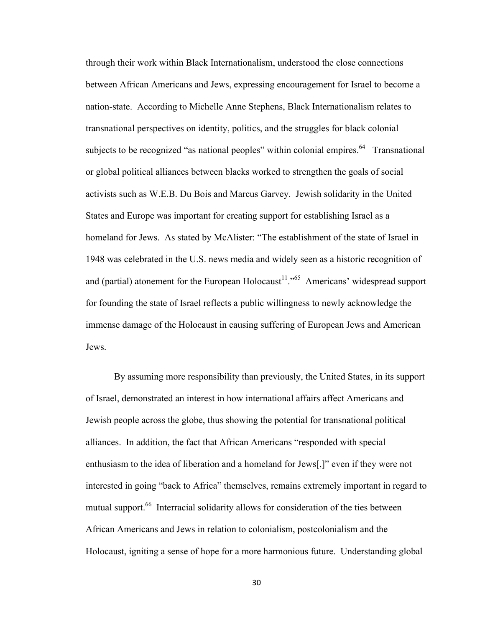through their work within Black Internationalism, understood the close connections between African Americans and Jews, expressing encouragement for Israel to become a nation-state. According to Michelle Anne Stephens, Black Internationalism relates to transnational perspectives on identity, politics, and the struggles for black colonial subjects to be recognized "as national peoples" within colonial empires.  $64$  Transnational or global political alliances between blacks worked to strengthen the goals of social activists such as W.E.B. Du Bois and Marcus Garvey. Jewish solidarity in the United States and Europe was important for creating support for establishing Israel as a homeland for Jews. As stated by McAlister: "The establishment of the state of Israel in 1948 was celebrated in the U.S. news media and widely seen as a historic recognition of and (partial) atonement for the European Holocaust<sup>11</sup>."<sup>65</sup> Americans' widespread support for founding the state of Israel reflects a public willingness to newly acknowledge the immense damage of the Holocaust in causing suffering of European Jews and American Jews.

By assuming more responsibility than previously, the United States, in its support of Israel, demonstrated an interest in how international affairs affect Americans and Jewish people across the globe, thus showing the potential for transnational political alliances. In addition, the fact that African Americans "responded with special enthusiasm to the idea of liberation and a homeland for Jews[,]" even if they were not interested in going "back to Africa" themselves, remains extremely important in regard to mutual support.<sup>66</sup> Interracial solidarity allows for consideration of the ties between African Americans and Jews in relation to colonialism, postcolonialism and the Holocaust, igniting a sense of hope for a more harmonious future. Understanding global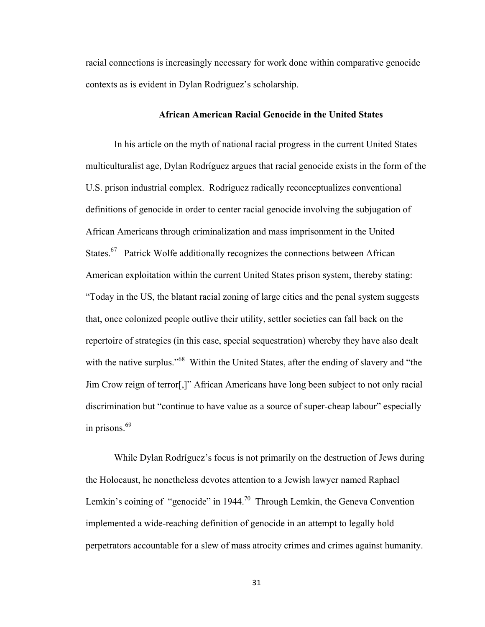racial connections is increasingly necessary for work done within comparative genocide contexts as is evident in Dylan Rodriguez's scholarship.

# **African American Racial Genocide in the United States**

In his article on the myth of national racial progress in the current United States multiculturalist age, Dylan Rodríguez argues that racial genocide exists in the form of the U.S. prison industrial complex. Rodríguez radically reconceptualizes conventional definitions of genocide in order to center racial genocide involving the subjugation of African Americans through criminalization and mass imprisonment in the United States.<sup>67</sup> Patrick Wolfe additionally recognizes the connections between African American exploitation within the current United States prison system, thereby stating: "Today in the US, the blatant racial zoning of large cities and the penal system suggests that, once colonized people outlive their utility, settler societies can fall back on the repertoire of strategies (in this case, special sequestration) whereby they have also dealt with the native surplus."<sup>68</sup> Within the United States, after the ending of slavery and "the Jim Crow reign of terror[,]" African Americans have long been subject to not only racial discrimination but "continue to have value as a source of super-cheap labour" especially in prisons. $69$ 

While Dylan Rodríguez's focus is not primarily on the destruction of Jews during the Holocaust, he nonetheless devotes attention to a Jewish lawyer named Raphael Lemkin's coining of "genocide" in 1944.<sup>70</sup> Through Lemkin, the Geneva Convention implemented a wide-reaching definition of genocide in an attempt to legally hold perpetrators accountable for a slew of mass atrocity crimes and crimes against humanity.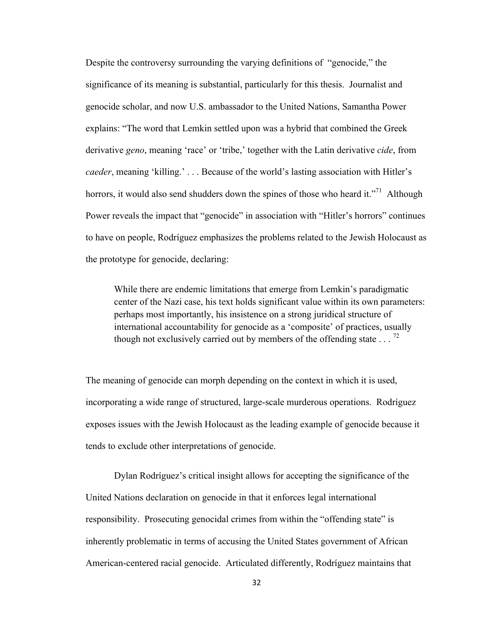Despite the controversy surrounding the varying definitions of "genocide," the significance of its meaning is substantial, particularly for this thesis. Journalist and genocide scholar, and now U.S. ambassador to the United Nations, Samantha Power explains: "The word that Lemkin settled upon was a hybrid that combined the Greek derivative *geno*, meaning 'race' or 'tribe,' together with the Latin derivative *cide*, from *caeder*, meaning 'killing.' . . . Because of the world's lasting association with Hitler's horrors, it would also send shudders down the spines of those who heard it."<sup>71</sup> Although Power reveals the impact that "genocide" in association with "Hitler's horrors" continues to have on people, Rodríguez emphasizes the problems related to the Jewish Holocaust as the prototype for genocide, declaring:

While there are endemic limitations that emerge from Lemkin's paradigmatic center of the Nazi case, his text holds significant value within its own parameters: perhaps most importantly, his insistence on a strong juridical structure of international accountability for genocide as a 'composite' of practices, usually though not exclusively carried out by members of the offending state  $\ldots$ <sup>72</sup>

The meaning of genocide can morph depending on the context in which it is used, incorporating a wide range of structured, large-scale murderous operations. Rodríguez exposes issues with the Jewish Holocaust as the leading example of genocide because it tends to exclude other interpretations of genocide.

Dylan Rodríguez's critical insight allows for accepting the significance of the United Nations declaration on genocide in that it enforces legal international responsibility. Prosecuting genocidal crimes from within the "offending state" is inherently problematic in terms of accusing the United States government of African American-centered racial genocide. Articulated differently, Rodríguez maintains that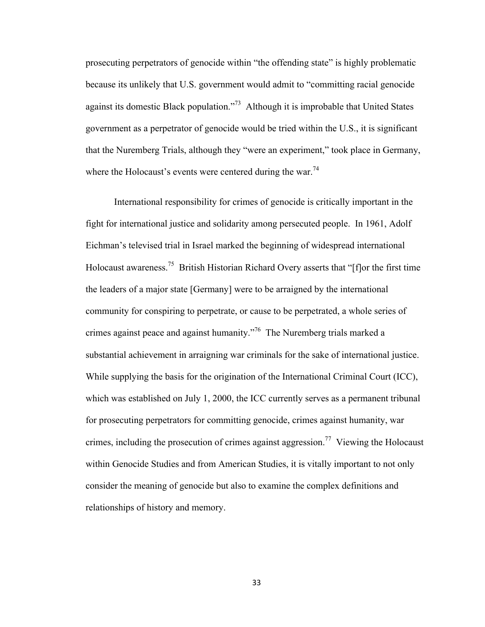prosecuting perpetrators of genocide within "the offending state" is highly problematic because its unlikely that U.S. government would admit to "committing racial genocide against its domestic Black population."73 Although it is improbable that United States government as a perpetrator of genocide would be tried within the U.S., it is significant that the Nuremberg Trials, although they "were an experiment," took place in Germany, where the Holocaust's events were centered during the war.<sup>74</sup>

International responsibility for crimes of genocide is critically important in the fight for international justice and solidarity among persecuted people. In 1961, Adolf Eichman's televised trial in Israel marked the beginning of widespread international Holocaust awareness.<sup>75</sup> British Historian Richard Overy asserts that "[f] or the first time the leaders of a major state [Germany] were to be arraigned by the international community for conspiring to perpetrate, or cause to be perpetrated, a whole series of crimes against peace and against humanity.<sup>76</sup> The Nuremberg trials marked a substantial achievement in arraigning war criminals for the sake of international justice. While supplying the basis for the origination of the International Criminal Court (ICC), which was established on July 1, 2000, the ICC currently serves as a permanent tribunal for prosecuting perpetrators for committing genocide, crimes against humanity, war crimes, including the prosecution of crimes against aggression.<sup>77</sup> Viewing the Holocaust within Genocide Studies and from American Studies, it is vitally important to not only consider the meaning of genocide but also to examine the complex definitions and relationships of history and memory.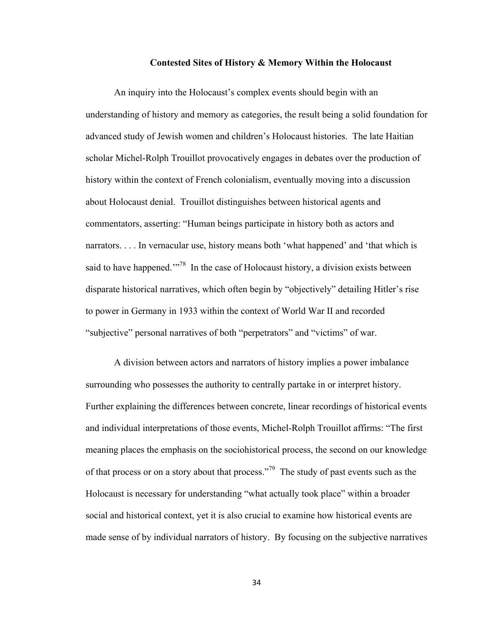#### **Contested Sites of History & Memory Within the Holocaust**

An inquiry into the Holocaust's complex events should begin with an understanding of history and memory as categories, the result being a solid foundation for advanced study of Jewish women and children's Holocaust histories. The late Haitian scholar Michel-Rolph Trouillot provocatively engages in debates over the production of history within the context of French colonialism, eventually moving into a discussion about Holocaust denial. Trouillot distinguishes between historical agents and commentators, asserting: "Human beings participate in history both as actors and narrators. . . . In vernacular use, history means both 'what happened' and 'that which is said to have happened.<sup>"78</sup> In the case of Holocaust history, a division exists between disparate historical narratives, which often begin by "objectively" detailing Hitler's rise to power in Germany in 1933 within the context of World War II and recorded "subjective" personal narratives of both "perpetrators" and "victims" of war.

A division between actors and narrators of history implies a power imbalance surrounding who possesses the authority to centrally partake in or interpret history. Further explaining the differences between concrete, linear recordings of historical events and individual interpretations of those events, Michel-Rolph Trouillot affirms: "The first meaning places the emphasis on the sociohistorical process, the second on our knowledge of that process or on a story about that process."<sup>79</sup> The study of past events such as the Holocaust is necessary for understanding "what actually took place" within a broader social and historical context, yet it is also crucial to examine how historical events are made sense of by individual narrators of history. By focusing on the subjective narratives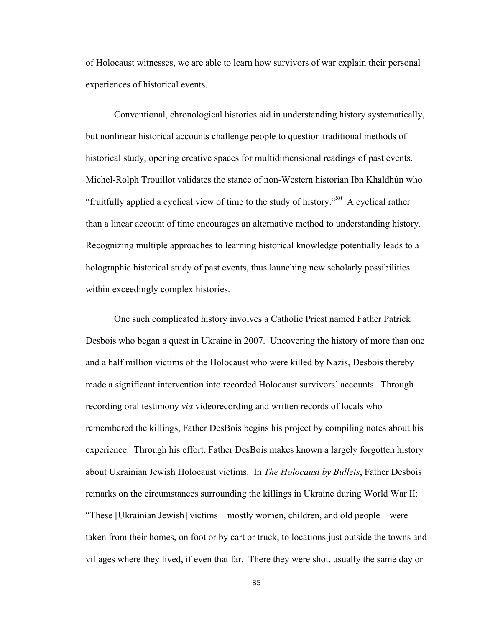of Holocaust witnesses, we are able to learn how survivors of war explain their personal experiences of historical events.

Conventional, chronological histories aid in understanding history systematically, but nonlinear historical accounts challenge people to question traditional methods of historical study, opening creative spaces for multidimensional readings of past events. Michel-Rolph Trouillot validates the stance of non-Western historian Ibn Khaldhún who "fruitfully applied a cyclical view of time to the study of history."80 A cyclical rather than a linear account of time encourages an alternative method to understanding history. Recognizing multiple approaches to learning historical knowledge potentially leads to a holographic historical study of past events, thus launching new scholarly possibilities within exceedingly complex histories.

One such complicated history involves a Catholic Priest named Father Patrick Desbois who began a quest in Ukraine in 2007. Uncovering the history of more than one and a half million victims of the Holocaust who were killed by Nazis, Desbois thereby made a significant intervention into recorded Holocaust survivors' accounts. Through recording oral testimony *via* videorecording and written records of locals who remembered the killings, Father DesBois begins his project by compiling notes about his experience. Through his effort, Father DesBois makes known a largely forgotten history about Ukrainian Jewish Holocaust victims. In *The Holocaust by Bullets*, Father Desbois remarks on the circumstances surrounding the killings in Ukraine during World War II: "These [Ukrainian Jewish] victims—mostly women, children, and old people—were taken from their homes, on foot or by cart or truck, to locations just outside the towns and villages where they lived, if even that far. There they were shot, usually the same day or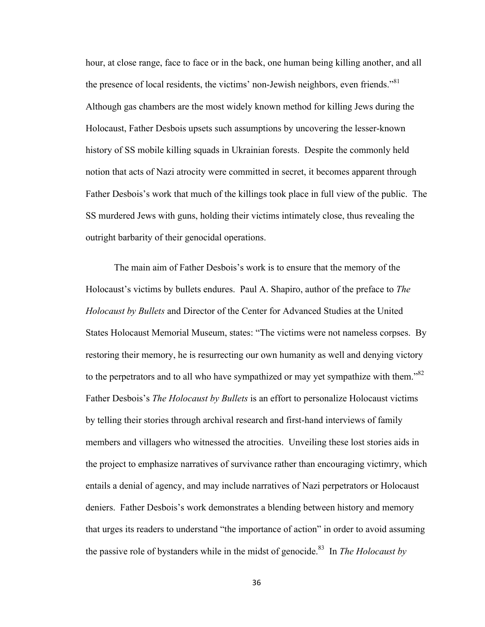hour, at close range, face to face or in the back, one human being killing another, and all the presence of local residents, the victims' non-Jewish neighbors, even friends."<sup>81</sup> Although gas chambers are the most widely known method for killing Jews during the Holocaust, Father Desbois upsets such assumptions by uncovering the lesser-known history of SS mobile killing squads in Ukrainian forests. Despite the commonly held notion that acts of Nazi atrocity were committed in secret, it becomes apparent through Father Desbois's work that much of the killings took place in full view of the public. The SS murdered Jews with guns, holding their victims intimately close, thus revealing the outright barbarity of their genocidal operations.

The main aim of Father Desbois's work is to ensure that the memory of the Holocaust's victims by bullets endures. Paul A. Shapiro, author of the preface to *The Holocaust by Bullets* and Director of the Center for Advanced Studies at the United States Holocaust Memorial Museum, states: "The victims were not nameless corpses. By restoring their memory, he is resurrecting our own humanity as well and denying victory to the perpetrators and to all who have sympathized or may yet sympathize with them."<sup>82</sup> Father Desbois's *The Holocaust by Bullets* is an effort to personalize Holocaust victims by telling their stories through archival research and first-hand interviews of family members and villagers who witnessed the atrocities. Unveiling these lost stories aids in the project to emphasize narratives of survivance rather than encouraging victimry, which entails a denial of agency, and may include narratives of Nazi perpetrators or Holocaust deniers. Father Desbois's work demonstrates a blending between history and memory that urges its readers to understand "the importance of action" in order to avoid assuming the passive role of bystanders while in the midst of genocide.<sup>83</sup> In *The Holocaust by*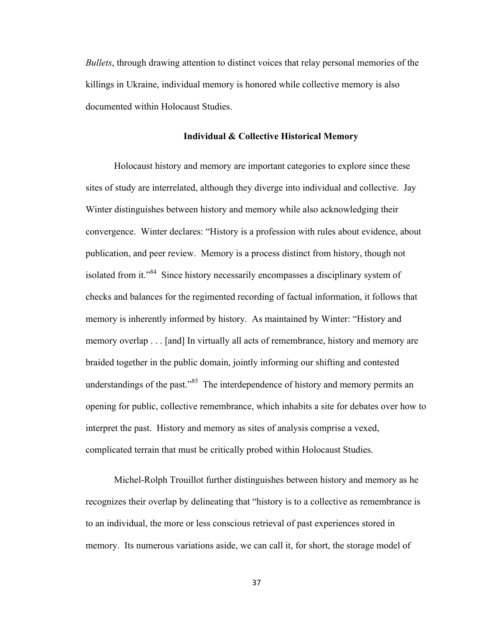*Bullets*, through drawing attention to distinct voices that relay personal memories of the killings in Ukraine, individual memory is honored while collective memory is also documented within Holocaust Studies.

## **Individual & Collective Historical Memory**

Holocaust history and memory are important categories to explore since these sites of study are interrelated, although they diverge into individual and collective. Jay Winter distinguishes between history and memory while also acknowledging their convergence. Winter declares: "History is a profession with rules about evidence, about publication, and peer review. Memory is a process distinct from history, though not isolated from it."84 Since history necessarily encompasses a disciplinary system of checks and balances for the regimented recording of factual information, it follows that memory is inherently informed by history. As maintained by Winter: "History and memory overlap . . . [and] In virtually all acts of remembrance, history and memory are braided together in the public domain, jointly informing our shifting and contested understandings of the past.<sup>85</sup> The interdependence of history and memory permits an opening for public, collective remembrance, which inhabits a site for debates over how to interpret the past. History and memory as sites of analysis comprise a vexed, complicated terrain that must be critically probed within Holocaust Studies.

Michel-Rolph Trouillot further distinguishes between history and memory as he recognizes their overlap by delineating that "history is to a collective as remembrance is to an individual, the more or less conscious retrieval of past experiences stored in memory. Its numerous variations aside, we can call it, for short, the storage model of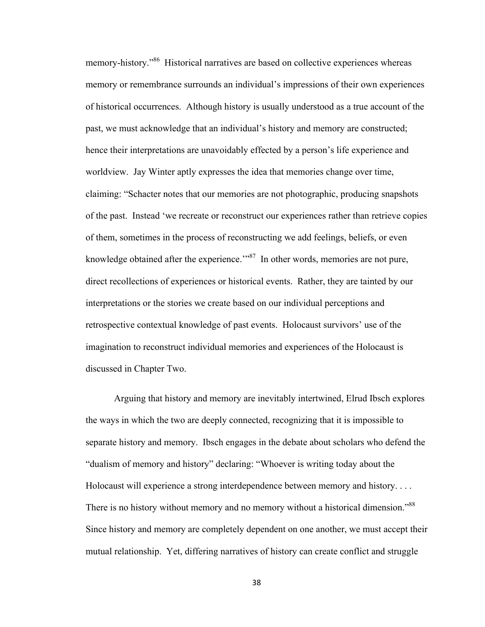memory-history."<sup>86</sup> Historical narratives are based on collective experiences whereas memory or remembrance surrounds an individual's impressions of their own experiences of historical occurrences. Although history is usually understood as a true account of the past, we must acknowledge that an individual's history and memory are constructed; hence their interpretations are unavoidably effected by a person's life experience and worldview. Jay Winter aptly expresses the idea that memories change over time, claiming: "Schacter notes that our memories are not photographic, producing snapshots of the past. Instead 'we recreate or reconstruct our experiences rather than retrieve copies of them, sometimes in the process of reconstructing we add feelings, beliefs, or even knowledge obtained after the experience.<sup> $m87$ </sup> In other words, memories are not pure, direct recollections of experiences or historical events. Rather, they are tainted by our interpretations or the stories we create based on our individual perceptions and retrospective contextual knowledge of past events. Holocaust survivors' use of the imagination to reconstruct individual memories and experiences of the Holocaust is discussed in Chapter Two.

Arguing that history and memory are inevitably intertwined, Elrud Ibsch explores the ways in which the two are deeply connected, recognizing that it is impossible to separate history and memory. Ibsch engages in the debate about scholars who defend the "dualism of memory and history" declaring: "Whoever is writing today about the Holocaust will experience a strong interdependence between memory and history. . . . There is no history without memory and no memory without a historical dimension.<sup>888</sup> Since history and memory are completely dependent on one another, we must accept their mutual relationship. Yet, differing narratives of history can create conflict and struggle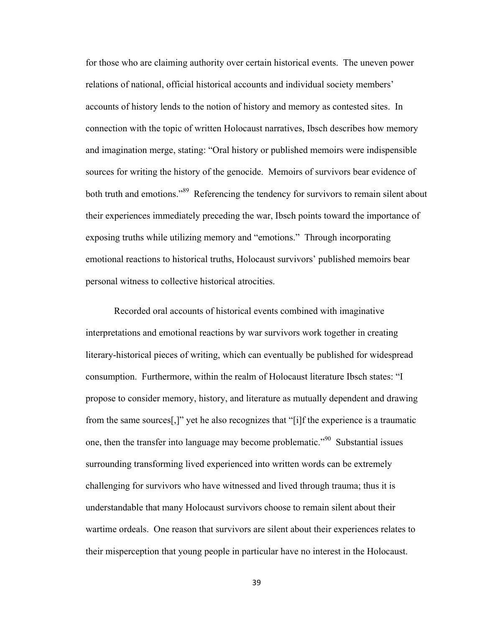for those who are claiming authority over certain historical events. The uneven power relations of national, official historical accounts and individual society members' accounts of history lends to the notion of history and memory as contested sites. In connection with the topic of written Holocaust narratives, Ibsch describes how memory and imagination merge, stating: "Oral history or published memoirs were indispensible sources for writing the history of the genocide. Memoirs of survivors bear evidence of both truth and emotions."<sup>89</sup> Referencing the tendency for survivors to remain silent about their experiences immediately preceding the war, Ibsch points toward the importance of exposing truths while utilizing memory and "emotions." Through incorporating emotional reactions to historical truths, Holocaust survivors' published memoirs bear personal witness to collective historical atrocities.

Recorded oral accounts of historical events combined with imaginative interpretations and emotional reactions by war survivors work together in creating literary-historical pieces of writing, which can eventually be published for widespread consumption. Furthermore, within the realm of Holocaust literature Ibsch states: "I propose to consider memory, history, and literature as mutually dependent and drawing from the same sources[,]" yet he also recognizes that "[i]f the experience is a traumatic one, then the transfer into language may become problematic."90 Substantial issues surrounding transforming lived experienced into written words can be extremely challenging for survivors who have witnessed and lived through trauma; thus it is understandable that many Holocaust survivors choose to remain silent about their wartime ordeals. One reason that survivors are silent about their experiences relates to their misperception that young people in particular have no interest in the Holocaust.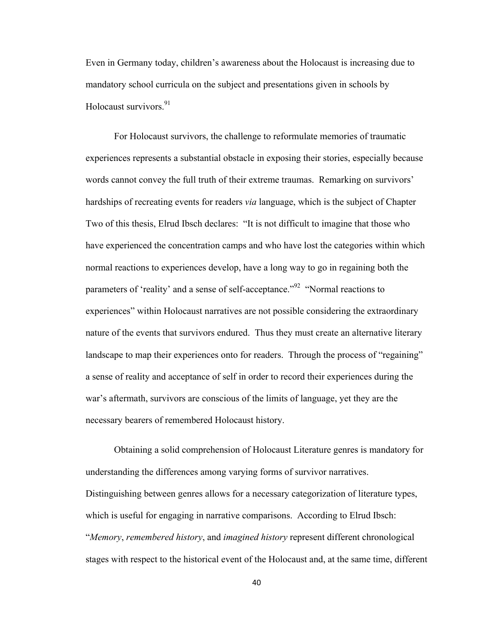Even in Germany today, children's awareness about the Holocaust is increasing due to mandatory school curricula on the subject and presentations given in schools by Holocaust survivors.<sup>91</sup>

For Holocaust survivors, the challenge to reformulate memories of traumatic experiences represents a substantial obstacle in exposing their stories, especially because words cannot convey the full truth of their extreme traumas. Remarking on survivors' hardships of recreating events for readers *via* language, which is the subject of Chapter Two of this thesis, Elrud Ibsch declares: "It is not difficult to imagine that those who have experienced the concentration camps and who have lost the categories within which normal reactions to experiences develop, have a long way to go in regaining both the parameters of 'reality' and a sense of self-acceptance."<sup>92</sup> "Normal reactions to experiences" within Holocaust narratives are not possible considering the extraordinary nature of the events that survivors endured. Thus they must create an alternative literary landscape to map their experiences onto for readers. Through the process of "regaining" a sense of reality and acceptance of self in order to record their experiences during the war's aftermath, survivors are conscious of the limits of language, yet they are the necessary bearers of remembered Holocaust history.

Obtaining a solid comprehension of Holocaust Literature genres is mandatory for understanding the differences among varying forms of survivor narratives. Distinguishing between genres allows for a necessary categorization of literature types, which is useful for engaging in narrative comparisons. According to Elrud Ibsch: "*Memory*, *remembered history*, and *imagined history* represent different chronological stages with respect to the historical event of the Holocaust and, at the same time, different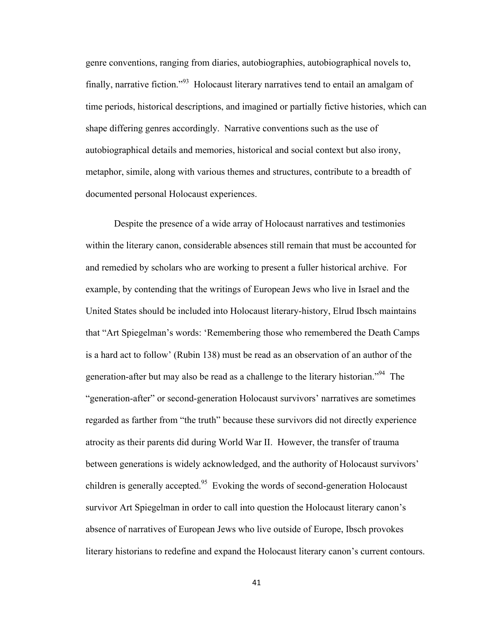genre conventions, ranging from diaries, autobiographies, autobiographical novels to, finally, narrative fiction."93 Holocaust literary narratives tend to entail an amalgam of time periods, historical descriptions, and imagined or partially fictive histories, which can shape differing genres accordingly. Narrative conventions such as the use of autobiographical details and memories, historical and social context but also irony, metaphor, simile, along with various themes and structures, contribute to a breadth of documented personal Holocaust experiences.

Despite the presence of a wide array of Holocaust narratives and testimonies within the literary canon, considerable absences still remain that must be accounted for and remedied by scholars who are working to present a fuller historical archive. For example, by contending that the writings of European Jews who live in Israel and the United States should be included into Holocaust literary-history, Elrud Ibsch maintains that "Art Spiegelman's words: 'Remembering those who remembered the Death Camps is a hard act to follow' (Rubin 138) must be read as an observation of an author of the generation-after but may also be read as a challenge to the literary historian."94 The "generation-after" or second-generation Holocaust survivors' narratives are sometimes regarded as farther from "the truth" because these survivors did not directly experience atrocity as their parents did during World War II. However, the transfer of trauma between generations is widely acknowledged, and the authority of Holocaust survivors' children is generally accepted.<sup>95</sup> Evoking the words of second-generation Holocaust survivor Art Spiegelman in order to call into question the Holocaust literary canon's absence of narratives of European Jews who live outside of Europe, Ibsch provokes literary historians to redefine and expand the Holocaust literary canon's current contours.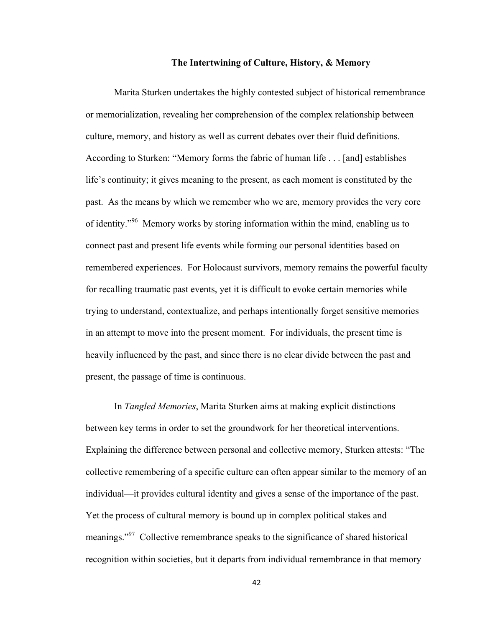## **The Intertwining of Culture, History, & Memory**

Marita Sturken undertakes the highly contested subject of historical remembrance or memorialization, revealing her comprehension of the complex relationship between culture, memory, and history as well as current debates over their fluid definitions. According to Sturken: "Memory forms the fabric of human life . . . [and] establishes life's continuity; it gives meaning to the present, as each moment is constituted by the past. As the means by which we remember who we are, memory provides the very core of identity."96 Memory works by storing information within the mind, enabling us to connect past and present life events while forming our personal identities based on remembered experiences. For Holocaust survivors, memory remains the powerful faculty for recalling traumatic past events, yet it is difficult to evoke certain memories while trying to understand, contextualize, and perhaps intentionally forget sensitive memories in an attempt to move into the present moment. For individuals, the present time is heavily influenced by the past, and since there is no clear divide between the past and present, the passage of time is continuous.

In *Tangled Memories*, Marita Sturken aims at making explicit distinctions between key terms in order to set the groundwork for her theoretical interventions. Explaining the difference between personal and collective memory, Sturken attests: "The collective remembering of a specific culture can often appear similar to the memory of an individual—it provides cultural identity and gives a sense of the importance of the past. Yet the process of cultural memory is bound up in complex political stakes and meanings."<sup>97</sup> Collective remembrance speaks to the significance of shared historical recognition within societies, but it departs from individual remembrance in that memory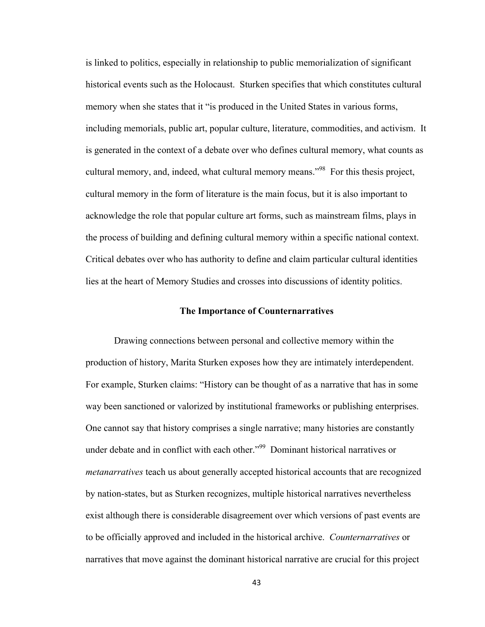is linked to politics, especially in relationship to public memorialization of significant historical events such as the Holocaust. Sturken specifies that which constitutes cultural memory when she states that it "is produced in the United States in various forms, including memorials, public art, popular culture, literature, commodities, and activism. It is generated in the context of a debate over who defines cultural memory, what counts as cultural memory, and, indeed, what cultural memory means."<sup>98</sup> For this thesis project, cultural memory in the form of literature is the main focus, but it is also important to acknowledge the role that popular culture art forms, such as mainstream films, plays in the process of building and defining cultural memory within a specific national context. Critical debates over who has authority to define and claim particular cultural identities lies at the heart of Memory Studies and crosses into discussions of identity politics.

## **The Importance of Counternarratives**

Drawing connections between personal and collective memory within the production of history, Marita Sturken exposes how they are intimately interdependent. For example, Sturken claims: "History can be thought of as a narrative that has in some way been sanctioned or valorized by institutional frameworks or publishing enterprises. One cannot say that history comprises a single narrative; many histories are constantly under debate and in conflict with each other."<sup>99</sup> Dominant historical narratives or *metanarratives* teach us about generally accepted historical accounts that are recognized by nation-states, but as Sturken recognizes, multiple historical narratives nevertheless exist although there is considerable disagreement over which versions of past events are to be officially approved and included in the historical archive. *Counternarratives* or narratives that move against the dominant historical narrative are crucial for this project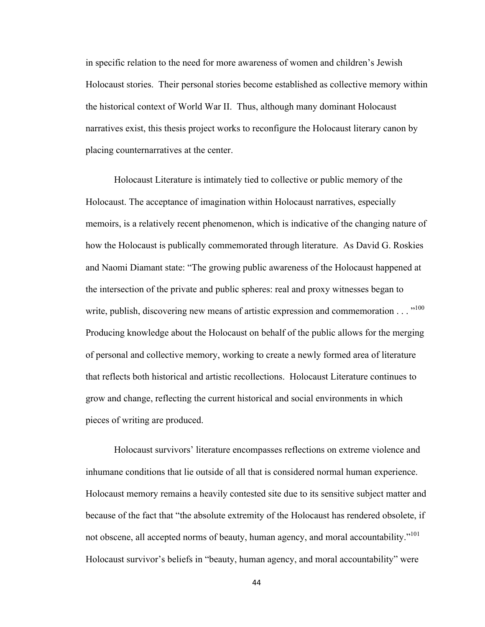in specific relation to the need for more awareness of women and children's Jewish Holocaust stories. Their personal stories become established as collective memory within the historical context of World War II. Thus, although many dominant Holocaust narratives exist, this thesis project works to reconfigure the Holocaust literary canon by placing counternarratives at the center.

Holocaust Literature is intimately tied to collective or public memory of the Holocaust. The acceptance of imagination within Holocaust narratives, especially memoirs, is a relatively recent phenomenon, which is indicative of the changing nature of how the Holocaust is publically commemorated through literature. As David G. Roskies and Naomi Diamant state: "The growing public awareness of the Holocaust happened at the intersection of the private and public spheres: real and proxy witnesses began to write, publish, discovering new means of artistic expression and commemoration . . . "100 Producing knowledge about the Holocaust on behalf of the public allows for the merging of personal and collective memory, working to create a newly formed area of literature that reflects both historical and artistic recollections. Holocaust Literature continues to grow and change, reflecting the current historical and social environments in which pieces of writing are produced.

Holocaust survivors' literature encompasses reflections on extreme violence and inhumane conditions that lie outside of all that is considered normal human experience. Holocaust memory remains a heavily contested site due to its sensitive subject matter and because of the fact that "the absolute extremity of the Holocaust has rendered obsolete, if not obscene, all accepted norms of beauty, human agency, and moral accountability."<sup>101</sup> Holocaust survivor's beliefs in "beauty, human agency, and moral accountability" were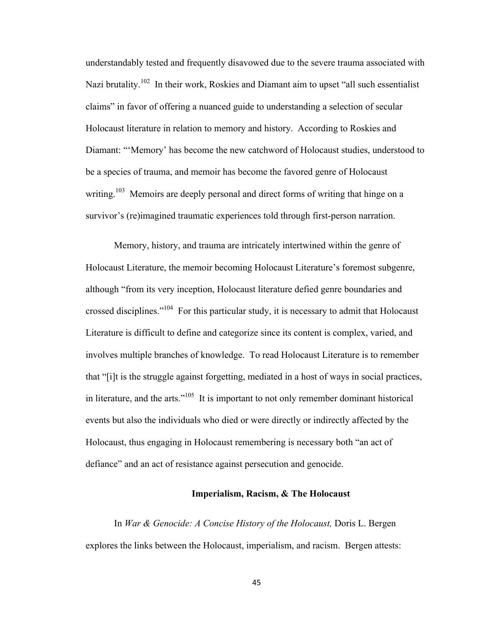understandably tested and frequently disavowed due to the severe trauma associated with Nazi brutality.<sup>102</sup> In their work, Roskies and Diamant aim to upset "all such essentialist claims" in favor of offering a nuanced guide to understanding a selection of secular Holocaust literature in relation to memory and history. According to Roskies and Diamant: "'Memory' has become the new catchword of Holocaust studies, understood to be a species of trauma, and memoir has become the favored genre of Holocaust writing.<sup>103</sup> Memoirs are deeply personal and direct forms of writing that hinge on a survivor's (re)imagined traumatic experiences told through first-person narration.

Memory, history, and trauma are intricately intertwined within the genre of Holocaust Literature, the memoir becoming Holocaust Literature's foremost subgenre, although "from its very inception, Holocaust literature defied genre boundaries and crossed disciplines."104 For this particular study, it is necessary to admit that Holocaust Literature is difficult to define and categorize since its content is complex, varied, and involves multiple branches of knowledge. To read Holocaust Literature is to remember that "[i]t is the struggle against forgetting, mediated in a host of ways in social practices, in literature, and the arts."<sup>105</sup> It is important to not only remember dominant historical events but also the individuals who died or were directly or indirectly affected by the Holocaust, thus engaging in Holocaust remembering is necessary both "an act of defiance" and an act of resistance against persecution and genocide.

# **Imperialism, Racism, & The Holocaust**

In *War & Genocide: A Concise History of the Holocaust,* Doris L. Bergen explores the links between the Holocaust, imperialism, and racism. Bergen attests: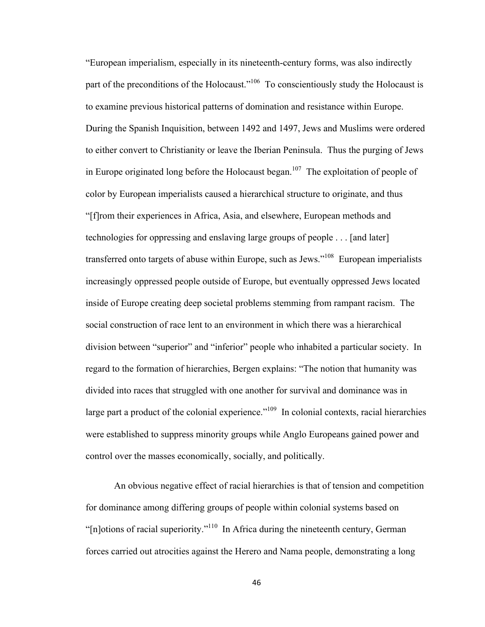"European imperialism, especially in its nineteenth-century forms, was also indirectly part of the preconditions of the Holocaust."<sup>106</sup> To conscientiously study the Holocaust is to examine previous historical patterns of domination and resistance within Europe. During the Spanish Inquisition, between 1492 and 1497, Jews and Muslims were ordered to either convert to Christianity or leave the Iberian Peninsula. Thus the purging of Jews in Europe originated long before the Holocaust began.<sup>107</sup> The exploitation of people of color by European imperialists caused a hierarchical structure to originate, and thus "[f]rom their experiences in Africa, Asia, and elsewhere, European methods and technologies for oppressing and enslaving large groups of people . . . [and later] transferred onto targets of abuse within Europe, such as Jews."<sup>108</sup> European imperialists increasingly oppressed people outside of Europe, but eventually oppressed Jews located inside of Europe creating deep societal problems stemming from rampant racism. The social construction of race lent to an environment in which there was a hierarchical division between "superior" and "inferior" people who inhabited a particular society. In regard to the formation of hierarchies, Bergen explains: "The notion that humanity was divided into races that struggled with one another for survival and dominance was in large part a product of the colonial experience."<sup>109</sup> In colonial contexts, racial hierarchies were established to suppress minority groups while Anglo Europeans gained power and control over the masses economically, socially, and politically.

An obvious negative effect of racial hierarchies is that of tension and competition for dominance among differing groups of people within colonial systems based on " $[n]$ otions of racial superiority."<sup>110</sup> In Africa during the nineteenth century, German forces carried out atrocities against the Herero and Nama people, demonstrating a long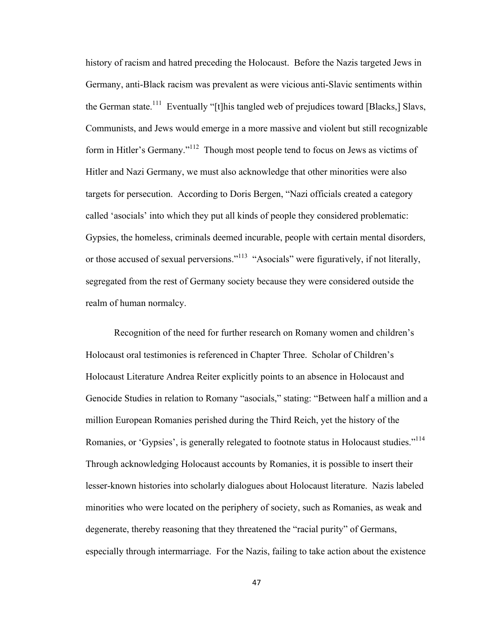history of racism and hatred preceding the Holocaust. Before the Nazis targeted Jews in Germany, anti-Black racism was prevalent as were vicious anti-Slavic sentiments within the German state.<sup>111</sup> Eventually "[t]his tangled web of prejudices toward [Blacks,] Slavs, Communists, and Jews would emerge in a more massive and violent but still recognizable form in Hitler's Germany."112 Though most people tend to focus on Jews as victims of Hitler and Nazi Germany, we must also acknowledge that other minorities were also targets for persecution. According to Doris Bergen, "Nazi officials created a category called 'asocials' into which they put all kinds of people they considered problematic: Gypsies, the homeless, criminals deemed incurable, people with certain mental disorders, or those accused of sexual perversions."<sup>113</sup> "Asocials" were figuratively, if not literally, segregated from the rest of Germany society because they were considered outside the realm of human normalcy.

Recognition of the need for further research on Romany women and children's Holocaust oral testimonies is referenced in Chapter Three. Scholar of Children's Holocaust Literature Andrea Reiter explicitly points to an absence in Holocaust and Genocide Studies in relation to Romany "asocials," stating: "Between half a million and a million European Romanies perished during the Third Reich, yet the history of the Romanies, or 'Gypsies', is generally relegated to footnote status in Holocaust studies."<sup>114</sup> Through acknowledging Holocaust accounts by Romanies, it is possible to insert their lesser-known histories into scholarly dialogues about Holocaust literature. Nazis labeled minorities who were located on the periphery of society, such as Romanies, as weak and degenerate, thereby reasoning that they threatened the "racial purity" of Germans, especially through intermarriage. For the Nazis, failing to take action about the existence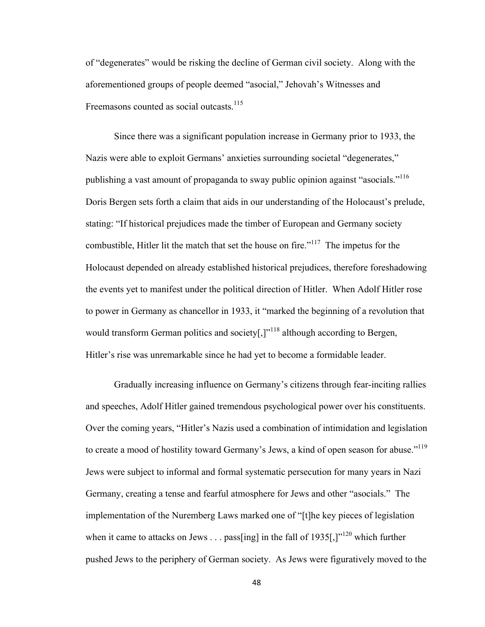of "degenerates" would be risking the decline of German civil society. Along with the aforementioned groups of people deemed "asocial," Jehovah's Witnesses and Freemasons counted as social outcasts.<sup>115</sup>

Since there was a significant population increase in Germany prior to 1933, the Nazis were able to exploit Germans' anxieties surrounding societal "degenerates," publishing a vast amount of propaganda to sway public opinion against "asocials."116 Doris Bergen sets forth a claim that aids in our understanding of the Holocaust's prelude, stating: "If historical prejudices made the timber of European and Germany society combustible, Hitler lit the match that set the house on fire."117 The impetus for the Holocaust depended on already established historical prejudices, therefore foreshadowing the events yet to manifest under the political direction of Hitler. When Adolf Hitler rose to power in Germany as chancellor in 1933, it "marked the beginning of a revolution that would transform German politics and society[ $,$ ]<sup> $,$ 118</sup> although according to Bergen, Hitler's rise was unremarkable since he had yet to become a formidable leader.

Gradually increasing influence on Germany's citizens through fear-inciting rallies and speeches, Adolf Hitler gained tremendous psychological power over his constituents. Over the coming years, "Hitler's Nazis used a combination of intimidation and legislation to create a mood of hostility toward Germany's Jews, a kind of open season for abuse."<sup>119</sup> Jews were subject to informal and formal systematic persecution for many years in Nazi Germany, creating a tense and fearful atmosphere for Jews and other "asocials." The implementation of the Nuremberg Laws marked one of "[t]he key pieces of legislation when it came to attacks on Jews  $\dots$  pass [ing] in the fall of 1935[,]"<sup>120</sup> which further pushed Jews to the periphery of German society. As Jews were figuratively moved to the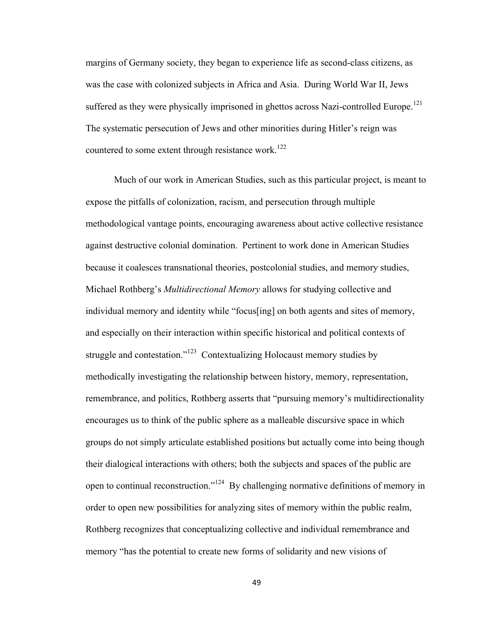margins of Germany society, they began to experience life as second-class citizens, as was the case with colonized subjects in Africa and Asia. During World War II, Jews suffered as they were physically imprisoned in ghettos across Nazi-controlled Europe.<sup>121</sup> The systematic persecution of Jews and other minorities during Hitler's reign was countered to some extent through resistance work.<sup>122</sup>

Much of our work in American Studies, such as this particular project, is meant to expose the pitfalls of colonization, racism, and persecution through multiple methodological vantage points, encouraging awareness about active collective resistance against destructive colonial domination.Pertinent to work done in American Studies because it coalesces transnational theories, postcolonial studies, and memory studies, Michael Rothberg's *Multidirectional Memory* allows for studying collective and individual memory and identity while "focus[ing] on both agents and sites of memory, and especially on their interaction within specific historical and political contexts of struggle and contestation."<sup>123</sup> Contextualizing Holocaust memory studies by methodically investigating the relationship between history, memory, representation, remembrance, and politics, Rothberg asserts that "pursuing memory's multidirectionality encourages us to think of the public sphere as a malleable discursive space in which groups do not simply articulate established positions but actually come into being though their dialogical interactions with others; both the subjects and spaces of the public are open to continual reconstruction."124 By challenging normative definitions of memory in order to open new possibilities for analyzing sites of memory within the public realm, Rothberg recognizes that conceptualizing collective and individual remembrance and memory "has the potential to create new forms of solidarity and new visions of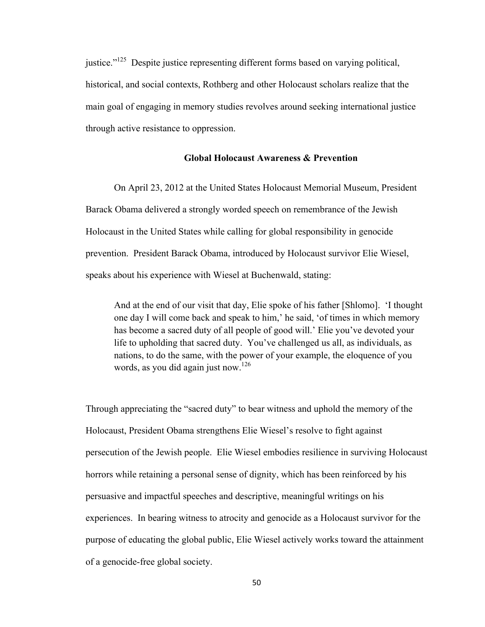justice."125 Despite justice representing different forms based on varying political, historical, and social contexts, Rothberg and other Holocaust scholars realize that the main goal of engaging in memory studies revolves around seeking international justice through active resistance to oppression.

# **Global Holocaust Awareness & Prevention**

On April 23, 2012 at the United States Holocaust Memorial Museum, President Barack Obama delivered a strongly worded speech on remembrance of the Jewish Holocaust in the United States while calling for global responsibility in genocide prevention. President Barack Obama, introduced by Holocaust survivor Elie Wiesel, speaks about his experience with Wiesel at Buchenwald, stating:

And at the end of our visit that day, Elie spoke of his father [Shlomo]. 'I thought one day I will come back and speak to him,' he said, 'of times in which memory has become a sacred duty of all people of good will.' Elie you've devoted your life to upholding that sacred duty. You've challenged us all, as individuals, as nations, to do the same, with the power of your example, the eloquence of you words, as you did again just now.<sup>126</sup>

Through appreciating the "sacred duty" to bear witness and uphold the memory of the Holocaust, President Obama strengthens Elie Wiesel's resolve to fight against persecution of the Jewish people. Elie Wiesel embodies resilience in surviving Holocaust horrors while retaining a personal sense of dignity, which has been reinforced by his persuasive and impactful speeches and descriptive, meaningful writings on his experiences. In bearing witness to atrocity and genocide as a Holocaust survivor for the purpose of educating the global public, Elie Wiesel actively works toward the attainment of a genocide-free global society.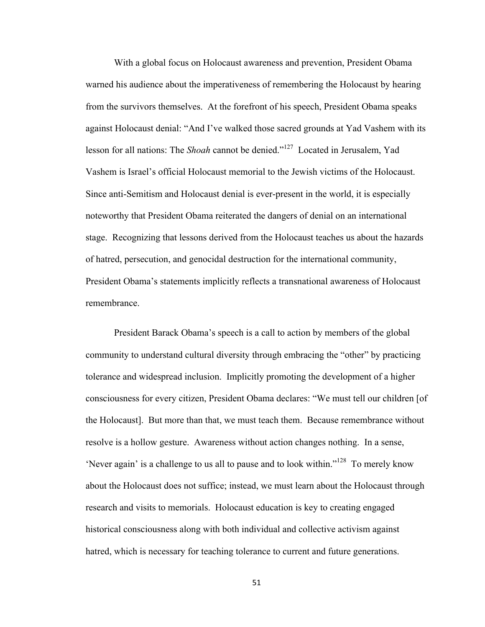With a global focus on Holocaust awareness and prevention, President Obama warned his audience about the imperativeness of remembering the Holocaust by hearing from the survivors themselves. At the forefront of his speech, President Obama speaks against Holocaust denial: "And I've walked those sacred grounds at Yad Vashem with its lesson for all nations: The *Shoah* cannot be denied."127 Located in Jerusalem, Yad Vashem is Israel's official Holocaust memorial to the Jewish victims of the Holocaust. Since anti-Semitism and Holocaust denial is ever-present in the world, it is especially noteworthy that President Obama reiterated the dangers of denial on an international stage. Recognizing that lessons derived from the Holocaust teaches us about the hazards of hatred, persecution, and genocidal destruction for the international community, President Obama's statements implicitly reflects a transnational awareness of Holocaust remembrance.

President Barack Obama's speech is a call to action by members of the global community to understand cultural diversity through embracing the "other" by practicing tolerance and widespread inclusion. Implicitly promoting the development of a higher consciousness for every citizen, President Obama declares: "We must tell our children [of the Holocaust]. But more than that, we must teach them. Because remembrance without resolve is a hollow gesture. Awareness without action changes nothing. In a sense, 'Never again' is a challenge to us all to pause and to look within."<sup>128</sup> To merely know about the Holocaust does not suffice; instead, we must learn about the Holocaust through research and visits to memorials. Holocaust education is key to creating engaged historical consciousness along with both individual and collective activism against hatred, which is necessary for teaching tolerance to current and future generations.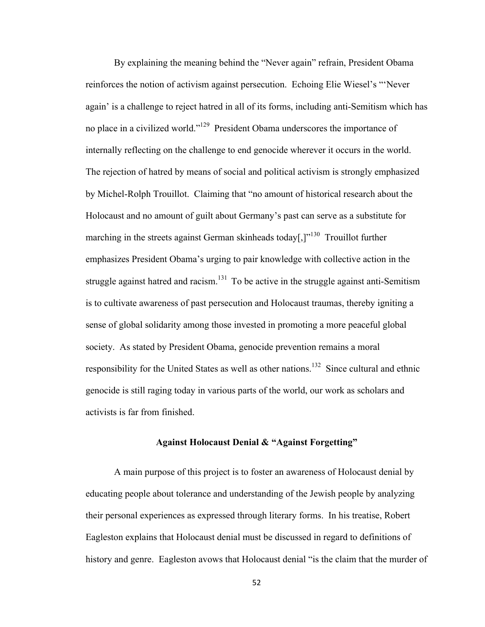By explaining the meaning behind the "Never again" refrain, President Obama reinforces the notion of activism against persecution. Echoing Elie Wiesel's "'Never again' is a challenge to reject hatred in all of its forms, including anti-Semitism which has no place in a civilized world."129 President Obama underscores the importance of internally reflecting on the challenge to end genocide wherever it occurs in the world. The rejection of hatred by means of social and political activism is strongly emphasized by Michel-Rolph Trouillot. Claiming that "no amount of historical research about the Holocaust and no amount of guilt about Germany's past can serve as a substitute for marching in the streets against German skinheads today[ $\cdot$ ]<sup>130</sup> Trouillot further emphasizes President Obama's urging to pair knowledge with collective action in the struggle against hatred and racism.<sup>131</sup> To be active in the struggle against anti-Semitism is to cultivate awareness of past persecution and Holocaust traumas, thereby igniting a sense of global solidarity among those invested in promoting a more peaceful global society. As stated by President Obama, genocide prevention remains a moral responsibility for the United States as well as other nations.<sup>132</sup> Since cultural and ethnic genocide is still raging today in various parts of the world, our work as scholars and activists is far from finished.

# **Against Holocaust Denial & "Against Forgetting"**

A main purpose of this project is to foster an awareness of Holocaust denial by educating people about tolerance and understanding of the Jewish people by analyzing their personal experiences as expressed through literary forms. In his treatise, Robert Eagleston explains that Holocaust denial must be discussed in regard to definitions of history and genre. Eagleston avows that Holocaust denial "is the claim that the murder of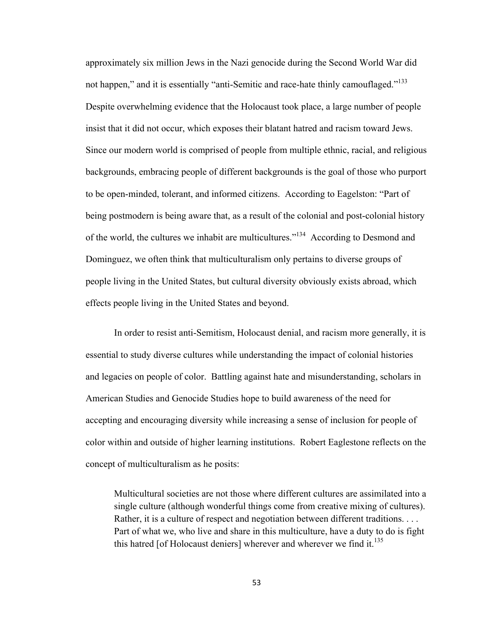approximately six million Jews in the Nazi genocide during the Second World War did not happen," and it is essentially "anti-Semitic and race-hate thinly camouflaged."<sup>133</sup> Despite overwhelming evidence that the Holocaust took place, a large number of people insist that it did not occur, which exposes their blatant hatred and racism toward Jews. Since our modern world is comprised of people from multiple ethnic, racial, and religious backgrounds, embracing people of different backgrounds is the goal of those who purport to be open-minded, tolerant, and informed citizens. According to Eagelston: "Part of being postmodern is being aware that, as a result of the colonial and post-colonial history of the world, the cultures we inhabit are multicultures."<sup>134</sup> According to Desmond and Dominguez, we often think that multiculturalism only pertains to diverse groups of people living in the United States, but cultural diversity obviously exists abroad, which effects people living in the United States and beyond.

In order to resist anti-Semitism, Holocaust denial, and racism more generally, it is essential to study diverse cultures while understanding the impact of colonial histories and legacies on people of color. Battling against hate and misunderstanding, scholars in American Studies and Genocide Studies hope to build awareness of the need for accepting and encouraging diversity while increasing a sense of inclusion for people of color within and outside of higher learning institutions. Robert Eaglestone reflects on the concept of multiculturalism as he posits:

Multicultural societies are not those where different cultures are assimilated into a single culture (although wonderful things come from creative mixing of cultures). Rather, it is a culture of respect and negotiation between different traditions. . . . Part of what we, who live and share in this multiculture, have a duty to do is fight this hatred [of Holocaust deniers] wherever and wherever we find it. $135$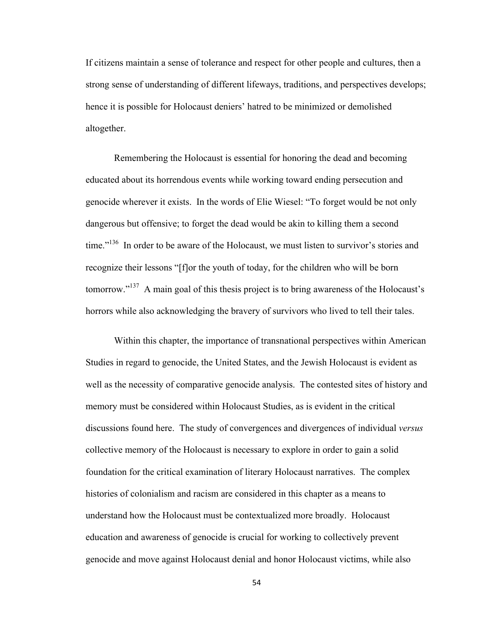If citizens maintain a sense of tolerance and respect for other people and cultures, then a strong sense of understanding of different lifeways, traditions, and perspectives develops; hence it is possible for Holocaust deniers' hatred to be minimized or demolished altogether.

Remembering the Holocaust is essential for honoring the dead and becoming educated about its horrendous events while working toward ending persecution and genocide wherever it exists. In the words of Elie Wiesel: "To forget would be not only dangerous but offensive; to forget the dead would be akin to killing them a second time."<sup>136</sup> In order to be aware of the Holocaust, we must listen to survivor's stories and recognize their lessons "[f]or the youth of today, for the children who will be born tomorrow."137 A main goal of this thesis project is to bring awareness of the Holocaust's horrors while also acknowledging the bravery of survivors who lived to tell their tales.

Within this chapter, the importance of transnational perspectives within American Studies in regard to genocide, the United States, and the Jewish Holocaust is evident as well as the necessity of comparative genocide analysis. The contested sites of history and memory must be considered within Holocaust Studies, as is evident in the critical discussions found here. The study of convergences and divergences of individual *versus*  collective memory of the Holocaust is necessary to explore in order to gain a solid foundation for the critical examination of literary Holocaust narratives. The complex histories of colonialism and racism are considered in this chapter as a means to understand how the Holocaust must be contextualized more broadly. Holocaust education and awareness of genocide is crucial for working to collectively prevent genocide and move against Holocaust denial and honor Holocaust victims, while also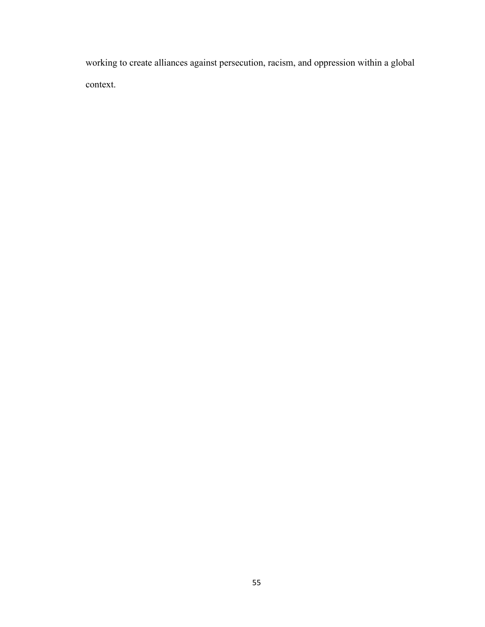working to create alliances against persecution, racism, and oppression within a global context.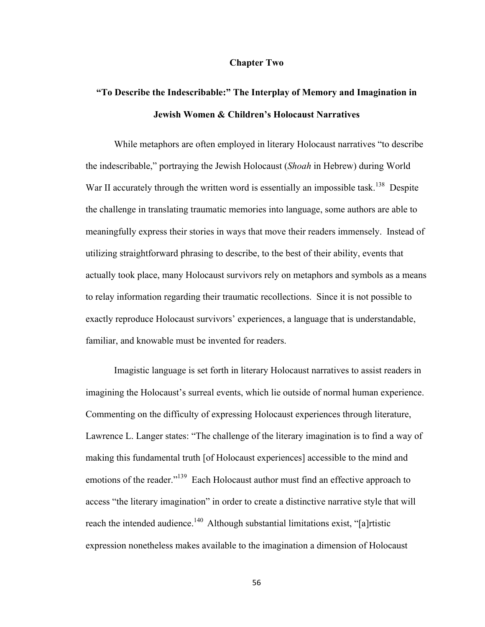#### **Chapter Two**

# **"To Describe the Indescribable:" The Interplay of Memory and Imagination in Jewish Women & Children's Holocaust Narratives**

While metaphors are often employed in literary Holocaust narratives "to describe the indescribable," portraying the Jewish Holocaust (*Shoah* in Hebrew) during World War II accurately through the written word is essentially an impossible task.<sup>138</sup> Despite the challenge in translating traumatic memories into language, some authors are able to meaningfully express their stories in ways that move their readers immensely. Instead of utilizing straightforward phrasing to describe, to the best of their ability, events that actually took place, many Holocaust survivors rely on metaphors and symbols as a means to relay information regarding their traumatic recollections. Since it is not possible to exactly reproduce Holocaust survivors' experiences, a language that is understandable, familiar, and knowable must be invented for readers.

Imagistic language is set forth in literary Holocaust narratives to assist readers in imagining the Holocaust's surreal events, which lie outside of normal human experience. Commenting on the difficulty of expressing Holocaust experiences through literature, Lawrence L. Langer states: "The challenge of the literary imagination is to find a way of making this fundamental truth [of Holocaust experiences] accessible to the mind and emotions of the reader."<sup>139</sup> Each Holocaust author must find an effective approach to access "the literary imagination" in order to create a distinctive narrative style that will reach the intended audience.<sup>140</sup> Although substantial limitations exist, "[a]rtistic expression nonetheless makes available to the imagination a dimension of Holocaust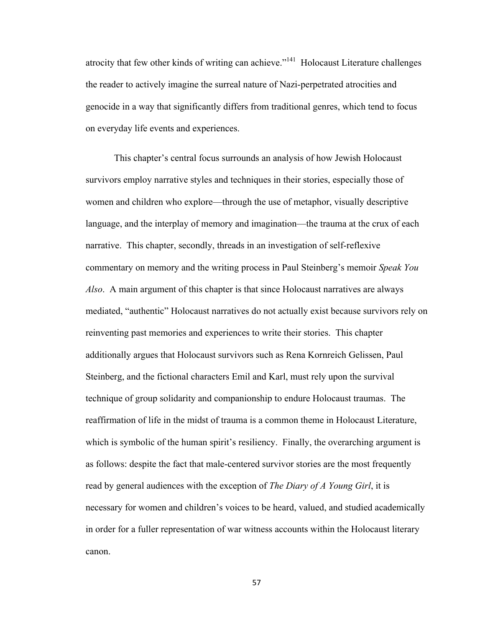atrocity that few other kinds of writing can achieve."<sup>141</sup> Holocaust Literature challenges the reader to actively imagine the surreal nature of Nazi-perpetrated atrocities and genocide in a way that significantly differs from traditional genres, which tend to focus on everyday life events and experiences.

This chapter's central focus surrounds an analysis of how Jewish Holocaust survivors employ narrative styles and techniques in their stories, especially those of women and children who explore—through the use of metaphor, visually descriptive language, and the interplay of memory and imagination—the trauma at the crux of each narrative. This chapter, secondly, threads in an investigation of self-reflexive commentary on memory and the writing process in Paul Steinberg's memoir *Speak You Also*. A main argument of this chapter is that since Holocaust narratives are always mediated, "authentic" Holocaust narratives do not actually exist because survivors rely on reinventing past memories and experiences to write their stories. This chapter additionally argues that Holocaust survivors such as Rena Kornreich Gelissen, Paul Steinberg, and the fictional characters Emil and Karl, must rely upon the survival technique of group solidarity and companionship to endure Holocaust traumas. The reaffirmation of life in the midst of trauma is a common theme in Holocaust Literature, which is symbolic of the human spirit's resiliency. Finally, the overarching argument is as follows: despite the fact that male-centered survivor stories are the most frequently read by general audiences with the exception of *The Diary of A Young Girl*, it is necessary for women and children's voices to be heard, valued, and studied academically in order for a fuller representation of war witness accounts within the Holocaust literary canon.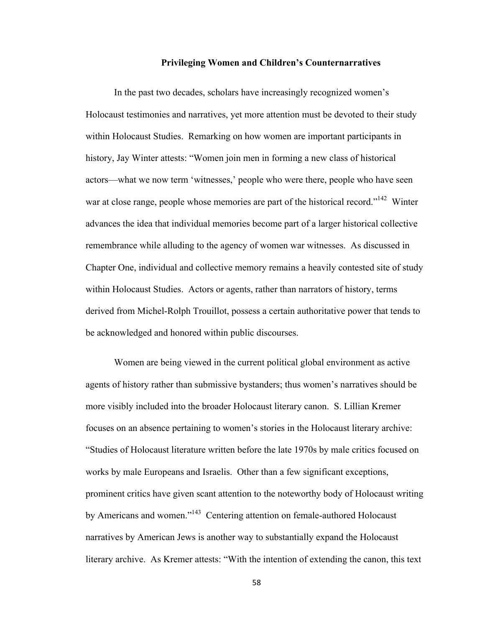#### **Privileging Women and Children's Counternarratives**

In the past two decades, scholars have increasingly recognized women's Holocaust testimonies and narratives, yet more attention must be devoted to their study within Holocaust Studies. Remarking on how women are important participants in history, Jay Winter attests: "Women join men in forming a new class of historical actors—what we now term 'witnesses,' people who were there, people who have seen war at close range, people whose memories are part of the historical record."<sup>142</sup> Winter advances the idea that individual memories become part of a larger historical collective remembrance while alluding to the agency of women war witnesses. As discussed in Chapter One, individual and collective memory remains a heavily contested site of study within Holocaust Studies. Actors or agents, rather than narrators of history, terms derived from Michel-Rolph Trouillot, possess a certain authoritative power that tends to be acknowledged and honored within public discourses.

Women are being viewed in the current political global environment as active agents of history rather than submissive bystanders; thus women's narratives should be more visibly included into the broader Holocaust literary canon. S. Lillian Kremer focuses on an absence pertaining to women's stories in the Holocaust literary archive: "Studies of Holocaust literature written before the late 1970s by male critics focused on works by male Europeans and Israelis. Other than a few significant exceptions, prominent critics have given scant attention to the noteworthy body of Holocaust writing by Americans and women."<sup>143</sup> Centering attention on female-authored Holocaust narratives by American Jews is another way to substantially expand the Holocaust literary archive. As Kremer attests: "With the intention of extending the canon, this text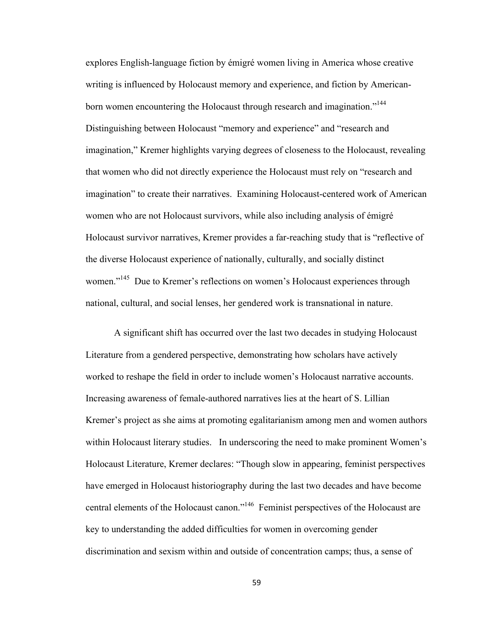explores English-language fiction by émigré women living in America whose creative writing is influenced by Holocaust memory and experience, and fiction by Americanborn women encountering the Holocaust through research and imagination."<sup>144</sup> Distinguishing between Holocaust "memory and experience" and "research and imagination," Kremer highlights varying degrees of closeness to the Holocaust, revealing that women who did not directly experience the Holocaust must rely on "research and imagination" to create their narratives. Examining Holocaust-centered work of American women who are not Holocaust survivors, while also including analysis of émigré Holocaust survivor narratives, Kremer provides a far-reaching study that is "reflective of the diverse Holocaust experience of nationally, culturally, and socially distinct women."<sup>145</sup> Due to Kremer's reflections on women's Holocaust experiences through national, cultural, and social lenses, her gendered work is transnational in nature.

A significant shift has occurred over the last two decades in studying Holocaust Literature from a gendered perspective, demonstrating how scholars have actively worked to reshape the field in order to include women's Holocaust narrative accounts. Increasing awareness of female-authored narratives lies at the heart of S. Lillian Kremer's project as she aims at promoting egalitarianism among men and women authors within Holocaust literary studies. In underscoring the need to make prominent Women's Holocaust Literature, Kremer declares: "Though slow in appearing, feminist perspectives have emerged in Holocaust historiography during the last two decades and have become central elements of the Holocaust canon."146 Feminist perspectives of the Holocaust are key to understanding the added difficulties for women in overcoming gender discrimination and sexism within and outside of concentration camps; thus, a sense of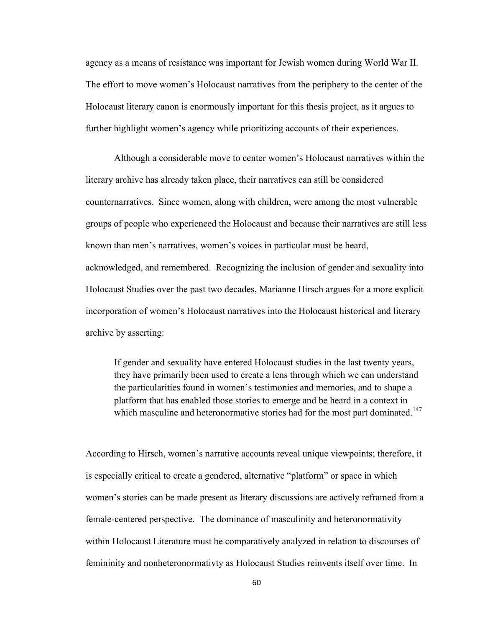agency as a means of resistance was important for Jewish women during World War II. The effort to move women's Holocaust narratives from the periphery to the center of the Holocaust literary canon is enormously important for this thesis project, as it argues to further highlight women's agency while prioritizing accounts of their experiences.

Although a considerable move to center women's Holocaust narratives within the literary archive has already taken place, their narratives can still be considered counternarratives. Since women, along with children, were among the most vulnerable groups of people who experienced the Holocaust and because their narratives are still less known than men's narratives, women's voices in particular must be heard, acknowledged, and remembered. Recognizing the inclusion of gender and sexuality into Holocaust Studies over the past two decades, Marianne Hirsch argues for a more explicit incorporation of women's Holocaust narratives into the Holocaust historical and literary archive by asserting:

If gender and sexuality have entered Holocaust studies in the last twenty years, they have primarily been used to create a lens through which we can understand the particularities found in women's testimonies and memories, and to shape a platform that has enabled those stories to emerge and be heard in a context in which masculine and heteronormative stories had for the most part dominated.<sup>147</sup>

According to Hirsch, women's narrative accounts reveal unique viewpoints; therefore, it is especially critical to create a gendered, alternative "platform" or space in which women's stories can be made present as literary discussions are actively reframed from a female-centered perspective. The dominance of masculinity and heteronormativity within Holocaust Literature must be comparatively analyzed in relation to discourses of femininity and nonheteronormativty as Holocaust Studies reinvents itself over time. In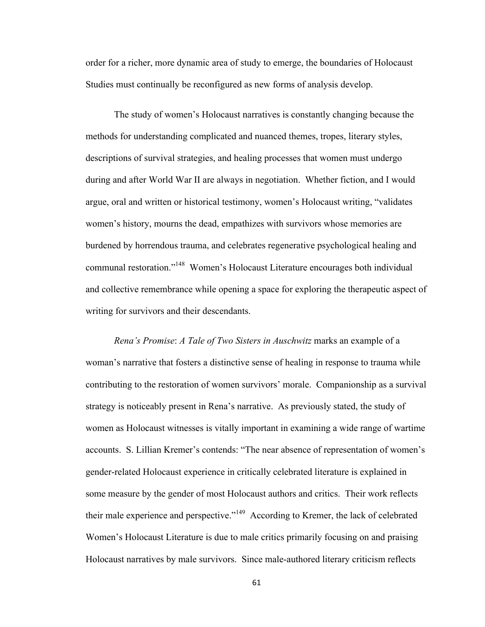order for a richer, more dynamic area of study to emerge, the boundaries of Holocaust Studies must continually be reconfigured as new forms of analysis develop.

The study of women's Holocaust narratives is constantly changing because the methods for understanding complicated and nuanced themes, tropes, literary styles, descriptions of survival strategies, and healing processes that women must undergo during and after World War II are always in negotiation. Whether fiction, and I would argue, oral and written or historical testimony, women's Holocaust writing, "validates women's history, mourns the dead, empathizes with survivors whose memories are burdened by horrendous trauma, and celebrates regenerative psychological healing and communal restoration."148 Women's Holocaust Literature encourages both individual and collective remembrance while opening a space for exploring the therapeutic aspect of writing for survivors and their descendants.

*Rena's Promise*: *A Tale of Two Sisters in Auschwitz* marks an example of a woman's narrative that fosters a distinctive sense of healing in response to trauma while contributing to the restoration of women survivors' morale. Companionship as a survival strategy is noticeably present in Rena's narrative. As previously stated, the study of women as Holocaust witnesses is vitally important in examining a wide range of wartime accounts. S. Lillian Kremer's contends: "The near absence of representation of women's gender-related Holocaust experience in critically celebrated literature is explained in some measure by the gender of most Holocaust authors and critics. Their work reflects their male experience and perspective."149 According to Kremer, the lack of celebrated Women's Holocaust Literature is due to male critics primarily focusing on and praising Holocaust narratives by male survivors. Since male-authored literary criticism reflects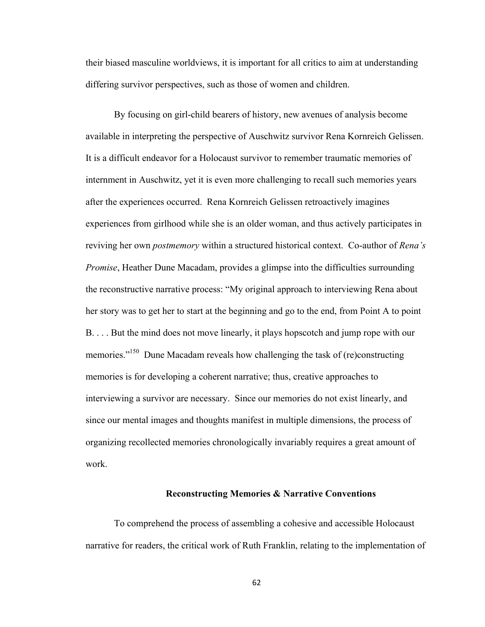their biased masculine worldviews, it is important for all critics to aim at understanding differing survivor perspectives, such as those of women and children.

By focusing on girl-child bearers of history, new avenues of analysis become available in interpreting the perspective of Auschwitz survivor Rena Kornreich Gelissen. It is a difficult endeavor for a Holocaust survivor to remember traumatic memories of internment in Auschwitz, yet it is even more challenging to recall such memories years after the experiences occurred. Rena Kornreich Gelissen retroactively imagines experiences from girlhood while she is an older woman, and thus actively participates in reviving her own *postmemory* within a structured historical context. Co-author of *Rena's Promise*, Heather Dune Macadam, provides a glimpse into the difficulties surrounding the reconstructive narrative process: "My original approach to interviewing Rena about her story was to get her to start at the beginning and go to the end, from Point A to point B. . . . But the mind does not move linearly, it plays hopscotch and jump rope with our memories."<sup>150</sup> Dune Macadam reveals how challenging the task of (re)constructing memories is for developing a coherent narrative; thus, creative approaches to interviewing a survivor are necessary. Since our memories do not exist linearly, and since our mental images and thoughts manifest in multiple dimensions, the process of organizing recollected memories chronologically invariably requires a great amount of work.

# **Reconstructing Memories & Narrative Conventions**

To comprehend the process of assembling a cohesive and accessible Holocaust narrative for readers, the critical work of Ruth Franklin, relating to the implementation of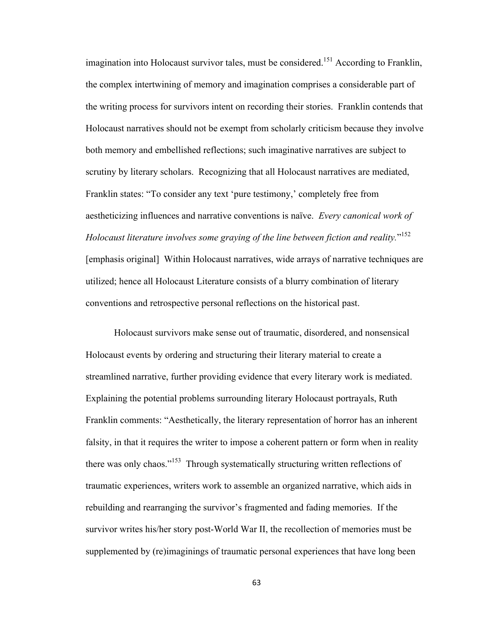imagination into Holocaust survivor tales, must be considered.<sup>151</sup> According to Franklin, the complex intertwining of memory and imagination comprises a considerable part of the writing process for survivors intent on recording their stories. Franklin contends that Holocaust narratives should not be exempt from scholarly criticism because they involve both memory and embellished reflections; such imaginative narratives are subject to scrutiny by literary scholars. Recognizing that all Holocaust narratives are mediated, Franklin states: "To consider any text 'pure testimony,' completely free from aestheticizing influences and narrative conventions is naïve. *Every canonical work of Holocaust literature involves some graying of the line between fiction and reality.*" 152 [emphasis original] Within Holocaust narratives, wide arrays of narrative techniques are utilized; hence all Holocaust Literature consists of a blurry combination of literary conventions and retrospective personal reflections on the historical past.

Holocaust survivors make sense out of traumatic, disordered, and nonsensical Holocaust events by ordering and structuring their literary material to create a streamlined narrative, further providing evidence that every literary work is mediated. Explaining the potential problems surrounding literary Holocaust portrayals, Ruth Franklin comments: "Aesthetically, the literary representation of horror has an inherent falsity, in that it requires the writer to impose a coherent pattern or form when in reality there was only chaos."153 Through systematically structuring written reflections of traumatic experiences, writers work to assemble an organized narrative, which aids in rebuilding and rearranging the survivor's fragmented and fading memories. If the survivor writes his/her story post-World War II, the recollection of memories must be supplemented by (re)imaginings of traumatic personal experiences that have long been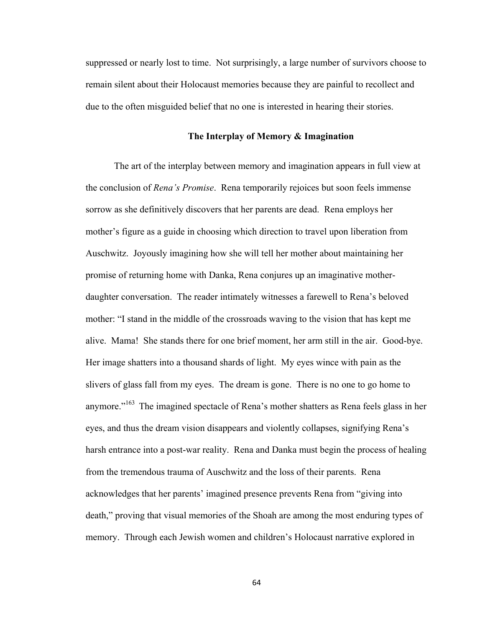suppressed or nearly lost to time. Not surprisingly, a large number of survivors choose to remain silent about their Holocaust memories because they are painful to recollect and due to the often misguided belief that no one is interested in hearing their stories.

## **The Interplay of Memory & Imagination**

The art of the interplay between memory and imagination appears in full view at the conclusion of *Rena's Promise*. Rena temporarily rejoices but soon feels immense sorrow as she definitively discovers that her parents are dead. Rena employs her mother's figure as a guide in choosing which direction to travel upon liberation from Auschwitz. Joyously imagining how she will tell her mother about maintaining her promise of returning home with Danka, Rena conjures up an imaginative motherdaughter conversation. The reader intimately witnesses a farewell to Rena's beloved mother: "I stand in the middle of the crossroads waving to the vision that has kept me alive. Mama! She stands there for one brief moment, her arm still in the air. Good-bye. Her image shatters into a thousand shards of light. My eyes wince with pain as the slivers of glass fall from my eyes. The dream is gone. There is no one to go home to anymore."<sup>163</sup> The imagined spectacle of Rena's mother shatters as Rena feels glass in her eyes, and thus the dream vision disappears and violently collapses, signifying Rena's harsh entrance into a post-war reality. Rena and Danka must begin the process of healing from the tremendous trauma of Auschwitz and the loss of their parents. Rena acknowledges that her parents' imagined presence prevents Rena from "giving into death," proving that visual memories of the Shoah are among the most enduring types of memory. Through each Jewish women and children's Holocaust narrative explored in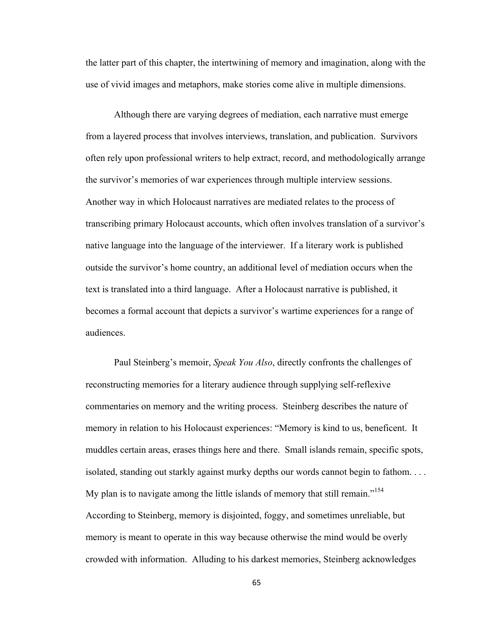the latter part of this chapter, the intertwining of memory and imagination, along with the use of vivid images and metaphors, make stories come alive in multiple dimensions.

Although there are varying degrees of mediation, each narrative must emerge from a layered process that involves interviews, translation, and publication. Survivors often rely upon professional writers to help extract, record, and methodologically arrange the survivor's memories of war experiences through multiple interview sessions. Another way in which Holocaust narratives are mediated relates to the process of transcribing primary Holocaust accounts, which often involves translation of a survivor's native language into the language of the interviewer. If a literary work is published outside the survivor's home country, an additional level of mediation occurs when the text is translated into a third language. After a Holocaust narrative is published, it becomes a formal account that depicts a survivor's wartime experiences for a range of audiences.

Paul Steinberg's memoir, *Speak You Also*, directly confronts the challenges of reconstructing memories for a literary audience through supplying self-reflexive commentaries on memory and the writing process. Steinberg describes the nature of memory in relation to his Holocaust experiences: "Memory is kind to us, beneficent. It muddles certain areas, erases things here and there. Small islands remain, specific spots, isolated, standing out starkly against murky depths our words cannot begin to fathom. . . . My plan is to navigate among the little islands of memory that still remain."<sup>154</sup> According to Steinberg, memory is disjointed, foggy, and sometimes unreliable, but memory is meant to operate in this way because otherwise the mind would be overly crowded with information. Alluding to his darkest memories, Steinberg acknowledges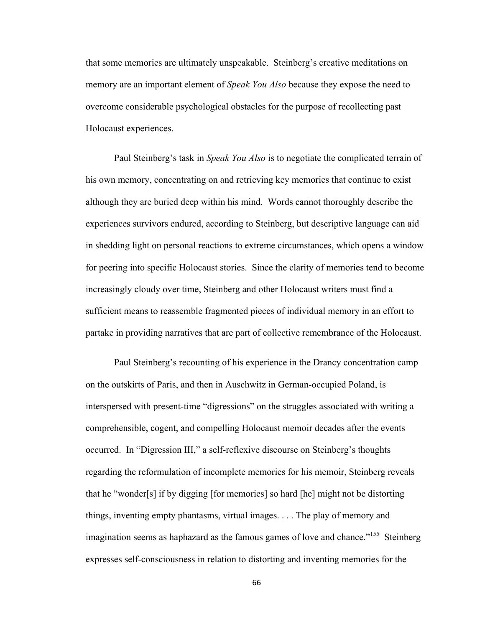that some memories are ultimately unspeakable. Steinberg's creative meditations on memory are an important element of *Speak You Also* because they expose the need to overcome considerable psychological obstacles for the purpose of recollecting past Holocaust experiences.

Paul Steinberg's task in *Speak You Also* is to negotiate the complicated terrain of his own memory, concentrating on and retrieving key memories that continue to exist although they are buried deep within his mind. Words cannot thoroughly describe the experiences survivors endured, according to Steinberg, but descriptive language can aid in shedding light on personal reactions to extreme circumstances, which opens a window for peering into specific Holocaust stories. Since the clarity of memories tend to become increasingly cloudy over time, Steinberg and other Holocaust writers must find a sufficient means to reassemble fragmented pieces of individual memory in an effort to partake in providing narratives that are part of collective remembrance of the Holocaust.

Paul Steinberg's recounting of his experience in the Drancy concentration camp on the outskirts of Paris, and then in Auschwitz in German-occupied Poland, is interspersed with present-time "digressions" on the struggles associated with writing a comprehensible, cogent, and compelling Holocaust memoir decades after the events occurred. In "Digression III," a self-reflexive discourse on Steinberg's thoughts regarding the reformulation of incomplete memories for his memoir, Steinberg reveals that he "wonder[s] if by digging [for memories] so hard [he] might not be distorting things, inventing empty phantasms, virtual images. . . . The play of memory and imagination seems as haphazard as the famous games of love and chance."<sup>155</sup> Steinberg expresses self-consciousness in relation to distorting and inventing memories for the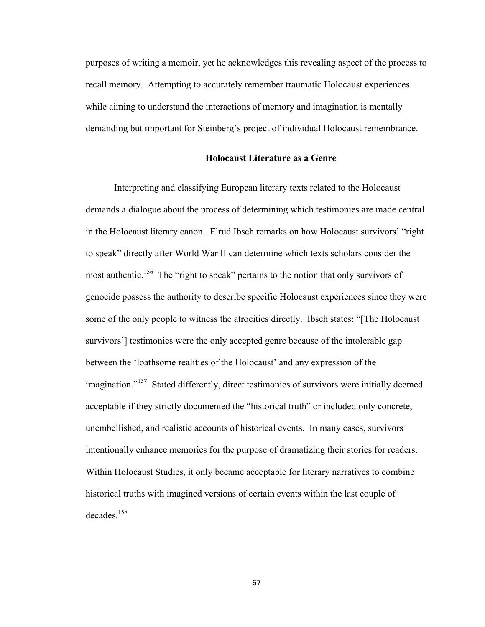purposes of writing a memoir, yet he acknowledges this revealing aspect of the process to recall memory. Attempting to accurately remember traumatic Holocaust experiences while aiming to understand the interactions of memory and imagination is mentally demanding but important for Steinberg's project of individual Holocaust remembrance.

# **Holocaust Literature as a Genre**

Interpreting and classifying European literary texts related to the Holocaust demands a dialogue about the process of determining which testimonies are made central in the Holocaust literary canon. Elrud Ibsch remarks on how Holocaust survivors' "right to speak" directly after World War II can determine which texts scholars consider the most authentic.<sup>156</sup> The "right to speak" pertains to the notion that only survivors of genocide possess the authority to describe specific Holocaust experiences since they were some of the only people to witness the atrocities directly. Ibsch states: "[The Holocaust survivors'] testimonies were the only accepted genre because of the intolerable gap between the 'loathsome realities of the Holocaust' and any expression of the imagination."<sup>157</sup> Stated differently, direct testimonies of survivors were initially deemed acceptable if they strictly documented the "historical truth" or included only concrete, unembellished, and realistic accounts of historical events. In many cases, survivors intentionally enhance memories for the purpose of dramatizing their stories for readers. Within Holocaust Studies, it only became acceptable for literary narratives to combine historical truths with imagined versions of certain events within the last couple of  $decades$ <sup>158</sup>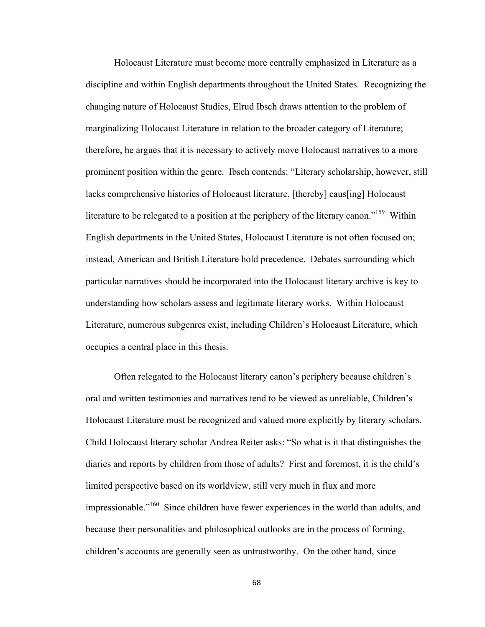Holocaust Literature must become more centrally emphasized in Literature as a discipline and within English departments throughout the United States. Recognizing the changing nature of Holocaust Studies, Elrud Ibsch draws attention to the problem of marginalizing Holocaust Literature in relation to the broader category of Literature; therefore, he argues that it is necessary to actively move Holocaust narratives to a more prominent position within the genre. Ibsch contends: "Literary scholarship, however, still lacks comprehensive histories of Holocaust literature, [thereby] caus[ing] Holocaust literature to be relegated to a position at the periphery of the literary canon."<sup>159</sup> Within English departments in the United States, Holocaust Literature is not often focused on; instead, American and British Literature hold precedence. Debates surrounding which particular narratives should be incorporated into the Holocaust literary archive is key to understanding how scholars assess and legitimate literary works. Within Holocaust Literature, numerous subgenres exist, including Children's Holocaust Literature, which occupies a central place in this thesis.

Often relegated to the Holocaust literary canon's periphery because children's oral and written testimonies and narratives tend to be viewed as unreliable, Children's Holocaust Literature must be recognized and valued more explicitly by literary scholars. Child Holocaust literary scholar Andrea Reiter asks: "So what is it that distinguishes the diaries and reports by children from those of adults? First and foremost, it is the child's limited perspective based on its worldview, still very much in flux and more impressionable."160 Since children have fewer experiences in the world than adults, and because their personalities and philosophical outlooks are in the process of forming, children's accounts are generally seen as untrustworthy. On the other hand, since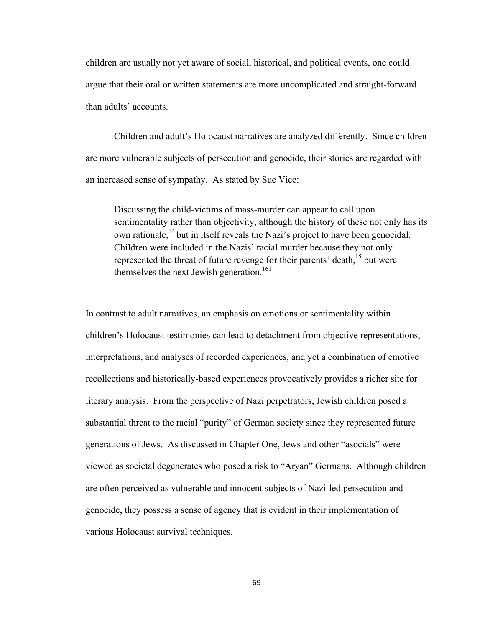children are usually not yet aware of social, historical, and political events, one could argue that their oral or written statements are more uncomplicated and straight-forward than adults' accounts.

Children and adult's Holocaust narratives are analyzed differently. Since children are more vulnerable subjects of persecution and genocide, their stories are regarded with an increased sense of sympathy. As stated by Sue Vice:

Discussing the child-victims of mass-murder can appear to call upon sentimentality rather than objectivity, although the history of these not only has its own rationale,  $^{14}$  but in itself reveals the Nazi's project to have been genocidal. Children were included in the Nazis' racial murder because they not only represented the threat of future revenge for their parents' death,<sup>15</sup> but were themselves the next Jewish generation.<sup>161</sup>

In contrast to adult narratives, an emphasis on emotions or sentimentality within children's Holocaust testimonies can lead to detachment from objective representations, interpretations, and analyses of recorded experiences, and yet a combination of emotive recollections and historically-based experiences provocatively provides a richer site for literary analysis. From the perspective of Nazi perpetrators, Jewish children posed a substantial threat to the racial "purity" of German society since they represented future generations of Jews. As discussed in Chapter One, Jews and other "asocials" were viewed as societal degenerates who posed a risk to "Aryan" Germans. Although children are often perceived as vulnerable and innocent subjects of Nazi-led persecution and genocide, they possess a sense of agency that is evident in their implementation of various Holocaust survival techniques.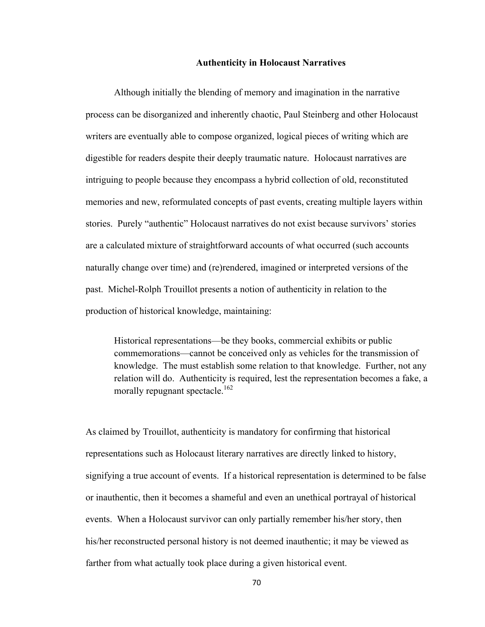## **Authenticity in Holocaust Narratives**

Although initially the blending of memory and imagination in the narrative process can be disorganized and inherently chaotic, Paul Steinberg and other Holocaust writers are eventually able to compose organized, logical pieces of writing which are digestible for readers despite their deeply traumatic nature. Holocaust narratives are intriguing to people because they encompass a hybrid collection of old, reconstituted memories and new, reformulated concepts of past events, creating multiple layers within stories. Purely "authentic" Holocaust narratives do not exist because survivors' stories are a calculated mixture of straightforward accounts of what occurred (such accounts naturally change over time) and (re)rendered, imagined or interpreted versions of the past. Michel-Rolph Trouillot presents a notion of authenticity in relation to the production of historical knowledge, maintaining:

Historical representations—be they books, commercial exhibits or public commemorations—cannot be conceived only as vehicles for the transmission of knowledge. The must establish some relation to that knowledge. Further, not any relation will do. Authenticity is required, lest the representation becomes a fake, a morally repugnant spectacle.<sup>162</sup>

As claimed by Trouillot, authenticity is mandatory for confirming that historical representations such as Holocaust literary narratives are directly linked to history, signifying a true account of events. If a historical representation is determined to be false or inauthentic, then it becomes a shameful and even an unethical portrayal of historical events. When a Holocaust survivor can only partially remember his/her story, then his/her reconstructed personal history is not deemed inauthentic; it may be viewed as farther from what actually took place during a given historical event.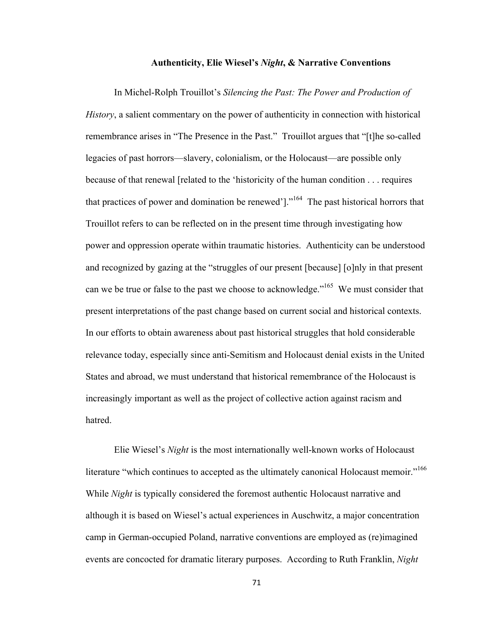# **Authenticity, Elie Wiesel's** *Night***, & Narrative Conventions**

In Michel-Rolph Trouillot's *Silencing the Past: The Power and Production of History*, a salient commentary on the power of authenticity in connection with historical remembrance arises in "The Presence in the Past." Trouillot argues that "[t]he so-called legacies of past horrors—slavery, colonialism, or the Holocaust—are possible only because of that renewal [related to the 'historicity of the human condition . . . requires that practices of power and domination be renewed']."164 The past historical horrors that Trouillot refers to can be reflected on in the present time through investigating how power and oppression operate within traumatic histories. Authenticity can be understood and recognized by gazing at the "struggles of our present [because] [o]nly in that present can we be true or false to the past we choose to acknowledge."<sup>165</sup> We must consider that present interpretations of the past change based on current social and historical contexts. In our efforts to obtain awareness about past historical struggles that hold considerable relevance today, especially since anti-Semitism and Holocaust denial exists in the United States and abroad, we must understand that historical remembrance of the Holocaust is increasingly important as well as the project of collective action against racism and hatred.

Elie Wiesel's *Night* is the most internationally well-known works of Holocaust literature "which continues to accepted as the ultimately canonical Holocaust memoir."<sup>166</sup> While *Night* is typically considered the foremost authentic Holocaust narrative and although it is based on Wiesel's actual experiences in Auschwitz, a major concentration camp in German-occupied Poland, narrative conventions are employed as (re)imagined events are concocted for dramatic literary purposes. According to Ruth Franklin, *Night*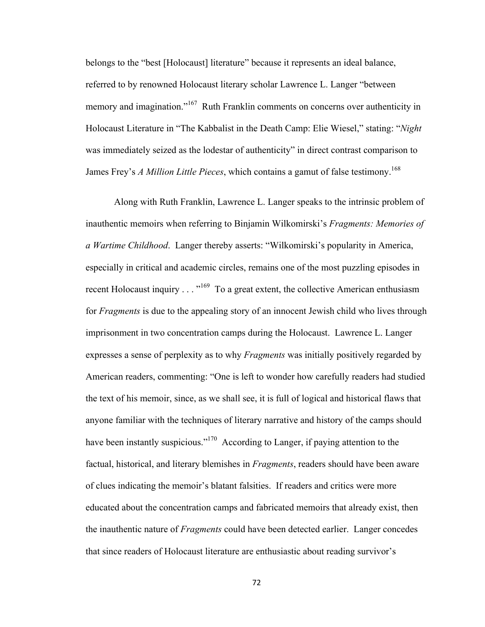belongs to the "best [Holocaust] literature" because it represents an ideal balance, referred to by renowned Holocaust literary scholar Lawrence L. Langer "between memory and imagination."<sup>167</sup> Ruth Franklin comments on concerns over authenticity in Holocaust Literature in "The Kabbalist in the Death Camp: Elie Wiesel," stating: "*Night*  was immediately seized as the lodestar of authenticity" in direct contrast comparison to James Frey's *A Million Little Pieces*, which contains a gamut of false testimony.<sup>168</sup>

Along with Ruth Franklin, Lawrence L. Langer speaks to the intrinsic problem of inauthentic memoirs when referring to Binjamin Wilkomirski's *Fragments: Memories of a Wartime Childhood*. Langer thereby asserts: "Wilkomirski's popularity in America, especially in critical and academic circles, remains one of the most puzzling episodes in recent Holocaust inquiry  $\dots$ <sup>169</sup> To a great extent, the collective American enthusiasm for *Fragments* is due to the appealing story of an innocent Jewish child who lives through imprisonment in two concentration camps during the Holocaust. Lawrence L. Langer expresses a sense of perplexity as to why *Fragments* was initially positively regarded by American readers, commenting: "One is left to wonder how carefully readers had studied the text of his memoir, since, as we shall see, it is full of logical and historical flaws that anyone familiar with the techniques of literary narrative and history of the camps should have been instantly suspicious."<sup>170</sup> According to Langer, if paying attention to the factual, historical, and literary blemishes in *Fragments*, readers should have been aware of clues indicating the memoir's blatant falsities. If readers and critics were more educated about the concentration camps and fabricated memoirs that already exist, then the inauthentic nature of *Fragments* could have been detected earlier. Langer concedes that since readers of Holocaust literature are enthusiastic about reading survivor's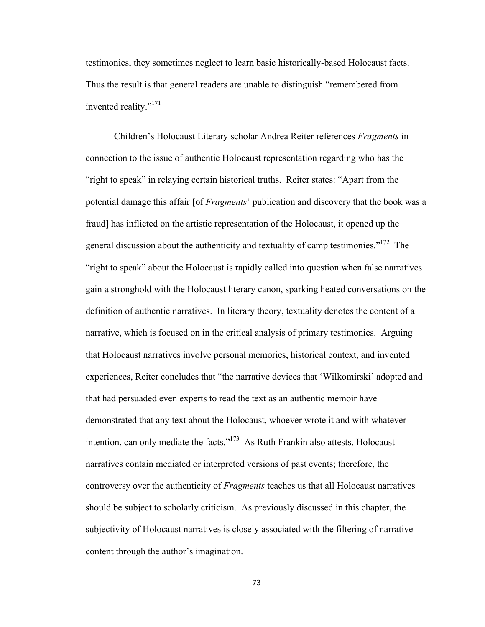testimonies, they sometimes neglect to learn basic historically-based Holocaust facts. Thus the result is that general readers are unable to distinguish "remembered from invented reality."<sup>171</sup>

Children's Holocaust Literary scholar Andrea Reiter references *Fragments* in connection to the issue of authentic Holocaust representation regarding who has the "right to speak" in relaying certain historical truths. Reiter states: "Apart from the potential damage this affair [of *Fragments*' publication and discovery that the book was a fraud] has inflicted on the artistic representation of the Holocaust, it opened up the general discussion about the authenticity and textuality of camp testimonies."<sup>172</sup> The "right to speak" about the Holocaust is rapidly called into question when false narratives gain a stronghold with the Holocaust literary canon, sparking heated conversations on the definition of authentic narratives. In literary theory, textuality denotes the content of a narrative, which is focused on in the critical analysis of primary testimonies. Arguing that Holocaust narratives involve personal memories, historical context, and invented experiences, Reiter concludes that "the narrative devices that 'Wilkomirski' adopted and that had persuaded even experts to read the text as an authentic memoir have demonstrated that any text about the Holocaust, whoever wrote it and with whatever intention, can only mediate the facts."<sup> $173$ </sup> As Ruth Frankin also attests, Holocaust narratives contain mediated or interpreted versions of past events; therefore, the controversy over the authenticity of *Fragments* teaches us that all Holocaust narratives should be subject to scholarly criticism. As previously discussed in this chapter, the subjectivity of Holocaust narratives is closely associated with the filtering of narrative content through the author's imagination.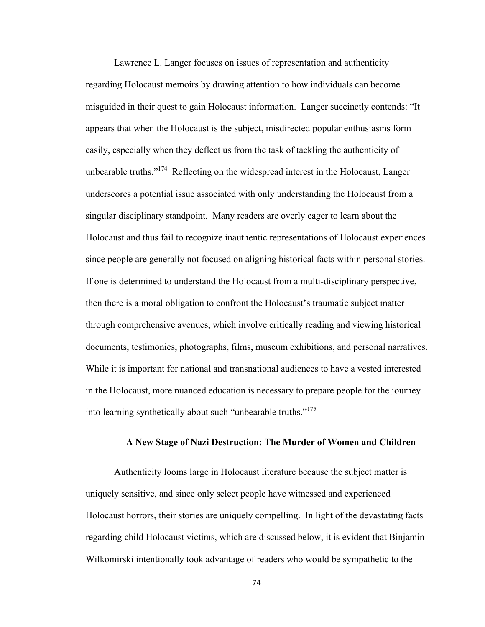Lawrence L. Langer focuses on issues of representation and authenticity regarding Holocaust memoirs by drawing attention to how individuals can become misguided in their quest to gain Holocaust information. Langer succinctly contends: "It appears that when the Holocaust is the subject, misdirected popular enthusiasms form easily, especially when they deflect us from the task of tackling the authenticity of unbearable truths."<sup>174</sup> Reflecting on the widespread interest in the Holocaust, Langer underscores a potential issue associated with only understanding the Holocaust from a singular disciplinary standpoint. Many readers are overly eager to learn about the Holocaust and thus fail to recognize inauthentic representations of Holocaust experiences since people are generally not focused on aligning historical facts within personal stories. If one is determined to understand the Holocaust from a multi-disciplinary perspective, then there is a moral obligation to confront the Holocaust's traumatic subject matter through comprehensive avenues, which involve critically reading and viewing historical documents, testimonies, photographs, films, museum exhibitions, and personal narratives. While it is important for national and transnational audiences to have a vested interested in the Holocaust, more nuanced education is necessary to prepare people for the journey into learning synthetically about such "unbearable truths."175

### **A New Stage of Nazi Destruction: The Murder of Women and Children**

Authenticity looms large in Holocaust literature because the subject matter is uniquely sensitive, and since only select people have witnessed and experienced Holocaust horrors, their stories are uniquely compelling. In light of the devastating facts regarding child Holocaust victims, which are discussed below, it is evident that Binjamin Wilkomirski intentionally took advantage of readers who would be sympathetic to the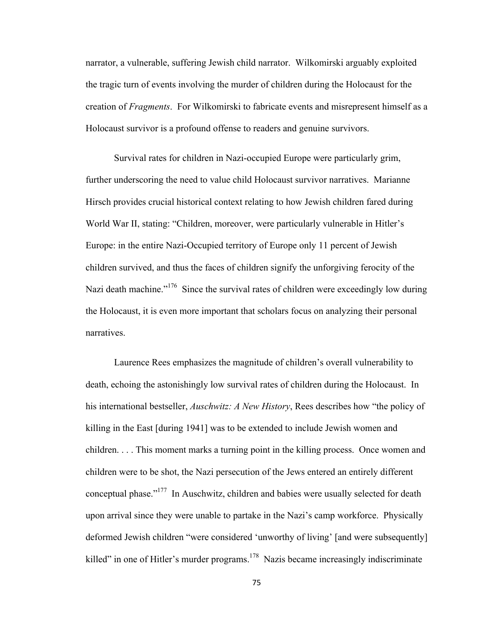narrator, a vulnerable, suffering Jewish child narrator. Wilkomirski arguably exploited the tragic turn of events involving the murder of children during the Holocaust for the creation of *Fragments*. For Wilkomirski to fabricate events and misrepresent himself as a Holocaust survivor is a profound offense to readers and genuine survivors.

Survival rates for children in Nazi-occupied Europe were particularly grim, further underscoring the need to value child Holocaust survivor narratives. Marianne Hirsch provides crucial historical context relating to how Jewish children fared during World War II, stating: "Children, moreover, were particularly vulnerable in Hitler's Europe: in the entire Nazi-Occupied territory of Europe only 11 percent of Jewish children survived, and thus the faces of children signify the unforgiving ferocity of the Nazi death machine."<sup>176</sup> Since the survival rates of children were exceedingly low during the Holocaust, it is even more important that scholars focus on analyzing their personal narratives.

Laurence Rees emphasizes the magnitude of children's overall vulnerability to death, echoing the astonishingly low survival rates of children during the Holocaust. In his international bestseller, *Auschwitz: A New History*, Rees describes how "the policy of killing in the East [during 1941] was to be extended to include Jewish women and children. . . . This moment marks a turning point in the killing process. Once women and children were to be shot, the Nazi persecution of the Jews entered an entirely different conceptual phase."177 In Auschwitz, children and babies were usually selected for death upon arrival since they were unable to partake in the Nazi's camp workforce. Physically deformed Jewish children "were considered 'unworthy of living' [and were subsequently] killed" in one of Hitler's murder programs.<sup>178</sup> Nazis became increasingly indiscriminate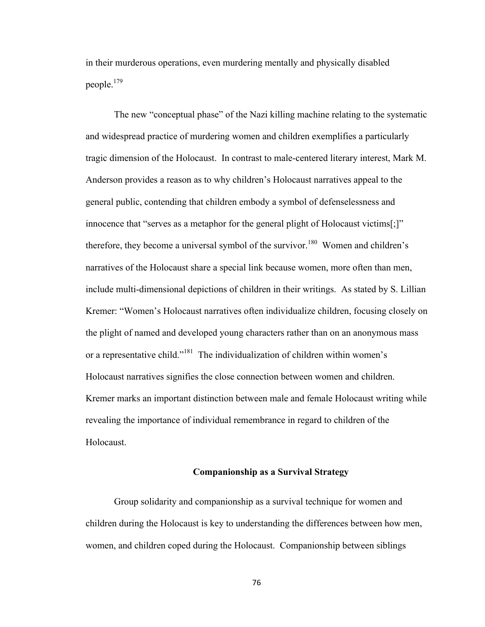in their murderous operations, even murdering mentally and physically disabled people.179

The new "conceptual phase" of the Nazi killing machine relating to the systematic and widespread practice of murdering women and children exemplifies a particularly tragic dimension of the Holocaust. In contrast to male-centered literary interest, Mark M. Anderson provides a reason as to why children's Holocaust narratives appeal to the general public, contending that children embody a symbol of defenselessness and innocence that "serves as a metaphor for the general plight of Holocaust victims[;]" therefore, they become a universal symbol of the survivor.<sup>180</sup> Women and children's narratives of the Holocaust share a special link because women, more often than men, include multi-dimensional depictions of children in their writings. As stated by S. Lillian Kremer: "Women's Holocaust narratives often individualize children, focusing closely on the plight of named and developed young characters rather than on an anonymous mass or a representative child."181 The individualization of children within women's Holocaust narratives signifies the close connection between women and children. Kremer marks an important distinction between male and female Holocaust writing while revealing the importance of individual remembrance in regard to children of the Holocaust.

# **Companionship as a Survival Strategy**

Group solidarity and companionship as a survival technique for women and children during the Holocaust is key to understanding the differences between how men, women, and children coped during the Holocaust. Companionship between siblings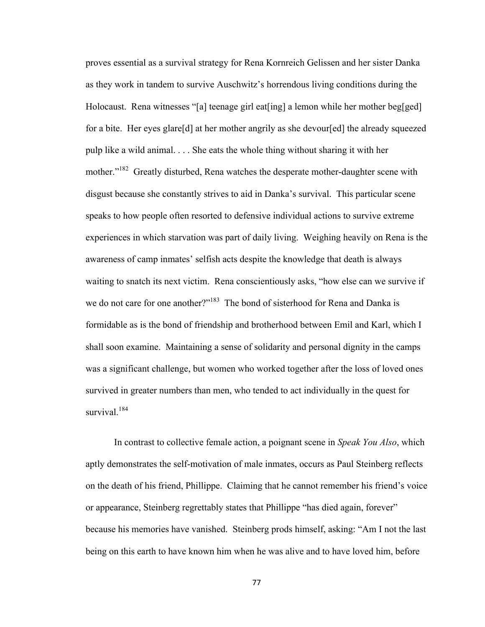proves essential as a survival strategy for Rena Kornreich Gelissen and her sister Danka as they work in tandem to survive Auschwitz's horrendous living conditions during the Holocaust. Rena witnesses "[a] teenage girl eat [ing] a lemon while her mother beg[ged] for a bite. Her eyes glare[d] at her mother angrily as she devour[ed] the already squeezed pulp like a wild animal. . . . She eats the whole thing without sharing it with her mother."<sup>182</sup> Greatly disturbed, Rena watches the desperate mother-daughter scene with disgust because she constantly strives to aid in Danka's survival. This particular scene speaks to how people often resorted to defensive individual actions to survive extreme experiences in which starvation was part of daily living. Weighing heavily on Rena is the awareness of camp inmates' selfish acts despite the knowledge that death is always waiting to snatch its next victim. Rena conscientiously asks, "how else can we survive if we do not care for one another?"<sup>183</sup> The bond of sisterhood for Rena and Danka is formidable as is the bond of friendship and brotherhood between Emil and Karl, which I shall soon examine. Maintaining a sense of solidarity and personal dignity in the camps was a significant challenge, but women who worked together after the loss of loved ones survived in greater numbers than men, who tended to act individually in the quest for survival.<sup>184</sup>

In contrast to collective female action, a poignant scene in *Speak You Also*, which aptly demonstrates the self-motivation of male inmates, occurs as Paul Steinberg reflects on the death of his friend, Phillippe. Claiming that he cannot remember his friend's voice or appearance, Steinberg regrettably states that Phillippe "has died again, forever" because his memories have vanished. Steinberg prods himself, asking: "Am I not the last being on this earth to have known him when he was alive and to have loved him, before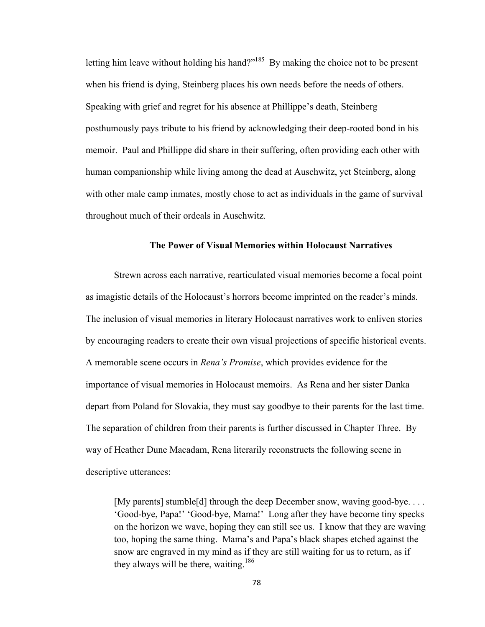letting him leave without holding his hand?"<sup>185</sup> By making the choice not to be present when his friend is dying, Steinberg places his own needs before the needs of others. Speaking with grief and regret for his absence at Phillippe's death, Steinberg posthumously pays tribute to his friend by acknowledging their deep-rooted bond in his memoir. Paul and Phillippe did share in their suffering, often providing each other with human companionship while living among the dead at Auschwitz, yet Steinberg, along with other male camp inmates, mostly chose to act as individuals in the game of survival throughout much of their ordeals in Auschwitz.

# **The Power of Visual Memories within Holocaust Narratives**

Strewn across each narrative, rearticulated visual memories become a focal point as imagistic details of the Holocaust's horrors become imprinted on the reader's minds. The inclusion of visual memories in literary Holocaust narratives work to enliven stories by encouraging readers to create their own visual projections of specific historical events. A memorable scene occurs in *Rena's Promise*, which provides evidence for the importance of visual memories in Holocaust memoirs. As Rena and her sister Danka depart from Poland for Slovakia, they must say goodbye to their parents for the last time. The separation of children from their parents is further discussed in Chapter Three. By way of Heather Dune Macadam, Rena literarily reconstructs the following scene in descriptive utterances:

[My parents] stumble[d] through the deep December snow, waving good-bye. . . . 'Good-bye, Papa!' 'Good-bye, Mama!' Long after they have become tiny specks on the horizon we wave, hoping they can still see us. I know that they are waving too, hoping the same thing. Mama's and Papa's black shapes etched against the snow are engraved in my mind as if they are still waiting for us to return, as if they always will be there, waiting.<sup>186</sup>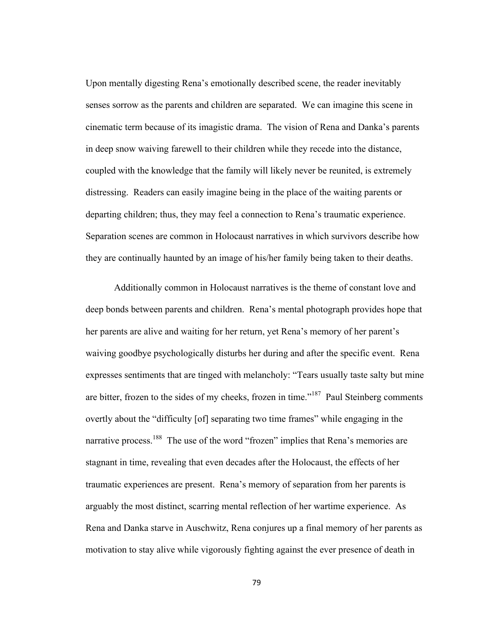Upon mentally digesting Rena's emotionally described scene, the reader inevitably senses sorrow as the parents and children are separated. We can imagine this scene in cinematic term because of its imagistic drama. The vision of Rena and Danka's parents in deep snow waiving farewell to their children while they recede into the distance, coupled with the knowledge that the family will likely never be reunited, is extremely distressing. Readers can easily imagine being in the place of the waiting parents or departing children; thus, they may feel a connection to Rena's traumatic experience. Separation scenes are common in Holocaust narratives in which survivors describe how they are continually haunted by an image of his/her family being taken to their deaths.

Additionally common in Holocaust narratives is the theme of constant love and deep bonds between parents and children. Rena's mental photograph provides hope that her parents are alive and waiting for her return, yet Rena's memory of her parent's waiving goodbye psychologically disturbs her during and after the specific event. Rena expresses sentiments that are tinged with melancholy: "Tears usually taste salty but mine are bitter, frozen to the sides of my cheeks, frozen in time."<sup>187</sup> Paul Steinberg comments overtly about the "difficulty [of] separating two time frames" while engaging in the narrative process.<sup>188</sup> The use of the word "frozen" implies that Rena's memories are stagnant in time, revealing that even decades after the Holocaust, the effects of her traumatic experiences are present. Rena's memory of separation from her parents is arguably the most distinct, scarring mental reflection of her wartime experience. As Rena and Danka starve in Auschwitz, Rena conjures up a final memory of her parents as motivation to stay alive while vigorously fighting against the ever presence of death in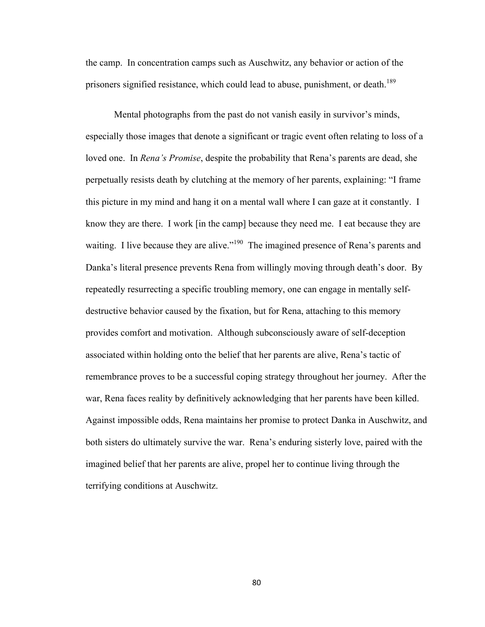the camp. In concentration camps such as Auschwitz, any behavior or action of the prisoners signified resistance, which could lead to abuse, punishment, or death.<sup>189</sup>

Mental photographs from the past do not vanish easily in survivor's minds, especially those images that denote a significant or tragic event often relating to loss of a loved one. In *Rena's Promise*, despite the probability that Rena's parents are dead, she perpetually resists death by clutching at the memory of her parents, explaining: "I frame this picture in my mind and hang it on a mental wall where I can gaze at it constantly. I know they are there. I work [in the camp] because they need me. I eat because they are waiting. I live because they are alive."<sup>190</sup> The imagined presence of Rena's parents and Danka's literal presence prevents Rena from willingly moving through death's door. By repeatedly resurrecting a specific troubling memory, one can engage in mentally selfdestructive behavior caused by the fixation, but for Rena, attaching to this memory provides comfort and motivation. Although subconsciously aware of self-deception associated within holding onto the belief that her parents are alive, Rena's tactic of remembrance proves to be a successful coping strategy throughout her journey. After the war, Rena faces reality by definitively acknowledging that her parents have been killed. Against impossible odds, Rena maintains her promise to protect Danka in Auschwitz, and both sisters do ultimately survive the war. Rena's enduring sisterly love, paired with the imagined belief that her parents are alive, propel her to continue living through the terrifying conditions at Auschwitz.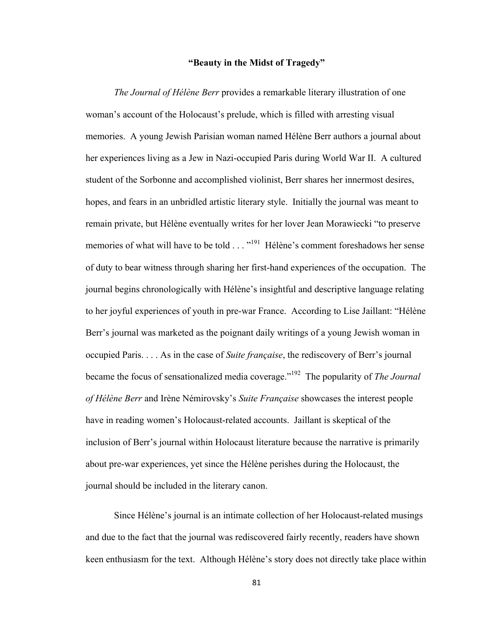## **"Beauty in the Midst of Tragedy"**

*The Journal of Hélène Berr* provides a remarkable literary illustration of one woman's account of the Holocaust's prelude, which is filled with arresting visual memories. A young Jewish Parisian woman named Hélène Berr authors a journal about her experiences living as a Jew in Nazi-occupied Paris during World War II. A cultured student of the Sorbonne and accomplished violinist, Berr shares her innermost desires, hopes, and fears in an unbridled artistic literary style. Initially the journal was meant to remain private, but Hélène eventually writes for her lover Jean Morawiecki "to preserve memories of what will have to be told . . . "<sup>191</sup> Hélène's comment foreshadows her sense of duty to bear witness through sharing her first-hand experiences of the occupation. The journal begins chronologically with Hélène's insightful and descriptive language relating to her joyful experiences of youth in pre-war France. According to Lise Jaillant: "Hélène Berr's journal was marketed as the poignant daily writings of a young Jewish woman in occupied Paris. . . . As in the case of *Suite française*, the rediscovery of Berr's journal became the focus of sensationalized media coverage."192 The popularity of *The Journal of Hélène Berr* and Irène Némirovsky's *Suite Française* showcases the interest people have in reading women's Holocaust-related accounts. Jaillant is skeptical of the inclusion of Berr's journal within Holocaust literature because the narrative is primarily about pre-war experiences, yet since the Hélène perishes during the Holocaust, the journal should be included in the literary canon.

Since Hélène's journal is an intimate collection of her Holocaust-related musings and due to the fact that the journal was rediscovered fairly recently, readers have shown keen enthusiasm for the text. Although Hélène's story does not directly take place within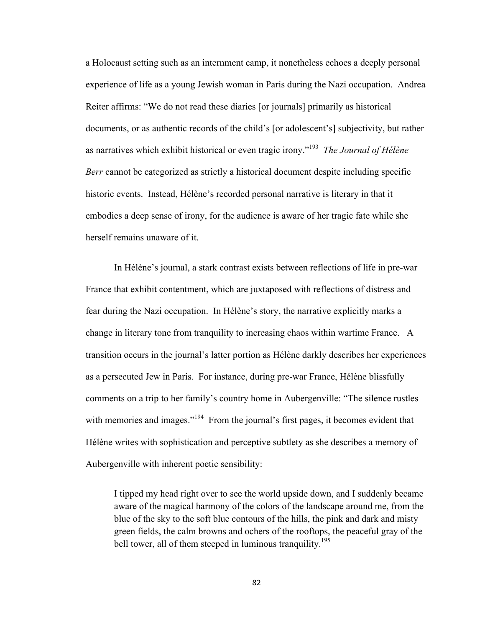a Holocaust setting such as an internment camp, it nonetheless echoes a deeply personal experience of life as a young Jewish woman in Paris during the Nazi occupation. Andrea Reiter affirms: "We do not read these diaries [or journals] primarily as historical documents, or as authentic records of the child's [or adolescent's] subjectivity, but rather as narratives which exhibit historical or even tragic irony."193 *The Journal of Hélène Berr* cannot be categorized as strictly a historical document despite including specific historic events. Instead, Hélène's recorded personal narrative is literary in that it embodies a deep sense of irony, for the audience is aware of her tragic fate while she herself remains unaware of it.

In Hélène's journal, a stark contrast exists between reflections of life in pre-war France that exhibit contentment, which are juxtaposed with reflections of distress and fear during the Nazi occupation. In Hélène's story, the narrative explicitly marks a change in literary tone from tranquility to increasing chaos within wartime France. A transition occurs in the journal's latter portion as Hélène darkly describes her experiences as a persecuted Jew in Paris. For instance, during pre-war France, Hélène blissfully comments on a trip to her family's country home in Aubergenville: "The silence rustles with memories and images."<sup>194</sup> From the journal's first pages, it becomes evident that Hélène writes with sophistication and perceptive subtlety as she describes a memory of Aubergenville with inherent poetic sensibility:

I tipped my head right over to see the world upside down, and I suddenly became aware of the magical harmony of the colors of the landscape around me, from the blue of the sky to the soft blue contours of the hills, the pink and dark and misty green fields, the calm browns and ochers of the rooftops, the peaceful gray of the bell tower, all of them steeped in luminous tranquility.<sup>195</sup>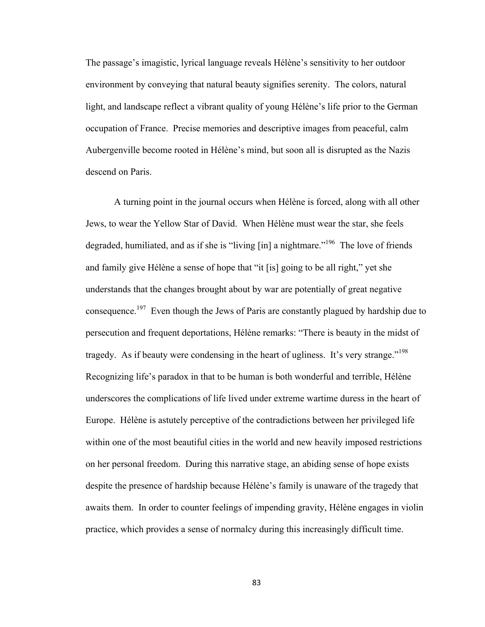The passage's imagistic, lyrical language reveals Hélène's sensitivity to her outdoor environment by conveying that natural beauty signifies serenity. The colors, natural light, and landscape reflect a vibrant quality of young Hélène's life prior to the German occupation of France. Precise memories and descriptive images from peaceful, calm Aubergenville become rooted in Hélène's mind, but soon all is disrupted as the Nazis descend on Paris.

A turning point in the journal occurs when Hélène is forced, along with all other Jews, to wear the Yellow Star of David. When Hélène must wear the star, she feels degraded, humiliated, and as if she is "living [in] a nightmare."<sup>196</sup> The love of friends and family give Hélène a sense of hope that "it [is] going to be all right," yet she understands that the changes brought about by war are potentially of great negative consequence.<sup>197</sup> Even though the Jews of Paris are constantly plagued by hardship due to persecution and frequent deportations, Hélène remarks: "There is beauty in the midst of tragedy. As if beauty were condensing in the heart of ugliness. It's very strange."<sup>198</sup> Recognizing life's paradox in that to be human is both wonderful and terrible, Hélène underscores the complications of life lived under extreme wartime duress in the heart of Europe. Hélène is astutely perceptive of the contradictions between her privileged life within one of the most beautiful cities in the world and new heavily imposed restrictions on her personal freedom. During this narrative stage, an abiding sense of hope exists despite the presence of hardship because Hélène's family is unaware of the tragedy that awaits them. In order to counter feelings of impending gravity, Hélène engages in violin practice, which provides a sense of normalcy during this increasingly difficult time.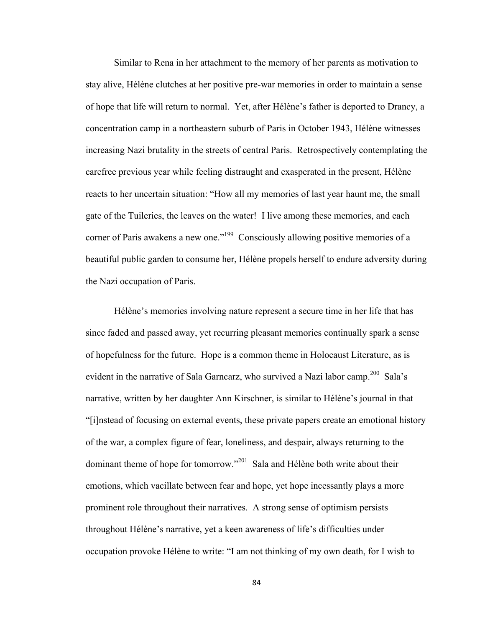Similar to Rena in her attachment to the memory of her parents as motivation to stay alive, Hélène clutches at her positive pre-war memories in order to maintain a sense of hope that life will return to normal. Yet, after Hélène's father is deported to Drancy, a concentration camp in a northeastern suburb of Paris in October 1943, Hélène witnesses increasing Nazi brutality in the streets of central Paris. Retrospectively contemplating the carefree previous year while feeling distraught and exasperated in the present, Hélène reacts to her uncertain situation: "How all my memories of last year haunt me, the small gate of the Tuileries, the leaves on the water! I live among these memories, and each corner of Paris awakens a new one."<sup>199</sup> Consciously allowing positive memories of a beautiful public garden to consume her, Hélène propels herself to endure adversity during the Nazi occupation of Paris.

Hélène's memories involving nature represent a secure time in her life that has since faded and passed away, yet recurring pleasant memories continually spark a sense of hopefulness for the future. Hope is a common theme in Holocaust Literature, as is evident in the narrative of Sala Garncarz, who survived a Nazi labor camp.<sup>200</sup> Sala's narrative, written by her daughter Ann Kirschner, is similar to Hélène's journal in that "[i]nstead of focusing on external events, these private papers create an emotional history of the war, a complex figure of fear, loneliness, and despair, always returning to the dominant theme of hope for tomorrow."201 Sala and Hélène both write about their emotions, which vacillate between fear and hope, yet hope incessantly plays a more prominent role throughout their narratives. A strong sense of optimism persists throughout Hélène's narrative, yet a keen awareness of life's difficulties under occupation provoke Hélène to write: "I am not thinking of my own death, for I wish to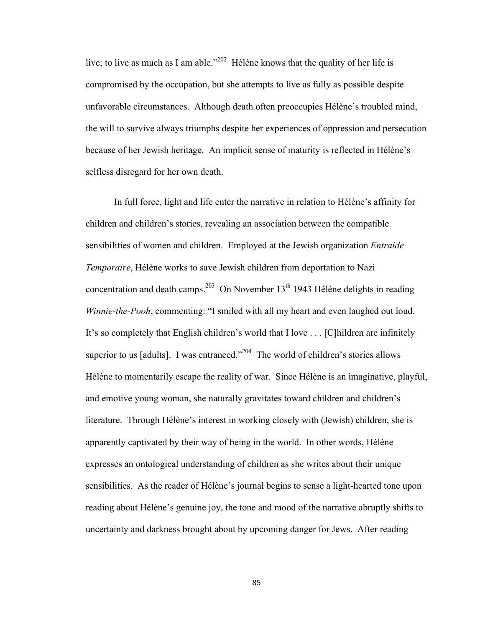live; to live as much as I am able."<sup>202</sup> Hélène knows that the quality of her life is compromised by the occupation, but she attempts to live as fully as possible despite unfavorable circumstances. Although death often preoccupies Hélène's troubled mind, the will to survive always triumphs despite her experiences of oppression and persecution because of her Jewish heritage. An implicit sense of maturity is reflected in Hélène's selfless disregard for her own death.

In full force, light and life enter the narrative in relation to Hélène's affinity for children and children's stories, revealing an association between the compatible sensibilities of women and children. Employed at the Jewish organization *Entraide Temporaire*, Hélène works to save Jewish children from deportation to Nazi concentration and death camps.<sup>203</sup> On November 13<sup>th</sup> 1943 Hélène delights in reading *Winnie-the-Pooh*, commenting: "I smiled with all my heart and even laughed out loud. It's so completely that English children's world that I love . . . [C]hildren are infinitely superior to us [adults]. I was entranced."<sup>204</sup> The world of children's stories allows Hélène to momentarily escape the reality of war. Since Hélène is an imaginative, playful, and emotive young woman, she naturally gravitates toward children and children's literature. Through Hélène's interest in working closely with (Jewish) children, she is apparently captivated by their way of being in the world. In other words, Hélène expresses an ontological understanding of children as she writes about their unique sensibilities. As the reader of Hélène's journal begins to sense a light-hearted tone upon reading about Hélène's genuine joy, the tone and mood of the narrative abruptly shifts to uncertainty and darkness brought about by upcoming danger for Jews. After reading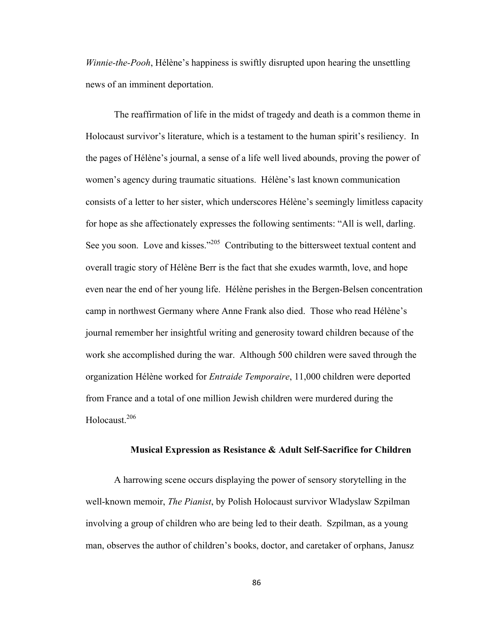*Winnie-the-Pooh*, Hélène's happiness is swiftly disrupted upon hearing the unsettling news of an imminent deportation.

The reaffirmation of life in the midst of tragedy and death is a common theme in Holocaust survivor's literature, which is a testament to the human spirit's resiliency. In the pages of Hélène's journal, a sense of a life well lived abounds, proving the power of women's agency during traumatic situations. Hélène's last known communication consists of a letter to her sister, which underscores Hélène's seemingly limitless capacity for hope as she affectionately expresses the following sentiments: "All is well, darling. See you soon. Love and kisses."<sup>205</sup> Contributing to the bittersweet textual content and overall tragic story of Hélène Berr is the fact that she exudes warmth, love, and hope even near the end of her young life. Hélène perishes in the Bergen-Belsen concentration camp in northwest Germany where Anne Frank also died. Those who read Hélène's journal remember her insightful writing and generosity toward children because of the work she accomplished during the war. Although 500 children were saved through the organization Hélène worked for *Entraide Temporaire*, 11,000 children were deported from France and a total of one million Jewish children were murdered during the Holocaust.206

# **Musical Expression as Resistance & Adult Self-Sacrifice for Children**

A harrowing scene occurs displaying the power of sensory storytelling in the well-known memoir, *The Pianist*, by Polish Holocaust survivor Wladyslaw Szpilman involving a group of children who are being led to their death. Szpilman, as a young man, observes the author of children's books, doctor, and caretaker of orphans, Janusz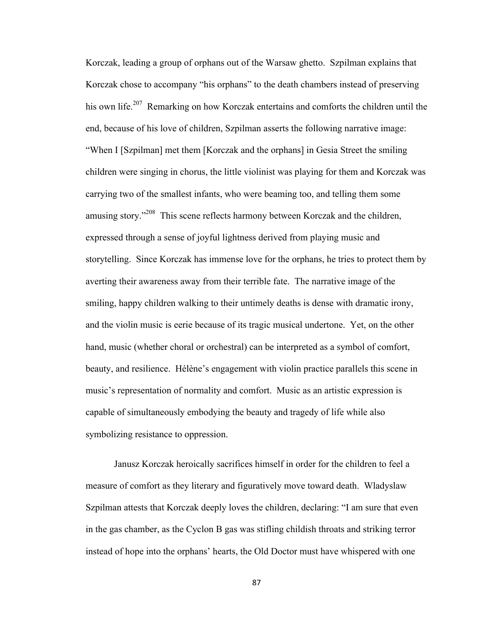Korczak, leading a group of orphans out of the Warsaw ghetto. Szpilman explains that Korczak chose to accompany "his orphans" to the death chambers instead of preserving his own life.<sup>207</sup> Remarking on how Korczak entertains and comforts the children until the end, because of his love of children, Szpilman asserts the following narrative image: "When I [Szpilman] met them [Korczak and the orphans] in Gesia Street the smiling children were singing in chorus, the little violinist was playing for them and Korczak was carrying two of the smallest infants, who were beaming too, and telling them some amusing story."208 This scene reflects harmony between Korczak and the children, expressed through a sense of joyful lightness derived from playing music and storytelling. Since Korczak has immense love for the orphans, he tries to protect them by averting their awareness away from their terrible fate. The narrative image of the smiling, happy children walking to their untimely deaths is dense with dramatic irony, and the violin music is eerie because of its tragic musical undertone. Yet, on the other hand, music (whether choral or orchestral) can be interpreted as a symbol of comfort, beauty, and resilience. Hélène's engagement with violin practice parallels this scene in music's representation of normality and comfort. Music as an artistic expression is capable of simultaneously embodying the beauty and tragedy of life while also symbolizing resistance to oppression.

Janusz Korczak heroically sacrifices himself in order for the children to feel a measure of comfort as they literary and figuratively move toward death. Wladyslaw Szpilman attests that Korczak deeply loves the children, declaring: "I am sure that even in the gas chamber, as the Cyclon B gas was stifling childish throats and striking terror instead of hope into the orphans' hearts, the Old Doctor must have whispered with one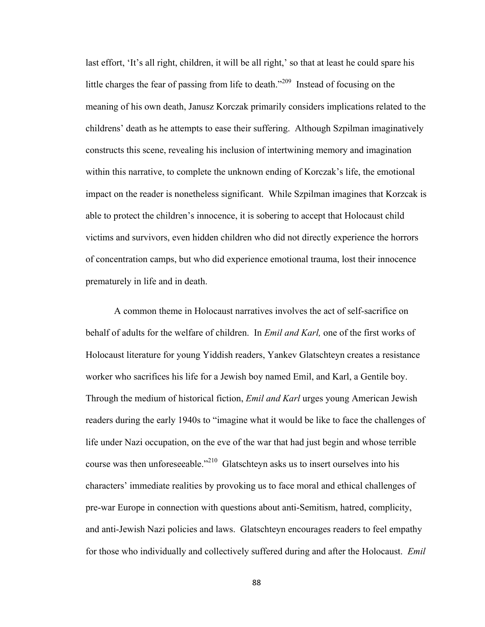last effort, 'It's all right, children, it will be all right,' so that at least he could spare his little charges the fear of passing from life to death."<sup>209</sup> Instead of focusing on the meaning of his own death, Janusz Korczak primarily considers implications related to the childrens' death as he attempts to ease their suffering. Although Szpilman imaginatively constructs this scene, revealing his inclusion of intertwining memory and imagination within this narrative, to complete the unknown ending of Korczak's life, the emotional impact on the reader is nonetheless significant. While Szpilman imagines that Korzcak is able to protect the children's innocence, it is sobering to accept that Holocaust child victims and survivors, even hidden children who did not directly experience the horrors of concentration camps, but who did experience emotional trauma, lost their innocence prematurely in life and in death.

A common theme in Holocaust narratives involves the act of self-sacrifice on behalf of adults for the welfare of children. In *Emil and Karl,* one of the first works of Holocaust literature for young Yiddish readers, Yankev Glatschteyn creates a resistance worker who sacrifices his life for a Jewish boy named Emil, and Karl, a Gentile boy. Through the medium of historical fiction, *Emil and Karl* urges young American Jewish readers during the early 1940s to "imagine what it would be like to face the challenges of life under Nazi occupation, on the eve of the war that had just begin and whose terrible course was then unforeseeable."210 Glatschteyn asks us to insert ourselves into his characters' immediate realities by provoking us to face moral and ethical challenges of pre-war Europe in connection with questions about anti-Semitism, hatred, complicity, and anti-Jewish Nazi policies and laws. Glatschteyn encourages readers to feel empathy for those who individually and collectively suffered during and after the Holocaust. *Emil*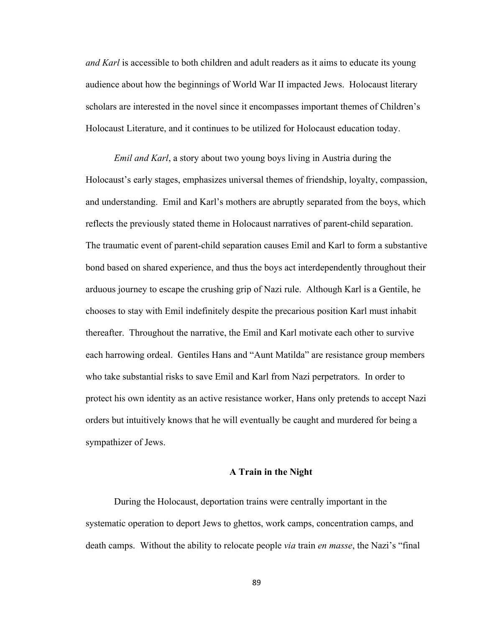*and Karl* is accessible to both children and adult readers as it aims to educate its young audience about how the beginnings of World War II impacted Jews. Holocaust literary scholars are interested in the novel since it encompasses important themes of Children's Holocaust Literature, and it continues to be utilized for Holocaust education today.

*Emil and Karl*, a story about two young boys living in Austria during the Holocaust's early stages, emphasizes universal themes of friendship, loyalty, compassion, and understanding. Emil and Karl's mothers are abruptly separated from the boys, which reflects the previously stated theme in Holocaust narratives of parent-child separation. The traumatic event of parent-child separation causes Emil and Karl to form a substantive bond based on shared experience, and thus the boys act interdependently throughout their arduous journey to escape the crushing grip of Nazi rule. Although Karl is a Gentile, he chooses to stay with Emil indefinitely despite the precarious position Karl must inhabit thereafter. Throughout the narrative, the Emil and Karl motivate each other to survive each harrowing ordeal. Gentiles Hans and "Aunt Matilda" are resistance group members who take substantial risks to save Emil and Karl from Nazi perpetrators. In order to protect his own identity as an active resistance worker, Hans only pretends to accept Nazi orders but intuitively knows that he will eventually be caught and murdered for being a sympathizer of Jews.

# **A Train in the Night**

During the Holocaust, deportation trains were centrally important in the systematic operation to deport Jews to ghettos, work camps, concentration camps, and death camps. Without the ability to relocate people *via* train *en masse*, the Nazi's "final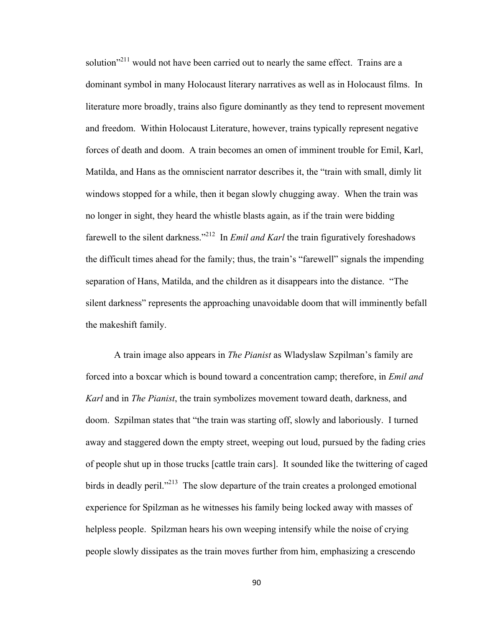solution"<sup>211</sup> would not have been carried out to nearly the same effect. Trains are a dominant symbol in many Holocaust literary narratives as well as in Holocaust films. In literature more broadly, trains also figure dominantly as they tend to represent movement and freedom. Within Holocaust Literature, however, trains typically represent negative forces of death and doom. A train becomes an omen of imminent trouble for Emil, Karl, Matilda, and Hans as the omniscient narrator describes it, the "train with small, dimly lit windows stopped for a while, then it began slowly chugging away. When the train was no longer in sight, they heard the whistle blasts again, as if the train were bidding farewell to the silent darkness."212 In *Emil and Karl* the train figuratively foreshadows the difficult times ahead for the family; thus, the train's "farewell" signals the impending separation of Hans, Matilda, and the children as it disappears into the distance. "The silent darkness" represents the approaching unavoidable doom that will imminently befall the makeshift family.

A train image also appears in *The Pianist* as Wladyslaw Szpilman's family are forced into a boxcar which is bound toward a concentration camp; therefore, in *Emil and Karl* and in *The Pianist*, the train symbolizes movement toward death, darkness, and doom. Szpilman states that "the train was starting off, slowly and laboriously. I turned away and staggered down the empty street, weeping out loud, pursued by the fading cries of people shut up in those trucks [cattle train cars]. It sounded like the twittering of caged birds in deadly peril."<sup>213</sup> The slow departure of the train creates a prolonged emotional experience for Spilzman as he witnesses his family being locked away with masses of helpless people. Spilzman hears his own weeping intensify while the noise of crying people slowly dissipates as the train moves further from him, emphasizing a crescendo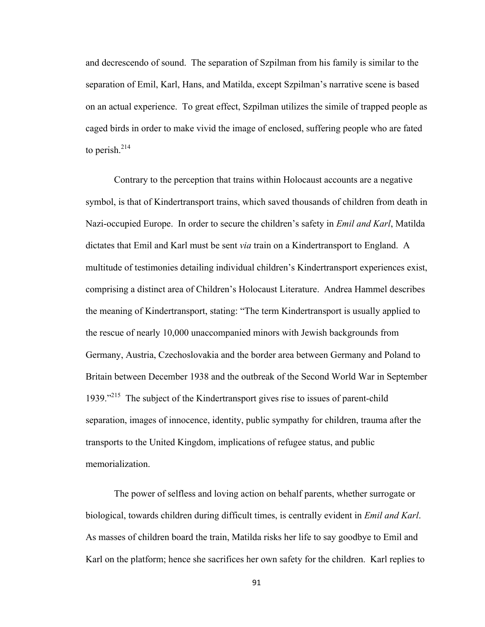and decrescendo of sound. The separation of Szpilman from his family is similar to the separation of Emil, Karl, Hans, and Matilda, except Szpilman's narrative scene is based on an actual experience. To great effect, Szpilman utilizes the simile of trapped people as caged birds in order to make vivid the image of enclosed, suffering people who are fated to perish. $214$ 

Contrary to the perception that trains within Holocaust accounts are a negative symbol, is that of Kindertransport trains, which saved thousands of children from death in Nazi-occupied Europe. In order to secure the children's safety in *Emil and Karl*, Matilda dictates that Emil and Karl must be sent *via* train on a Kindertransport to England. A multitude of testimonies detailing individual children's Kindertransport experiences exist, comprising a distinct area of Children's Holocaust Literature. Andrea Hammel describes the meaning of Kindertransport, stating: "The term Kindertransport is usually applied to the rescue of nearly 10,000 unaccompanied minors with Jewish backgrounds from Germany, Austria, Czechoslovakia and the border area between Germany and Poland to Britain between December 1938 and the outbreak of the Second World War in September 1939."<sup> $215$ </sup> The subject of the Kindertransport gives rise to issues of parent-child separation, images of innocence, identity, public sympathy for children, trauma after the transports to the United Kingdom, implications of refugee status, and public memorialization.

The power of selfless and loving action on behalf parents, whether surrogate or biological, towards children during difficult times, is centrally evident in *Emil and Karl*. As masses of children board the train, Matilda risks her life to say goodbye to Emil and Karl on the platform; hence she sacrifices her own safety for the children. Karl replies to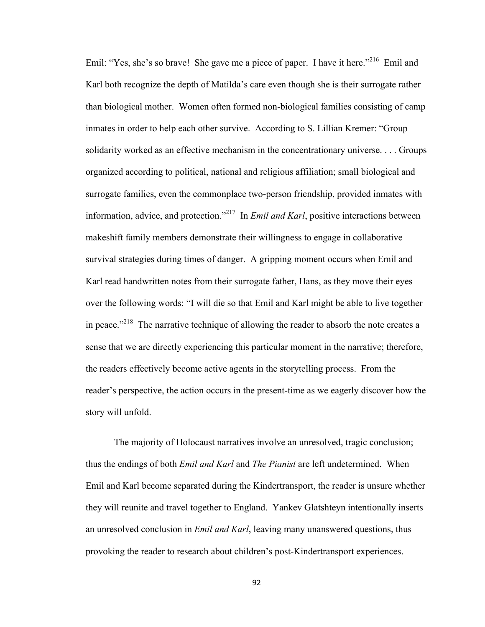Emil: "Yes, she's so brave! She gave me a piece of paper. I have it here."<sup>216</sup> Emil and Karl both recognize the depth of Matilda's care even though she is their surrogate rather than biological mother. Women often formed non-biological families consisting of camp inmates in order to help each other survive. According to S. Lillian Kremer: "Group solidarity worked as an effective mechanism in the concentrationary universe. . . . Groups organized according to political, national and religious affiliation; small biological and surrogate families, even the commonplace two-person friendship, provided inmates with information, advice, and protection."217 In *Emil and Karl*, positive interactions between makeshift family members demonstrate their willingness to engage in collaborative survival strategies during times of danger. A gripping moment occurs when Emil and Karl read handwritten notes from their surrogate father, Hans, as they move their eyes over the following words: "I will die so that Emil and Karl might be able to live together in peace."<sup>218</sup> The narrative technique of allowing the reader to absorb the note creates a sense that we are directly experiencing this particular moment in the narrative; therefore, the readers effectively become active agents in the storytelling process. From the reader's perspective, the action occurs in the present-time as we eagerly discover how the story will unfold.

The majority of Holocaust narratives involve an unresolved, tragic conclusion; thus the endings of both *Emil and Karl* and *The Pianist* are left undetermined. When Emil and Karl become separated during the Kindertransport, the reader is unsure whether they will reunite and travel together to England. Yankev Glatshteyn intentionally inserts an unresolved conclusion in *Emil and Karl*, leaving many unanswered questions, thus provoking the reader to research about children's post-Kindertransport experiences.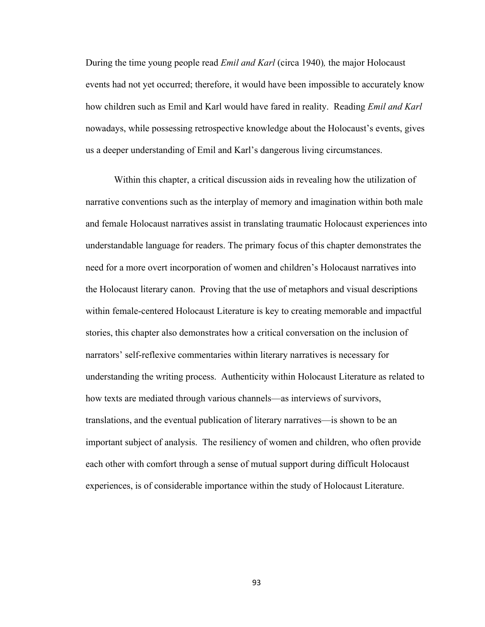During the time young people read *Emil and Karl* (circa 1940)*,* the major Holocaust events had not yet occurred; therefore, it would have been impossible to accurately know how children such as Emil and Karl would have fared in reality. Reading *Emil and Karl* nowadays, while possessing retrospective knowledge about the Holocaust's events, gives us a deeper understanding of Emil and Karl's dangerous living circumstances.

Within this chapter, a critical discussion aids in revealing how the utilization of narrative conventions such as the interplay of memory and imagination within both male and female Holocaust narratives assist in translating traumatic Holocaust experiences into understandable language for readers. The primary focus of this chapter demonstrates the need for a more overt incorporation of women and children's Holocaust narratives into the Holocaust literary canon. Proving that the use of metaphors and visual descriptions within female-centered Holocaust Literature is key to creating memorable and impactful stories, this chapter also demonstrates how a critical conversation on the inclusion of narrators' self-reflexive commentaries within literary narratives is necessary for understanding the writing process. Authenticity within Holocaust Literature as related to how texts are mediated through various channels—as interviews of survivors, translations, and the eventual publication of literary narratives—is shown to be an important subject of analysis. The resiliency of women and children, who often provide each other with comfort through a sense of mutual support during difficult Holocaust experiences, is of considerable importance within the study of Holocaust Literature.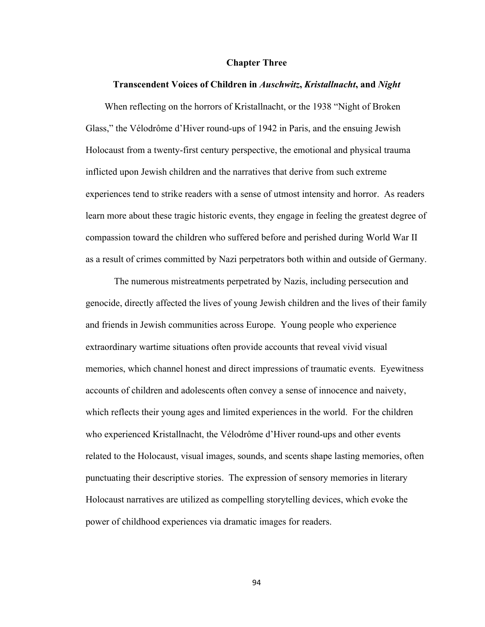#### **Chapter Three**

### **Transcendent Voices of Children in** *Auschwitz***,** *Kristallnacht***, and** *Night*

 When reflecting on the horrors of Kristallnacht, or the 1938 "Night of Broken Glass," the Vélodrôme d'Hiver round-ups of 1942 in Paris, and the ensuing Jewish Holocaust from a twenty-first century perspective, the emotional and physical trauma inflicted upon Jewish children and the narratives that derive from such extreme experiences tend to strike readers with a sense of utmost intensity and horror. As readers learn more about these tragic historic events, they engage in feeling the greatest degree of compassion toward the children who suffered before and perished during World War II as a result of crimes committed by Nazi perpetrators both within and outside of Germany.

The numerous mistreatments perpetrated by Nazis, including persecution and genocide, directly affected the lives of young Jewish children and the lives of their family and friends in Jewish communities across Europe. Young people who experience extraordinary wartime situations often provide accounts that reveal vivid visual memories, which channel honest and direct impressions of traumatic events. Eyewitness accounts of children and adolescents often convey a sense of innocence and naivety, which reflects their young ages and limited experiences in the world. For the children who experienced Kristallnacht, the Vélodrôme d'Hiver round-ups and other events related to the Holocaust, visual images, sounds, and scents shape lasting memories, often punctuating their descriptive stories. The expression of sensory memories in literary Holocaust narratives are utilized as compelling storytelling devices, which evoke the power of childhood experiences via dramatic images for readers.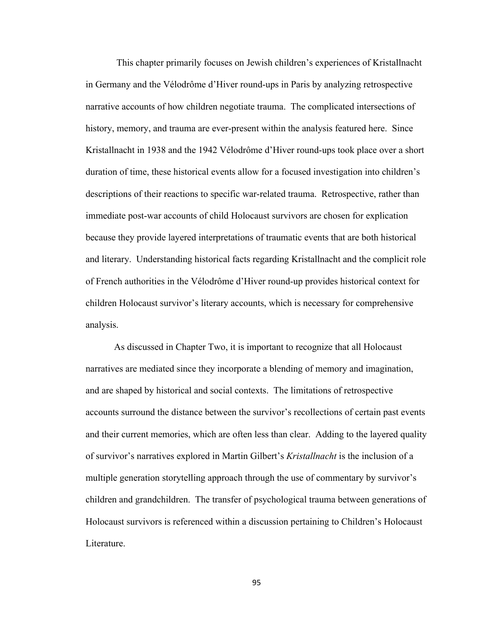This chapter primarily focuses on Jewish children's experiences of Kristallnacht in Germany and the Vélodrôme d'Hiver round-ups in Paris by analyzing retrospective narrative accounts of how children negotiate trauma. The complicated intersections of history, memory, and trauma are ever-present within the analysis featured here. Since Kristallnacht in 1938 and the 1942 Vélodrôme d'Hiver round-ups took place over a short duration of time, these historical events allow for a focused investigation into children's descriptions of their reactions to specific war-related trauma. Retrospective, rather than immediate post-war accounts of child Holocaust survivors are chosen for explication because they provide layered interpretations of traumatic events that are both historical and literary. Understanding historical facts regarding Kristallnacht and the complicit role of French authorities in the Vélodrôme d'Hiver round-up provides historical context for children Holocaust survivor's literary accounts, which is necessary for comprehensive analysis.

As discussed in Chapter Two, it is important to recognize that all Holocaust narratives are mediated since they incorporate a blending of memory and imagination, and are shaped by historical and social contexts. The limitations of retrospective accounts surround the distance between the survivor's recollections of certain past events and their current memories, which are often less than clear. Adding to the layered quality of survivor's narratives explored in Martin Gilbert's *Kristallnacht* is the inclusion of a multiple generation storytelling approach through the use of commentary by survivor's children and grandchildren. The transfer of psychological trauma between generations of Holocaust survivors is referenced within a discussion pertaining to Children's Holocaust Literature.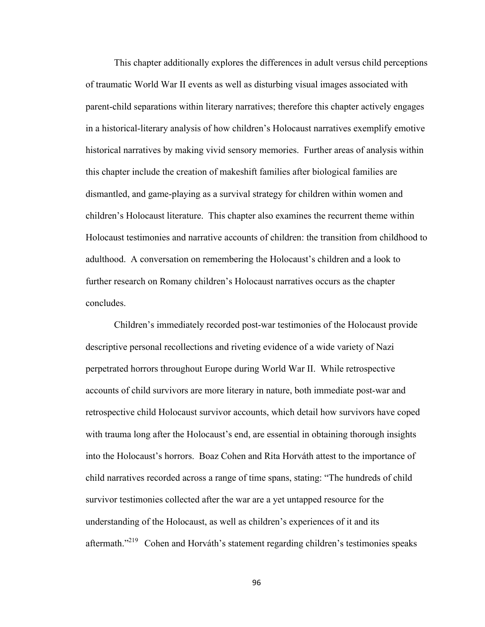This chapter additionally explores the differences in adult versus child perceptions of traumatic World War II events as well as disturbing visual images associated with parent-child separations within literary narratives; therefore this chapter actively engages in a historical-literary analysis of how children's Holocaust narratives exemplify emotive historical narratives by making vivid sensory memories. Further areas of analysis within this chapter include the creation of makeshift families after biological families are dismantled, and game-playing as a survival strategy for children within women and children's Holocaust literature. This chapter also examines the recurrent theme within Holocaust testimonies and narrative accounts of children: the transition from childhood to adulthood. A conversation on remembering the Holocaust's children and a look to further research on Romany children's Holocaust narratives occurs as the chapter concludes.

Children's immediately recorded post-war testimonies of the Holocaust provide descriptive personal recollections and riveting evidence of a wide variety of Nazi perpetrated horrors throughout Europe during World War II. While retrospective accounts of child survivors are more literary in nature, both immediate post-war and retrospective child Holocaust survivor accounts, which detail how survivors have coped with trauma long after the Holocaust's end, are essential in obtaining thorough insights into the Holocaust's horrors. Boaz Cohen and Rita Horváth attest to the importance of child narratives recorded across a range of time spans, stating: "The hundreds of child survivor testimonies collected after the war are a yet untapped resource for the understanding of the Holocaust, as well as children's experiences of it and its aftermath."219 Cohen and Horváth's statement regarding children's testimonies speaks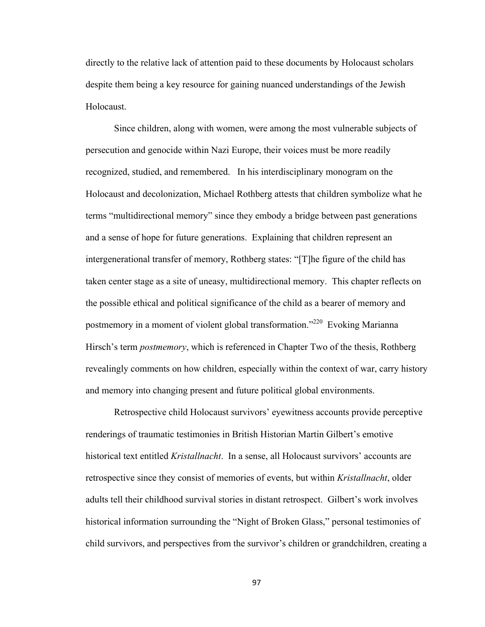directly to the relative lack of attention paid to these documents by Holocaust scholars despite them being a key resource for gaining nuanced understandings of the Jewish Holocaust.

Since children, along with women, were among the most vulnerable subjects of persecution and genocide within Nazi Europe, their voices must be more readily recognized, studied, and remembered. In his interdisciplinary monogram on the Holocaust and decolonization, Michael Rothberg attests that children symbolize what he terms "multidirectional memory" since they embody a bridge between past generations and a sense of hope for future generations. Explaining that children represent an intergenerational transfer of memory, Rothberg states: "[T]he figure of the child has taken center stage as a site of uneasy, multidirectional memory. This chapter reflects on the possible ethical and political significance of the child as a bearer of memory and postmemory in a moment of violent global transformation."220 Evoking Marianna Hirsch's term *postmemory*, which is referenced in Chapter Two of the thesis, Rothberg revealingly comments on how children, especially within the context of war, carry history and memory into changing present and future political global environments.

Retrospective child Holocaust survivors' eyewitness accounts provide perceptive renderings of traumatic testimonies in British Historian Martin Gilbert's emotive historical text entitled *Kristallnacht*. In a sense, all Holocaust survivors' accounts are retrospective since they consist of memories of events, but within *Kristallnacht*, older adults tell their childhood survival stories in distant retrospect. Gilbert's work involves historical information surrounding the "Night of Broken Glass," personal testimonies of child survivors, and perspectives from the survivor's children or grandchildren, creating a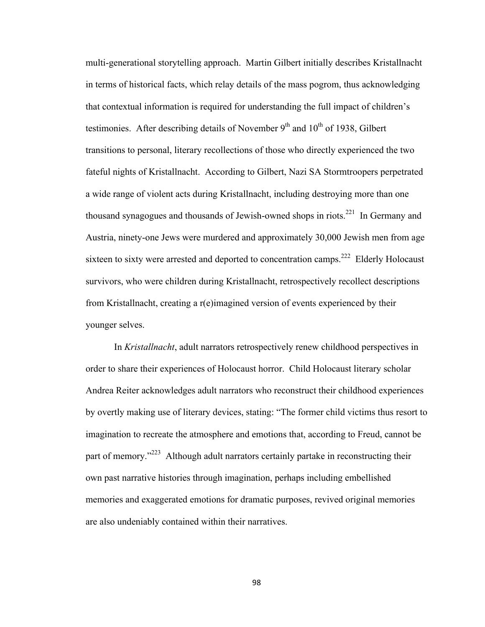multi-generational storytelling approach. Martin Gilbert initially describes Kristallnacht in terms of historical facts, which relay details of the mass pogrom, thus acknowledging that contextual information is required for understanding the full impact of children's testimonies. After describing details of November  $9<sup>th</sup>$  and  $10<sup>th</sup>$  of 1938, Gilbert transitions to personal, literary recollections of those who directly experienced the two fateful nights of Kristallnacht. According to Gilbert, Nazi SA Stormtroopers perpetrated a wide range of violent acts during Kristallnacht, including destroying more than one thousand synagogues and thousands of Jewish-owned shops in riots.<sup>221</sup> In Germany and Austria, ninety-one Jews were murdered and approximately 30,000 Jewish men from age sixteen to sixty were arrested and deported to concentration camps.<sup>222</sup> Elderly Holocaust survivors, who were children during Kristallnacht, retrospectively recollect descriptions from Kristallnacht, creating a r(e)imagined version of events experienced by their younger selves.

In *Kristallnacht*, adult narrators retrospectively renew childhood perspectives in order to share their experiences of Holocaust horror. Child Holocaust literary scholar Andrea Reiter acknowledges adult narrators who reconstruct their childhood experiences by overtly making use of literary devices, stating: "The former child victims thus resort to imagination to recreate the atmosphere and emotions that, according to Freud, cannot be part of memory."223 Although adult narrators certainly partake in reconstructing their own past narrative histories through imagination, perhaps including embellished memories and exaggerated emotions for dramatic purposes, revived original memories are also undeniably contained within their narratives.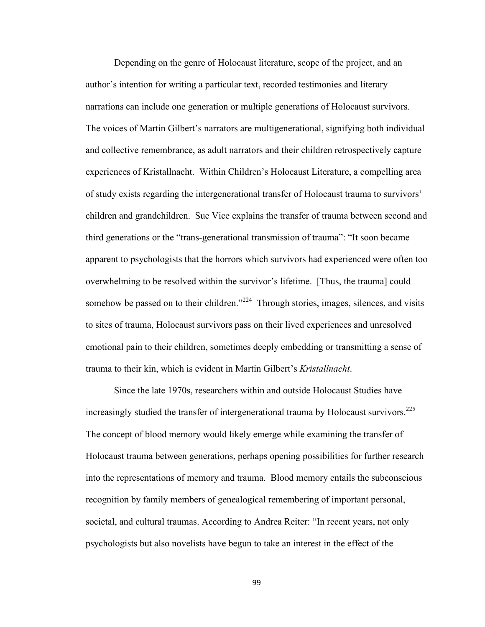Depending on the genre of Holocaust literature, scope of the project, and an author's intention for writing a particular text, recorded testimonies and literary narrations can include one generation or multiple generations of Holocaust survivors. The voices of Martin Gilbert's narrators are multigenerational, signifying both individual and collective remembrance, as adult narrators and their children retrospectively capture experiences of Kristallnacht. Within Children's Holocaust Literature, a compelling area of study exists regarding the intergenerational transfer of Holocaust trauma to survivors' children and grandchildren. Sue Vice explains the transfer of trauma between second and third generations or the "trans-generational transmission of trauma": "It soon became apparent to psychologists that the horrors which survivors had experienced were often too overwhelming to be resolved within the survivor's lifetime. [Thus, the trauma] could somehow be passed on to their children."<sup>224</sup> Through stories, images, silences, and visits to sites of trauma, Holocaust survivors pass on their lived experiences and unresolved emotional pain to their children, sometimes deeply embedding or transmitting a sense of trauma to their kin, which is evident in Martin Gilbert's *Kristallnacht*.

Since the late 1970s, researchers within and outside Holocaust Studies have increasingly studied the transfer of intergenerational trauma by Holocaust survivors.<sup>225</sup> The concept of blood memory would likely emerge while examining the transfer of Holocaust trauma between generations, perhaps opening possibilities for further research into the representations of memory and trauma. Blood memory entails the subconscious recognition by family members of genealogical remembering of important personal, societal, and cultural traumas. According to Andrea Reiter: "In recent years, not only psychologists but also novelists have begun to take an interest in the effect of the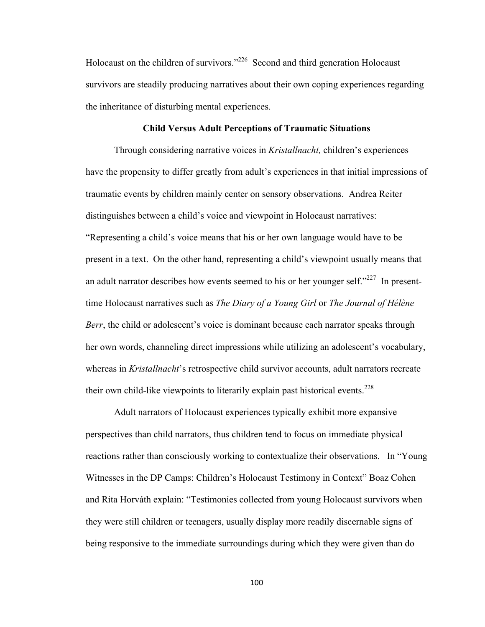Holocaust on the children of survivors.<sup>226</sup> Second and third generation Holocaust survivors are steadily producing narratives about their own coping experiences regarding the inheritance of disturbing mental experiences.

# **Child Versus Adult Perceptions of Traumatic Situations**

Through considering narrative voices in *Kristallnacht,* children's experiences have the propensity to differ greatly from adult's experiences in that initial impressions of traumatic events by children mainly center on sensory observations. Andrea Reiter distinguishes between a child's voice and viewpoint in Holocaust narratives: "Representing a child's voice means that his or her own language would have to be present in a text. On the other hand, representing a child's viewpoint usually means that an adult narrator describes how events seemed to his or her younger self." $227$  In presenttime Holocaust narratives such as *The Diary of a Young Girl* or *The Journal of Hélène Berr*, the child or adolescent's voice is dominant because each narrator speaks through her own words, channeling direct impressions while utilizing an adolescent's vocabulary, whereas in *Kristallnacht*'s retrospective child survivor accounts, adult narrators recreate their own child-like viewpoints to literarily explain past historical events.<sup>228</sup>

Adult narrators of Holocaust experiences typically exhibit more expansive perspectives than child narrators, thus children tend to focus on immediate physical reactions rather than consciously working to contextualize their observations. In "Young Witnesses in the DP Camps: Children's Holocaust Testimony in Context" Boaz Cohen and Rita Horváth explain: "Testimonies collected from young Holocaust survivors when they were still children or teenagers, usually display more readily discernable signs of being responsive to the immediate surroundings during which they were given than do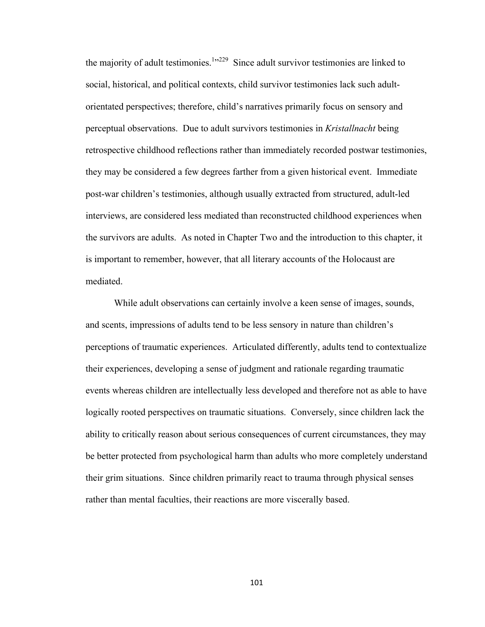the majority of adult testimonies.<sup>1</sup> $1,229$  Since adult survivor testimonies are linked to social, historical, and political contexts, child survivor testimonies lack such adultorientated perspectives; therefore, child's narratives primarily focus on sensory and perceptual observations. Due to adult survivors testimonies in *Kristallnacht* being retrospective childhood reflections rather than immediately recorded postwar testimonies, they may be considered a few degrees farther from a given historical event. Immediate post-war children's testimonies, although usually extracted from structured, adult-led interviews, are considered less mediated than reconstructed childhood experiences when the survivors are adults. As noted in Chapter Two and the introduction to this chapter, it is important to remember, however, that all literary accounts of the Holocaust are mediated.

While adult observations can certainly involve a keen sense of images, sounds, and scents, impressions of adults tend to be less sensory in nature than children's perceptions of traumatic experiences. Articulated differently, adults tend to contextualize their experiences, developing a sense of judgment and rationale regarding traumatic events whereas children are intellectually less developed and therefore not as able to have logically rooted perspectives on traumatic situations. Conversely, since children lack the ability to critically reason about serious consequences of current circumstances, they may be better protected from psychological harm than adults who more completely understand their grim situations. Since children primarily react to trauma through physical senses rather than mental faculties, their reactions are more viscerally based.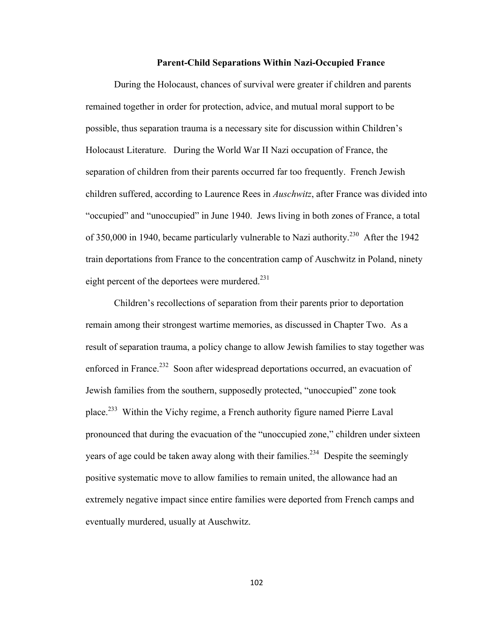#### **Parent-Child Separations Within Nazi-Occupied France**

During the Holocaust, chances of survival were greater if children and parents remained together in order for protection, advice, and mutual moral support to be possible, thus separation trauma is a necessary site for discussion within Children's Holocaust Literature. During the World War II Nazi occupation of France, the separation of children from their parents occurred far too frequently. French Jewish children suffered, according to Laurence Rees in *Auschwitz*, after France was divided into "occupied" and "unoccupied" in June 1940. Jews living in both zones of France, a total of 350,000 in 1940, became particularly vulnerable to Nazi authority.<sup>230</sup> After the 1942 train deportations from France to the concentration camp of Auschwitz in Poland, ninety eight percent of the deportees were murdered. $^{231}$ 

Children's recollections of separation from their parents prior to deportation remain among their strongest wartime memories, as discussed in Chapter Two. As a result of separation trauma, a policy change to allow Jewish families to stay together was enforced in France.<sup>232</sup> Soon after widespread deportations occurred, an evacuation of Jewish families from the southern, supposedly protected, "unoccupied" zone took place.<sup>233</sup> Within the Vichy regime, a French authority figure named Pierre Laval pronounced that during the evacuation of the "unoccupied zone," children under sixteen years of age could be taken away along with their families.<sup>234</sup> Despite the seemingly positive systematic move to allow families to remain united, the allowance had an extremely negative impact since entire families were deported from French camps and eventually murdered, usually at Auschwitz.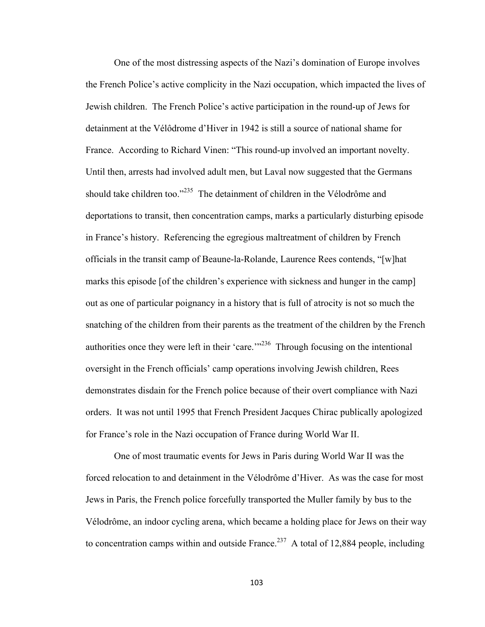One of the most distressing aspects of the Nazi's domination of Europe involves the French Police's active complicity in the Nazi occupation, which impacted the lives of Jewish children. The French Police's active participation in the round-up of Jews for detainment at the Vélôdrome d'Hiver in 1942 is still a source of national shame for France. According to Richard Vinen: "This round-up involved an important novelty. Until then, arrests had involved adult men, but Laval now suggested that the Germans should take children too."<sup>235</sup> The detainment of children in the Vélodrôme and deportations to transit, then concentration camps, marks a particularly disturbing episode in France's history. Referencing the egregious maltreatment of children by French officials in the transit camp of Beaune-la-Rolande, Laurence Rees contends, "[w]hat marks this episode [of the children's experience with sickness and hunger in the camp] out as one of particular poignancy in a history that is full of atrocity is not so much the snatching of the children from their parents as the treatment of the children by the French authorities once they were left in their 'care.'"<sup>236</sup> Through focusing on the intentional oversight in the French officials' camp operations involving Jewish children, Rees demonstrates disdain for the French police because of their overt compliance with Nazi orders. It was not until 1995 that French President Jacques Chirac publically apologized for France's role in the Nazi occupation of France during World War II.

One of most traumatic events for Jews in Paris during World War II was the forced relocation to and detainment in the Vélodrôme d'Hiver. As was the case for most Jews in Paris, the French police forcefully transported the Muller family by bus to the Vélodrôme, an indoor cycling arena, which became a holding place for Jews on their way to concentration camps within and outside France.<sup>237</sup> A total of 12,884 people, including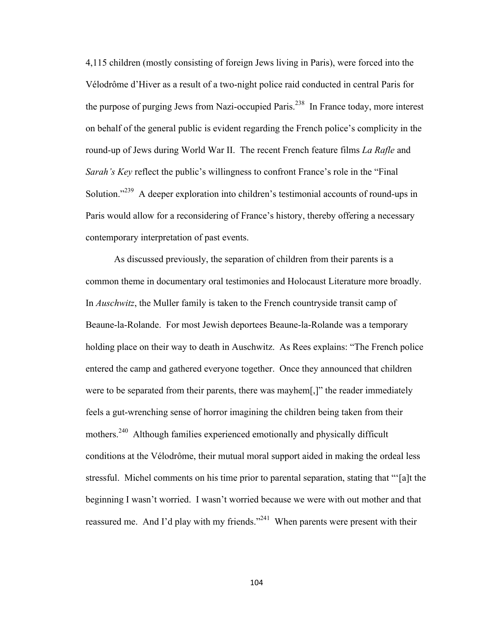4,115 children (mostly consisting of foreign Jews living in Paris), were forced into the Vélodrôme d'Hiver as a result of a two-night police raid conducted in central Paris for the purpose of purging Jews from Nazi-occupied Paris.<sup>238</sup> In France today, more interest on behalf of the general public is evident regarding the French police's complicity in the round-up of Jews during World War II. The recent French feature films *La Rafle* and *Sarah's Key* reflect the public's willingness to confront France's role in the "Final Solution."<sup>239</sup> A deeper exploration into children's testimonial accounts of round-ups in Paris would allow for a reconsidering of France's history, thereby offering a necessary contemporary interpretation of past events.

As discussed previously, the separation of children from their parents is a common theme in documentary oral testimonies and Holocaust Literature more broadly. In *Auschwitz*, the Muller family is taken to the French countryside transit camp of Beaune-la-Rolande. For most Jewish deportees Beaune-la-Rolande was a temporary holding place on their way to death in Auschwitz. As Rees explains: "The French police entered the camp and gathered everyone together. Once they announced that children were to be separated from their parents, there was mayhem[,]" the reader immediately feels a gut-wrenching sense of horror imagining the children being taken from their mothers.<sup>240</sup> Although families experienced emotionally and physically difficult conditions at the Vélodrôme, their mutual moral support aided in making the ordeal less stressful. Michel comments on his time prior to parental separation, stating that "'[a]t the beginning I wasn't worried. I wasn't worried because we were with out mother and that reassured me. And I'd play with my friends."<sup>241</sup> When parents were present with their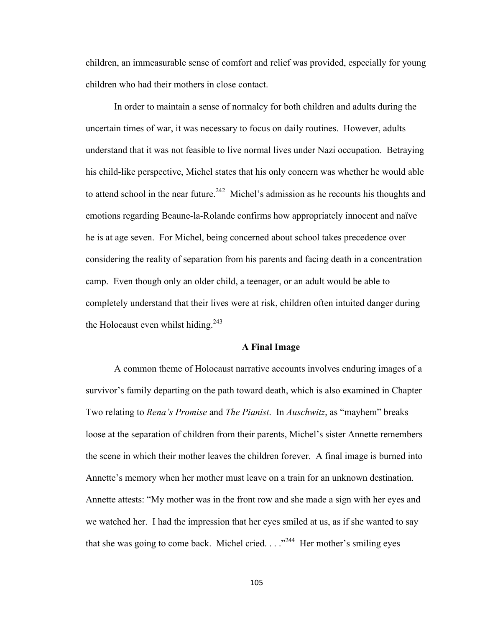children, an immeasurable sense of comfort and relief was provided, especially for young children who had their mothers in close contact.

In order to maintain a sense of normalcy for both children and adults during the uncertain times of war, it was necessary to focus on daily routines. However, adults understand that it was not feasible to live normal lives under Nazi occupation. Betraying his child-like perspective, Michel states that his only concern was whether he would able to attend school in the near future.<sup>242</sup> Michel's admission as he recounts his thoughts and emotions regarding Beaune-la-Rolande confirms how appropriately innocent and naïve he is at age seven. For Michel, being concerned about school takes precedence over considering the reality of separation from his parents and facing death in a concentration camp. Even though only an older child, a teenager, or an adult would be able to completely understand that their lives were at risk, children often intuited danger during the Holocaust even whilst hiding.<sup>243</sup>

### **A Final Image**

A common theme of Holocaust narrative accounts involves enduring images of a survivor's family departing on the path toward death, which is also examined in Chapter Two relating to *Rena's Promise* and *The Pianist*. In *Auschwitz*, as "mayhem" breaks loose at the separation of children from their parents, Michel's sister Annette remembers the scene in which their mother leaves the children forever. A final image is burned into Annette's memory when her mother must leave on a train for an unknown destination. Annette attests: "My mother was in the front row and she made a sign with her eyes and we watched her. I had the impression that her eyes smiled at us, as if she wanted to say that she was going to come back. Michel cried.  $\ldots$ <sup>244</sup> Her mother's smiling eyes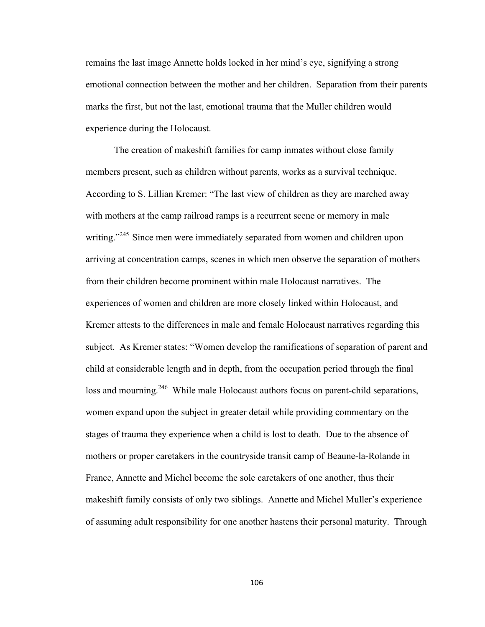remains the last image Annette holds locked in her mind's eye, signifying a strong emotional connection between the mother and her children. Separation from their parents marks the first, but not the last, emotional trauma that the Muller children would experience during the Holocaust.

The creation of makeshift families for camp inmates without close family members present, such as children without parents, works as a survival technique. According to S. Lillian Kremer: "The last view of children as they are marched away with mothers at the camp railroad ramps is a recurrent scene or memory in male writing."<sup>245</sup> Since men were immediately separated from women and children upon arriving at concentration camps, scenes in which men observe the separation of mothers from their children become prominent within male Holocaust narratives. The experiences of women and children are more closely linked within Holocaust, and Kremer attests to the differences in male and female Holocaust narratives regarding this subject. As Kremer states: "Women develop the ramifications of separation of parent and child at considerable length and in depth, from the occupation period through the final loss and mourning.<sup>246</sup> While male Holocaust authors focus on parent-child separations, women expand upon the subject in greater detail while providing commentary on the stages of trauma they experience when a child is lost to death. Due to the absence of mothers or proper caretakers in the countryside transit camp of Beaune-la-Rolande in France, Annette and Michel become the sole caretakers of one another, thus their makeshift family consists of only two siblings. Annette and Michel Muller's experience of assuming adult responsibility for one another hastens their personal maturity. Through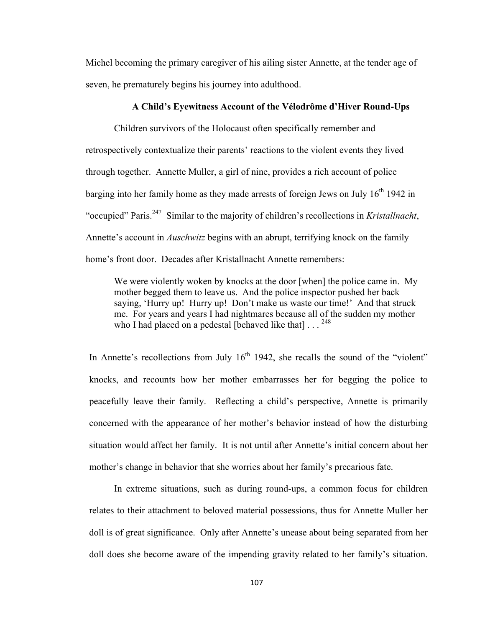Michel becoming the primary caregiver of his ailing sister Annette, at the tender age of seven, he prematurely begins his journey into adulthood.

# **A Child's Eyewitness Account of the Vélodrôme d'Hiver Round-Ups**

Children survivors of the Holocaust often specifically remember and retrospectively contextualize their parents' reactions to the violent events they lived through together. Annette Muller, a girl of nine, provides a rich account of police barging into her family home as they made arrests of foreign Jews on July  $16<sup>th</sup> 1942$  in "occupied" Paris.247 Similar to the majority of children's recollections in *Kristallnacht*, Annette's account in *Auschwitz* begins with an abrupt, terrifying knock on the family home's front door. Decades after Kristallnacht Annette remembers:

We were violently woken by knocks at the door [when] the police came in. My mother begged them to leave us. And the police inspector pushed her back saying, 'Hurry up! Hurry up! Don't make us waste our time!' And that struck me. For years and years I had nightmares because all of the sudden my mother who I had placed on a pedestal [behaved like that] . . . <sup>248</sup>

In Annette's recollections from July  $16<sup>th</sup>$  1942, she recalls the sound of the "violent" knocks, and recounts how her mother embarrasses her for begging the police to peacefully leave their family. Reflecting a child's perspective, Annette is primarily concerned with the appearance of her mother's behavior instead of how the disturbing situation would affect her family. It is not until after Annette's initial concern about her mother's change in behavior that she worries about her family's precarious fate.

In extreme situations, such as during round-ups, a common focus for children relates to their attachment to beloved material possessions, thus for Annette Muller her doll is of great significance. Only after Annette's unease about being separated from her doll does she become aware of the impending gravity related to her family's situation.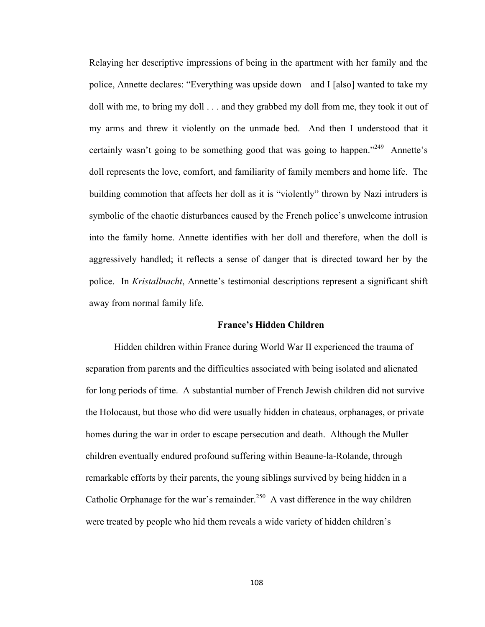Relaying her descriptive impressions of being in the apartment with her family and the police, Annette declares: "Everything was upside down—and I [also] wanted to take my doll with me, to bring my doll . . . and they grabbed my doll from me, they took it out of my arms and threw it violently on the unmade bed. And then I understood that it certainly wasn't going to be something good that was going to happen."<sup>249</sup> Annette's doll represents the love, comfort, and familiarity of family members and home life. The building commotion that affects her doll as it is "violently" thrown by Nazi intruders is symbolic of the chaotic disturbances caused by the French police's unwelcome intrusion into the family home. Annette identifies with her doll and therefore, when the doll is aggressively handled; it reflects a sense of danger that is directed toward her by the police. In *Kristallnacht*, Annette's testimonial descriptions represent a significant shift away from normal family life.

# **France's Hidden Children**

Hidden children within France during World War II experienced the trauma of separation from parents and the difficulties associated with being isolated and alienated for long periods of time. A substantial number of French Jewish children did not survive the Holocaust, but those who did were usually hidden in chateaus, orphanages, or private homes during the war in order to escape persecution and death. Although the Muller children eventually endured profound suffering within Beaune-la-Rolande, through remarkable efforts by their parents, the young siblings survived by being hidden in a Catholic Orphanage for the war's remainder.<sup>250</sup> A vast difference in the way children were treated by people who hid them reveals a wide variety of hidden children's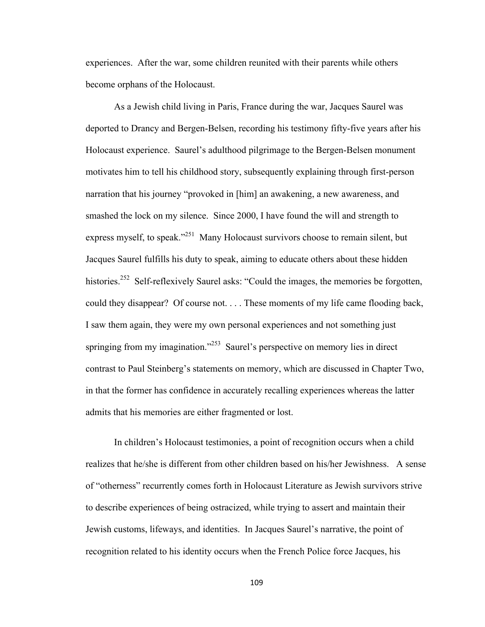experiences. After the war, some children reunited with their parents while others become orphans of the Holocaust.

As a Jewish child living in Paris, France during the war, Jacques Saurel was deported to Drancy and Bergen-Belsen, recording his testimony fifty-five years after his Holocaust experience. Saurel's adulthood pilgrimage to the Bergen-Belsen monument motivates him to tell his childhood story, subsequently explaining through first-person narration that his journey "provoked in [him] an awakening, a new awareness, and smashed the lock on my silence. Since 2000, I have found the will and strength to express myself, to speak."<sup>251</sup> Many Holocaust survivors choose to remain silent, but Jacques Saurel fulfills his duty to speak, aiming to educate others about these hidden histories.<sup>252</sup> Self-reflexively Saurel asks: "Could the images, the memories be forgotten, could they disappear? Of course not. . . . These moments of my life came flooding back, I saw them again, they were my own personal experiences and not something just springing from my imagination."<sup>253</sup> Saurel's perspective on memory lies in direct contrast to Paul Steinberg's statements on memory, which are discussed in Chapter Two, in that the former has confidence in accurately recalling experiences whereas the latter admits that his memories are either fragmented or lost.

In children's Holocaust testimonies, a point of recognition occurs when a child realizes that he/she is different from other children based on his/her Jewishness. A sense of "otherness" recurrently comes forth in Holocaust Literature as Jewish survivors strive to describe experiences of being ostracized, while trying to assert and maintain their Jewish customs, lifeways, and identities. In Jacques Saurel's narrative, the point of recognition related to his identity occurs when the French Police force Jacques, his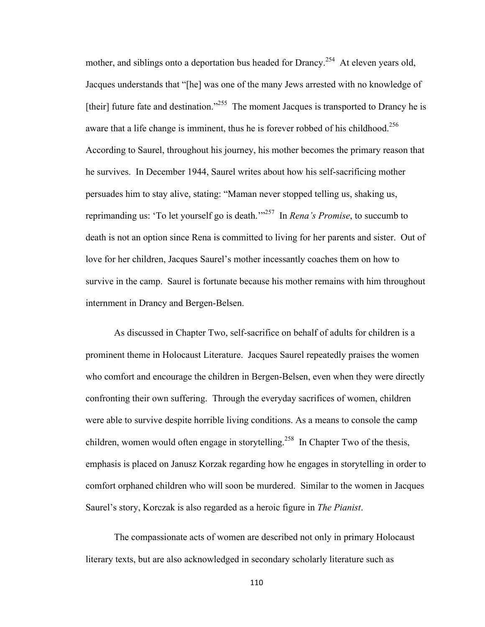mother, and siblings onto a deportation bus headed for Drancy.<sup>254</sup> At eleven years old, Jacques understands that "[he] was one of the many Jews arrested with no knowledge of [their] future fate and destination."<sup>255</sup> The moment Jacques is transported to Drancy he is aware that a life change is imminent, thus he is forever robbed of his childhood.<sup>256</sup> According to Saurel, throughout his journey, his mother becomes the primary reason that he survives. In December 1944, Saurel writes about how his self-sacrificing mother persuades him to stay alive, stating: "Maman never stopped telling us, shaking us, reprimanding us: 'To let yourself go is death.'"257 In *Rena's Promise*, to succumb to death is not an option since Rena is committed to living for her parents and sister. Out of love for her children, Jacques Saurel's mother incessantly coaches them on how to survive in the camp. Saurel is fortunate because his mother remains with him throughout internment in Drancy and Bergen-Belsen.

As discussed in Chapter Two, self-sacrifice on behalf of adults for children is a prominent theme in Holocaust Literature. Jacques Saurel repeatedly praises the women who comfort and encourage the children in Bergen-Belsen, even when they were directly confronting their own suffering. Through the everyday sacrifices of women, children were able to survive despite horrible living conditions. As a means to console the camp children, women would often engage in storytelling.<sup>258</sup> In Chapter Two of the thesis, emphasis is placed on Janusz Korzak regarding how he engages in storytelling in order to comfort orphaned children who will soon be murdered. Similar to the women in Jacques Saurel's story, Korczak is also regarded as a heroic figure in *The Pianist*.

The compassionate acts of women are described not only in primary Holocaust literary texts, but are also acknowledged in secondary scholarly literature such as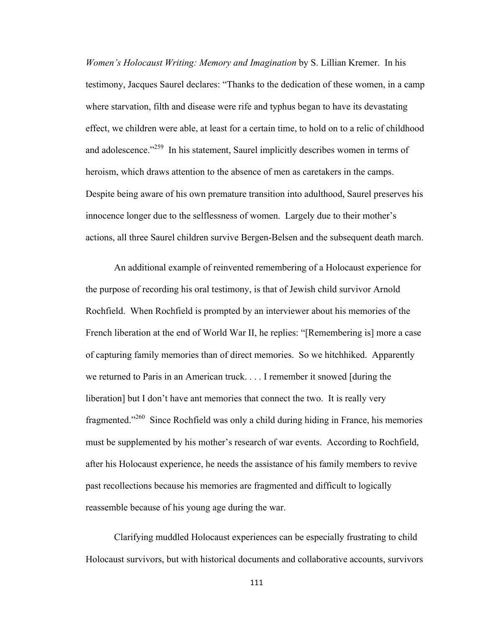*Women's Holocaust Writing: Memory and Imagination* by S. Lillian Kremer. In his testimony, Jacques Saurel declares: "Thanks to the dedication of these women, in a camp where starvation, filth and disease were rife and typhus began to have its devastating effect, we children were able, at least for a certain time, to hold on to a relic of childhood and adolescence."<sup>259</sup> In his statement, Saurel implicitly describes women in terms of heroism, which draws attention to the absence of men as caretakers in the camps. Despite being aware of his own premature transition into adulthood, Saurel preserves his innocence longer due to the selflessness of women. Largely due to their mother's actions, all three Saurel children survive Bergen-Belsen and the subsequent death march.

An additional example of reinvented remembering of a Holocaust experience for the purpose of recording his oral testimony, is that of Jewish child survivor Arnold Rochfield. When Rochfield is prompted by an interviewer about his memories of the French liberation at the end of World War II, he replies: "[Remembering is] more a case of capturing family memories than of direct memories. So we hitchhiked. Apparently we returned to Paris in an American truck. . . . I remember it snowed [during the liberation] but I don't have ant memories that connect the two. It is really very fragmented."260 Since Rochfield was only a child during hiding in France, his memories must be supplemented by his mother's research of war events. According to Rochfield, after his Holocaust experience, he needs the assistance of his family members to revive past recollections because his memories are fragmented and difficult to logically reassemble because of his young age during the war.

Clarifying muddled Holocaust experiences can be especially frustrating to child Holocaust survivors, but with historical documents and collaborative accounts, survivors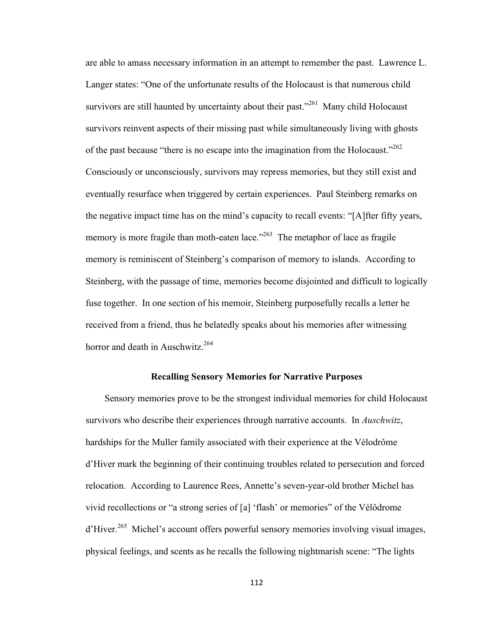are able to amass necessary information in an attempt to remember the past. Lawrence L. Langer states: "One of the unfortunate results of the Holocaust is that numerous child survivors are still haunted by uncertainty about their past."<sup>261</sup> Many child Holocaust survivors reinvent aspects of their missing past while simultaneously living with ghosts of the past because "there is no escape into the imagination from the Holocaust."<sup>262</sup> Consciously or unconsciously, survivors may repress memories, but they still exist and eventually resurface when triggered by certain experiences. Paul Steinberg remarks on the negative impact time has on the mind's capacity to recall events: "[A]fter fifty years, memory is more fragile than moth-eaten lace."<sup>263</sup> The metaphor of lace as fragile memory is reminiscent of Steinberg's comparison of memory to islands. According to Steinberg, with the passage of time, memories become disjointed and difficult to logically fuse together. In one section of his memoir, Steinberg purposefully recalls a letter he received from a friend, thus he belatedly speaks about his memories after witnessing horror and death in Auschwitz. $264$ 

# **Recalling Sensory Memories for Narrative Purposes**

 Sensory memories prove to be the strongest individual memories for child Holocaust survivors who describe their experiences through narrative accounts. In *Auschwitz*, hardships for the Muller family associated with their experience at the Vélodrôme d'Hiver mark the beginning of their continuing troubles related to persecution and forced relocation. According to Laurence Rees, Annette's seven-year-old brother Michel has vivid recollections or "a strong series of [a] 'flash' or memories" of the Vélôdrome d'Hiver.<sup>265</sup> Michel's account offers powerful sensory memories involving visual images, physical feelings, and scents as he recalls the following nightmarish scene: "The lights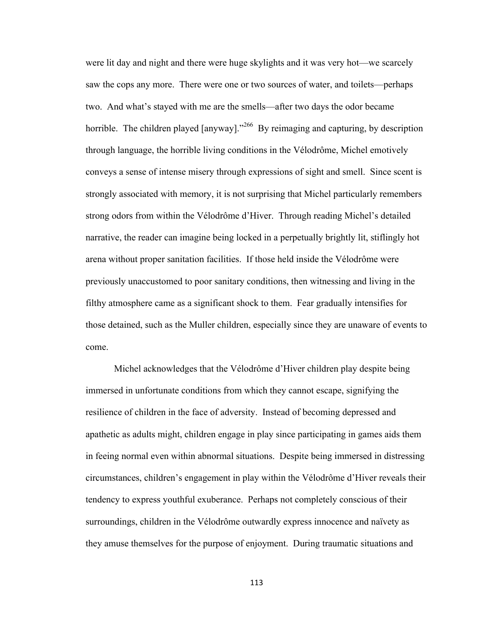were lit day and night and there were huge skylights and it was very hot—we scarcely saw the cops any more. There were one or two sources of water, and toilets—perhaps two. And what's stayed with me are the smells—after two days the odor became horrible. The children played  $\left[\text{anyway}\right]$ .<sup>266</sup> By reimaging and capturing, by description through language, the horrible living conditions in the Vélodrôme, Michel emotively conveys a sense of intense misery through expressions of sight and smell. Since scent is strongly associated with memory, it is not surprising that Michel particularly remembers strong odors from within the Vélodrôme d'Hiver. Through reading Michel's detailed narrative, the reader can imagine being locked in a perpetually brightly lit, stiflingly hot arena without proper sanitation facilities. If those held inside the Vélodrôme were previously unaccustomed to poor sanitary conditions, then witnessing and living in the filthy atmosphere came as a significant shock to them. Fear gradually intensifies for those detained, such as the Muller children, especially since they are unaware of events to come.

Michel acknowledges that the Vélodrôme d'Hiver children play despite being immersed in unfortunate conditions from which they cannot escape, signifying the resilience of children in the face of adversity. Instead of becoming depressed and apathetic as adults might, children engage in play since participating in games aids them in feeing normal even within abnormal situations. Despite being immersed in distressing circumstances, children's engagement in play within the Vélodrôme d'Hiver reveals their tendency to express youthful exuberance. Perhaps not completely conscious of their surroundings, children in the Vélodrôme outwardly express innocence and naïvety as they amuse themselves for the purpose of enjoyment. During traumatic situations and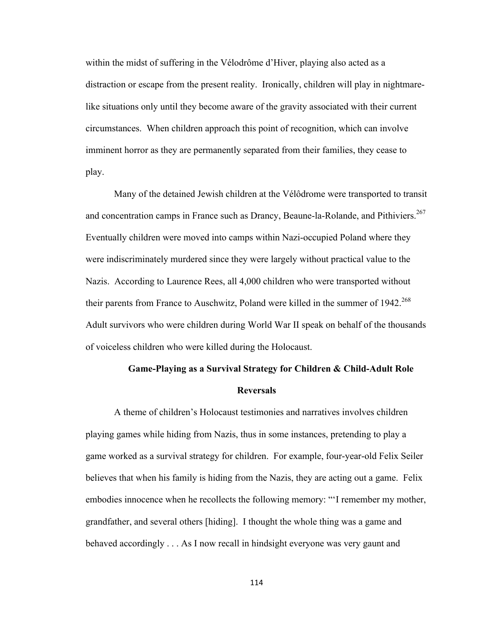within the midst of suffering in the Vélodrôme d'Hiver, playing also acted as a distraction or escape from the present reality. Ironically, children will play in nightmarelike situations only until they become aware of the gravity associated with their current circumstances. When children approach this point of recognition, which can involve imminent horror as they are permanently separated from their families, they cease to play.

Many of the detained Jewish children at the Vélôdrome were transported to transit and concentration camps in France such as Drancy, Beaune-la-Rolande, and Pithiviers.<sup>267</sup> Eventually children were moved into camps within Nazi-occupied Poland where they were indiscriminately murdered since they were largely without practical value to the Nazis. According to Laurence Rees, all 4,000 children who were transported without their parents from France to Auschwitz, Poland were killed in the summer of  $1942^{268}$ Adult survivors who were children during World War II speak on behalf of the thousands of voiceless children who were killed during the Holocaust.

# **Game-Playing as a Survival Strategy for Children & Child-Adult Role Reversals**

A theme of children's Holocaust testimonies and narratives involves children playing games while hiding from Nazis, thus in some instances, pretending to play a game worked as a survival strategy for children. For example, four-year-old Felix Seiler believes that when his family is hiding from the Nazis, they are acting out a game. Felix embodies innocence when he recollects the following memory: "'I remember my mother, grandfather, and several others [hiding]. I thought the whole thing was a game and behaved accordingly . . . As I now recall in hindsight everyone was very gaunt and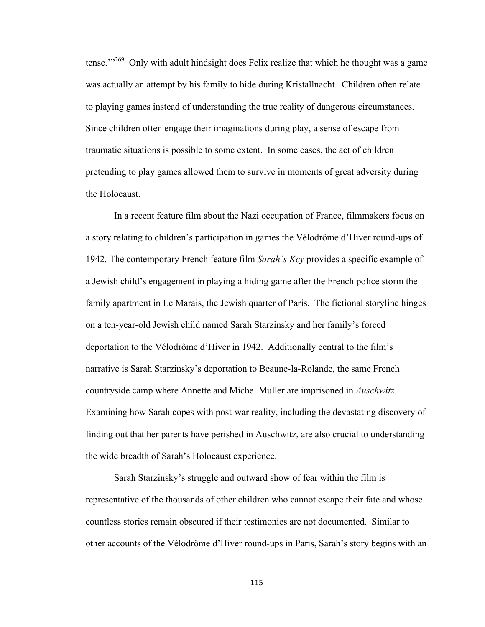tense. $1^{1269}$  Only with adult hindsight does Felix realize that which he thought was a game was actually an attempt by his family to hide during Kristallnacht. Children often relate to playing games instead of understanding the true reality of dangerous circumstances. Since children often engage their imaginations during play, a sense of escape from traumatic situations is possible to some extent. In some cases, the act of children pretending to play games allowed them to survive in moments of great adversity during the Holocaust.

In a recent feature film about the Nazi occupation of France, filmmakers focus on a story relating to children's participation in games the Vélodrôme d'Hiver round-ups of 1942. The contemporary French feature film *Sarah's Key* provides a specific example of a Jewish child's engagement in playing a hiding game after the French police storm the family apartment in Le Marais, the Jewish quarter of Paris. The fictional storyline hinges on a ten-year-old Jewish child named Sarah Starzinsky and her family's forced deportation to the Vélodrôme d'Hiver in 1942. Additionally central to the film's narrative is Sarah Starzinsky's deportation to Beaune-la-Rolande, the same French countryside camp where Annette and Michel Muller are imprisoned in *Auschwitz.*  Examining how Sarah copes with post-war reality, including the devastating discovery of finding out that her parents have perished in Auschwitz, are also crucial to understanding the wide breadth of Sarah's Holocaust experience.

Sarah Starzinsky's struggle and outward show of fear within the film is representative of the thousands of other children who cannot escape their fate and whose countless stories remain obscured if their testimonies are not documented. Similar to other accounts of the Vélodrôme d'Hiver round-ups in Paris, Sarah's story begins with an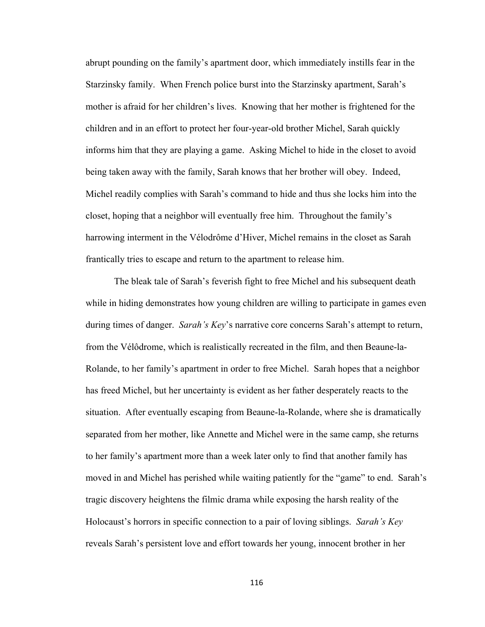abrupt pounding on the family's apartment door, which immediately instills fear in the Starzinsky family. When French police burst into the Starzinsky apartment, Sarah's mother is afraid for her children's lives. Knowing that her mother is frightened for the children and in an effort to protect her four-year-old brother Michel, Sarah quickly informs him that they are playing a game. Asking Michel to hide in the closet to avoid being taken away with the family, Sarah knows that her brother will obey. Indeed, Michel readily complies with Sarah's command to hide and thus she locks him into the closet, hoping that a neighbor will eventually free him. Throughout the family's harrowing interment in the Vélodrôme d'Hiver, Michel remains in the closet as Sarah frantically tries to escape and return to the apartment to release him.

The bleak tale of Sarah's feverish fight to free Michel and his subsequent death while in hiding demonstrates how young children are willing to participate in games even during times of danger. *Sarah's Key*'s narrative core concerns Sarah's attempt to return, from the Vélôdrome, which is realistically recreated in the film, and then Beaune-la-Rolande, to her family's apartment in order to free Michel. Sarah hopes that a neighbor has freed Michel, but her uncertainty is evident as her father desperately reacts to the situation. After eventually escaping from Beaune-la-Rolande, where she is dramatically separated from her mother, like Annette and Michel were in the same camp, she returns to her family's apartment more than a week later only to find that another family has moved in and Michel has perished while waiting patiently for the "game" to end. Sarah's tragic discovery heightens the filmic drama while exposing the harsh reality of the Holocaust's horrors in specific connection to a pair of loving siblings. *Sarah's Key* reveals Sarah's persistent love and effort towards her young, innocent brother in her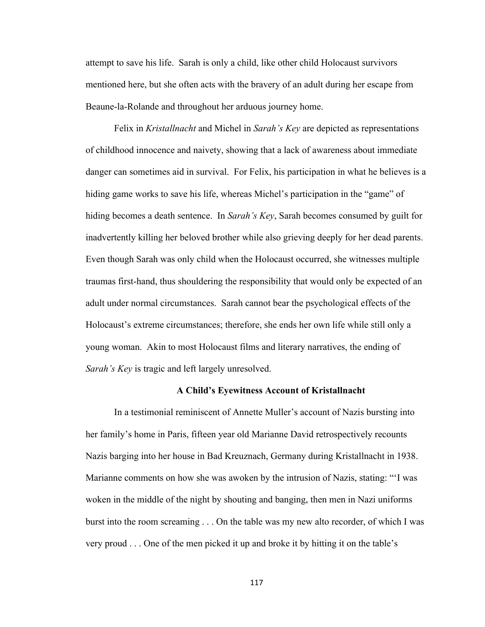attempt to save his life. Sarah is only a child, like other child Holocaust survivors mentioned here, but she often acts with the bravery of an adult during her escape from Beaune-la-Rolande and throughout her arduous journey home.

Felix in *Kristallnacht* and Michel in *Sarah's Key* are depicted as representations of childhood innocence and naivety, showing that a lack of awareness about immediate danger can sometimes aid in survival. For Felix, his participation in what he believes is a hiding game works to save his life, whereas Michel's participation in the "game" of hiding becomes a death sentence. In *Sarah's Key*, Sarah becomes consumed by guilt for inadvertently killing her beloved brother while also grieving deeply for her dead parents. Even though Sarah was only child when the Holocaust occurred, she witnesses multiple traumas first-hand, thus shouldering the responsibility that would only be expected of an adult under normal circumstances. Sarah cannot bear the psychological effects of the Holocaust's extreme circumstances; therefore, she ends her own life while still only a young woman. Akin to most Holocaust films and literary narratives, the ending of *Sarah's Key* is tragic and left largely unresolved.

# **A Child's Eyewitness Account of Kristallnacht**

In a testimonial reminiscent of Annette Muller's account of Nazis bursting into her family's home in Paris, fifteen year old Marianne David retrospectively recounts Nazis barging into her house in Bad Kreuznach, Germany during Kristallnacht in 1938. Marianne comments on how she was awoken by the intrusion of Nazis, stating: "'I was woken in the middle of the night by shouting and banging, then men in Nazi uniforms burst into the room screaming . . . On the table was my new alto recorder, of which I was very proud . . . One of the men picked it up and broke it by hitting it on the table's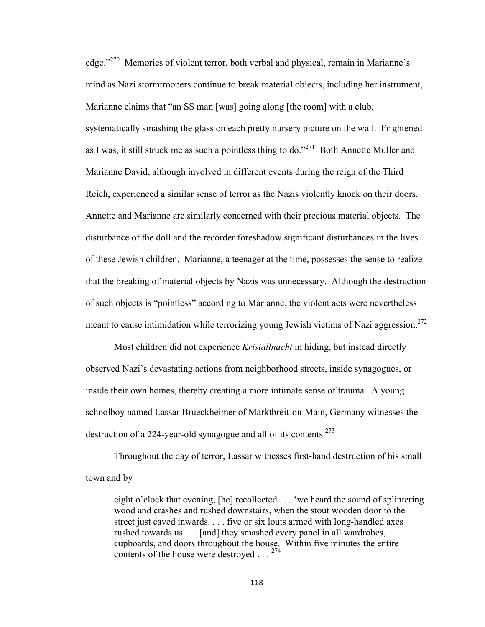edge."270 Memories of violent terror, both verbal and physical, remain in Marianne's mind as Nazi stormtroopers continue to break material objects, including her instrument, Marianne claims that "an SS man [was] going along [the room] with a club, systematically smashing the glass on each pretty nursery picture on the wall. Frightened as I was, it still struck me as such a pointless thing to do."<sup>271</sup> Both Annette Muller and Marianne David, although involved in different events during the reign of the Third Reich, experienced a similar sense of terror as the Nazis violently knock on their doors. Annette and Marianne are similarly concerned with their precious material objects. The disturbance of the doll and the recorder foreshadow significant disturbances in the lives of these Jewish children. Marianne, a teenager at the time, possesses the sense to realize that the breaking of material objects by Nazis was unnecessary. Although the destruction of such objects is "pointless" according to Marianne, the violent acts were nevertheless meant to cause intimidation while terrorizing young Jewish victims of Nazi aggression.<sup>272</sup>

Most children did not experience *Kristallnacht* in hiding, but instead directly observed Nazi's devastating actions from neighborhood streets, inside synagogues, or inside their own homes, thereby creating a more intimate sense of trauma. A young schoolboy named Lassar Brueckheimer of Marktbreit-on-Main, Germany witnesses the destruction of a 224-year-old synagogue and all of its contents.<sup>273</sup>

Throughout the day of terror, Lassar witnesses first-hand destruction of his small town and by

eight o'clock that evening, [he] recollected . . . 'we heard the sound of splintering wood and crashes and rushed downstairs, when the stout wooden door to the street just caved inwards. . . . five or six louts armed with long-handled axes rushed towards us . . . [and] they smashed every panel in all wardrobes, cupboards, and doors throughout the house. Within five minutes the entire contents of the house were destroyed . . . 274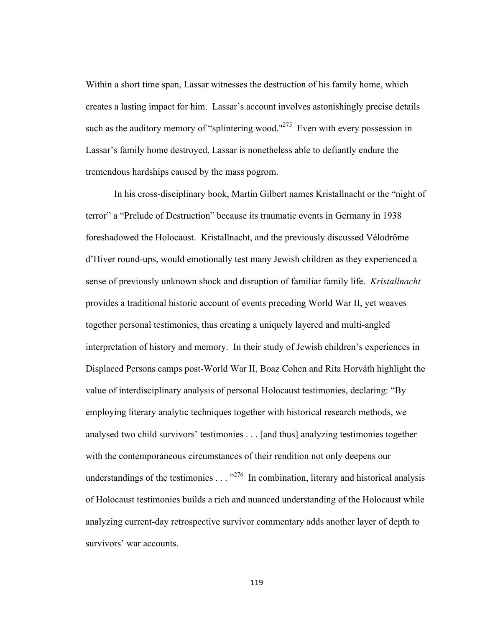Within a short time span, Lassar witnesses the destruction of his family home, which creates a lasting impact for him. Lassar's account involves astonishingly precise details such as the auditory memory of "splintering wood."<sup>275</sup> Even with every possession in Lassar's family home destroyed, Lassar is nonetheless able to defiantly endure the tremendous hardships caused by the mass pogrom.

In his cross-disciplinary book, Martin Gilbert names Kristallnacht or the "night of terror" a "Prelude of Destruction" because its traumatic events in Germany in 1938 foreshadowed the Holocaust. Kristallnacht, and the previously discussed Vélodrôme d'Hiver round-ups, would emotionally test many Jewish children as they experienced a sense of previously unknown shock and disruption of familiar family life. *Kristallnacht* provides a traditional historic account of events preceding World War II, yet weaves together personal testimonies, thus creating a uniquely layered and multi-angled interpretation of history and memory. In their study of Jewish children's experiences in Displaced Persons camps post-World War II, Boaz Cohen and Rita Horváth highlight the value of interdisciplinary analysis of personal Holocaust testimonies, declaring: "By employing literary analytic techniques together with historical research methods, we analysed two child survivors' testimonies . . . [and thus] analyzing testimonies together with the contemporaneous circumstances of their rendition not only deepens our understandings of the testimonies  $\ldots$ <sup>3276</sup> In combination, literary and historical analysis of Holocaust testimonies builds a rich and nuanced understanding of the Holocaust while analyzing current-day retrospective survivor commentary adds another layer of depth to survivors' war accounts.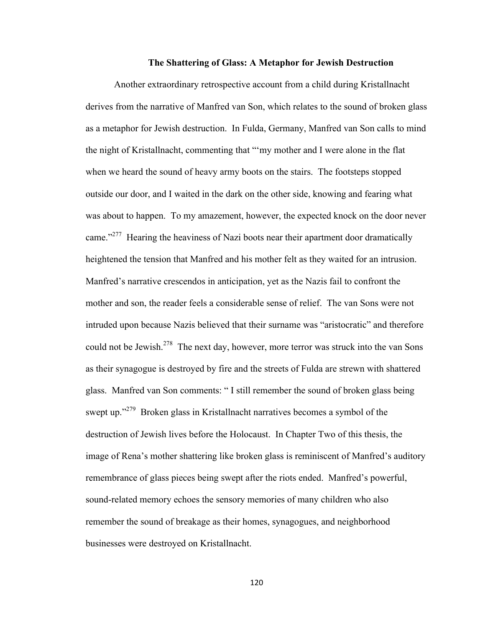### **The Shattering of Glass: A Metaphor for Jewish Destruction**

Another extraordinary retrospective account from a child during Kristallnacht derives from the narrative of Manfred van Son, which relates to the sound of broken glass as a metaphor for Jewish destruction. In Fulda, Germany, Manfred van Son calls to mind the night of Kristallnacht, commenting that "'my mother and I were alone in the flat when we heard the sound of heavy army boots on the stairs. The footsteps stopped outside our door, and I waited in the dark on the other side, knowing and fearing what was about to happen. To my amazement, however, the expected knock on the door never came."<sup>277</sup> Hearing the heaviness of Nazi boots near their apartment door dramatically heightened the tension that Manfred and his mother felt as they waited for an intrusion. Manfred's narrative crescendos in anticipation, yet as the Nazis fail to confront the mother and son, the reader feels a considerable sense of relief. The van Sons were not intruded upon because Nazis believed that their surname was "aristocratic" and therefore could not be Jewish.<sup>278</sup> The next day, however, more terror was struck into the van Sons as their synagogue is destroyed by fire and the streets of Fulda are strewn with shattered glass. Manfred van Son comments: " I still remember the sound of broken glass being swept up."<sup>279</sup> Broken glass in Kristallnacht narratives becomes a symbol of the destruction of Jewish lives before the Holocaust. In Chapter Two of this thesis, the image of Rena's mother shattering like broken glass is reminiscent of Manfred's auditory remembrance of glass pieces being swept after the riots ended. Manfred's powerful, sound-related memory echoes the sensory memories of many children who also remember the sound of breakage as their homes, synagogues, and neighborhood businesses were destroyed on Kristallnacht.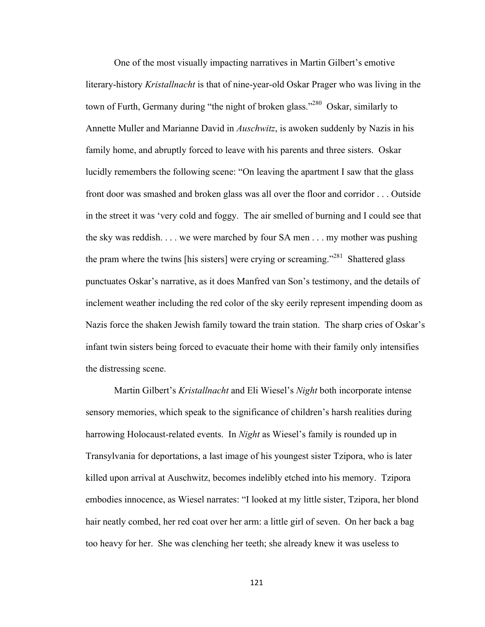One of the most visually impacting narratives in Martin Gilbert's emotive literary-history *Kristallnacht* is that of nine-year-old Oskar Prager who was living in the town of Furth, Germany during "the night of broken glass."<sup>280</sup> Oskar, similarly to Annette Muller and Marianne David in *Auschwitz*, is awoken suddenly by Nazis in his family home, and abruptly forced to leave with his parents and three sisters. Oskar lucidly remembers the following scene: "On leaving the apartment I saw that the glass front door was smashed and broken glass was all over the floor and corridor . . . Outside in the street it was 'very cold and foggy. The air smelled of burning and I could see that the sky was reddish. . . . we were marched by four SA men . . . my mother was pushing the pram where the twins [his sisters] were crying or screaming.<sup>2281</sup> Shattered glass punctuates Oskar's narrative, as it does Manfred van Son's testimony, and the details of inclement weather including the red color of the sky eerily represent impending doom as Nazis force the shaken Jewish family toward the train station. The sharp cries of Oskar's infant twin sisters being forced to evacuate their home with their family only intensifies the distressing scene.

Martin Gilbert's *Kristallnacht* and Eli Wiesel's *Night* both incorporate intense sensory memories, which speak to the significance of children's harsh realities during harrowing Holocaust-related events. In *Night* as Wiesel's family is rounded up in Transylvania for deportations, a last image of his youngest sister Tzipora, who is later killed upon arrival at Auschwitz, becomes indelibly etched into his memory. Tzipora embodies innocence, as Wiesel narrates: "I looked at my little sister, Tzipora, her blond hair neatly combed, her red coat over her arm: a little girl of seven. On her back a bag too heavy for her. She was clenching her teeth; she already knew it was useless to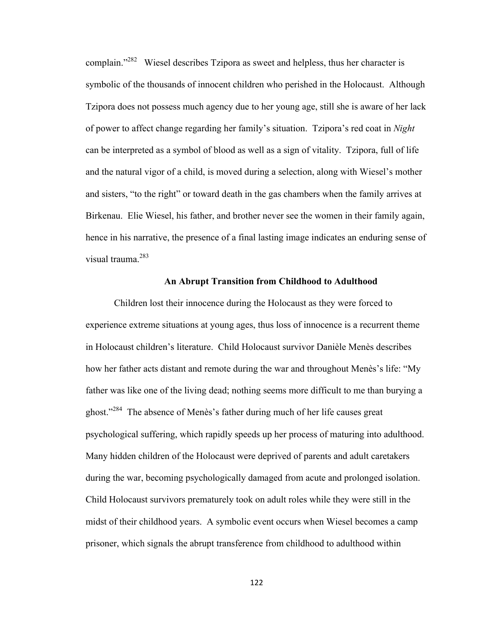complain."<sup>282</sup> Wiesel describes Tzipora as sweet and helpless, thus her character is symbolic of the thousands of innocent children who perished in the Holocaust. Although Tzipora does not possess much agency due to her young age, still she is aware of her lack of power to affect change regarding her family's situation. Tzipora's red coat in *Night*  can be interpreted as a symbol of blood as well as a sign of vitality. Tzipora, full of life and the natural vigor of a child, is moved during a selection, along with Wiesel's mother and sisters, "to the right" or toward death in the gas chambers when the family arrives at Birkenau. Elie Wiesel, his father, and brother never see the women in their family again, hence in his narrative, the presence of a final lasting image indicates an enduring sense of visual trauma<sup>283</sup>

# **An Abrupt Transition from Childhood to Adulthood**

Children lost their innocence during the Holocaust as they were forced to experience extreme situations at young ages, thus loss of innocence is a recurrent theme in Holocaust children's literature. Child Holocaust survivor Danièle Menès describes how her father acts distant and remote during the war and throughout Menès's life: "My father was like one of the living dead; nothing seems more difficult to me than burying a ghost."<sup>284</sup> The absence of Menès's father during much of her life causes great psychological suffering, which rapidly speeds up her process of maturing into adulthood. Many hidden children of the Holocaust were deprived of parents and adult caretakers during the war, becoming psychologically damaged from acute and prolonged isolation. Child Holocaust survivors prematurely took on adult roles while they were still in the midst of their childhood years. A symbolic event occurs when Wiesel becomes a camp prisoner, which signals the abrupt transference from childhood to adulthood within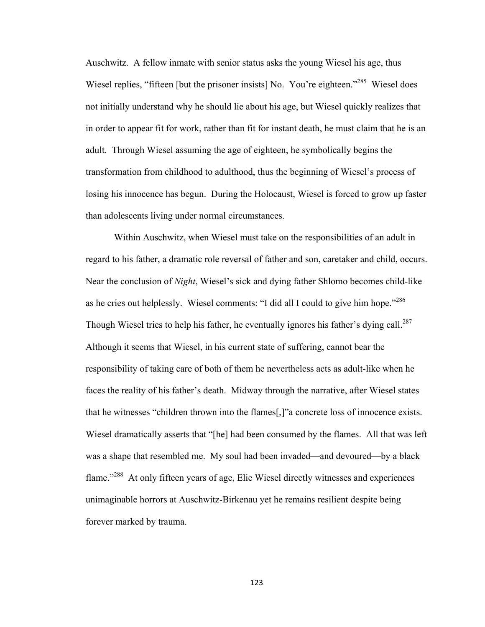Auschwitz. A fellow inmate with senior status asks the young Wiesel his age, thus Wiesel replies, "fifteen [but the prisoner insists] No. You're eighteen."<sup>285</sup> Wiesel does not initially understand why he should lie about his age, but Wiesel quickly realizes that in order to appear fit for work, rather than fit for instant death, he must claim that he is an adult. Through Wiesel assuming the age of eighteen, he symbolically begins the transformation from childhood to adulthood, thus the beginning of Wiesel's process of losing his innocence has begun. During the Holocaust, Wiesel is forced to grow up faster than adolescents living under normal circumstances.

Within Auschwitz, when Wiesel must take on the responsibilities of an adult in regard to his father, a dramatic role reversal of father and son, caretaker and child, occurs. Near the conclusion of *Night*, Wiesel's sick and dying father Shlomo becomes child-like as he cries out helplessly. Wiesel comments: "I did all I could to give him hope."<sup>286</sup> Though Wiesel tries to help his father, he eventually ignores his father's dying call.<sup>287</sup> Although it seems that Wiesel, in his current state of suffering, cannot bear the responsibility of taking care of both of them he nevertheless acts as adult-like when he faces the reality of his father's death. Midway through the narrative, after Wiesel states that he witnesses "children thrown into the flames[,]"a concrete loss of innocence exists. Wiesel dramatically asserts that "[he] had been consumed by the flames. All that was left was a shape that resembled me. My soul had been invaded—and devoured—by a black flame."<sup>288</sup> At only fifteen years of age, Elie Wiesel directly witnesses and experiences unimaginable horrors at Auschwitz-Birkenau yet he remains resilient despite being forever marked by trauma.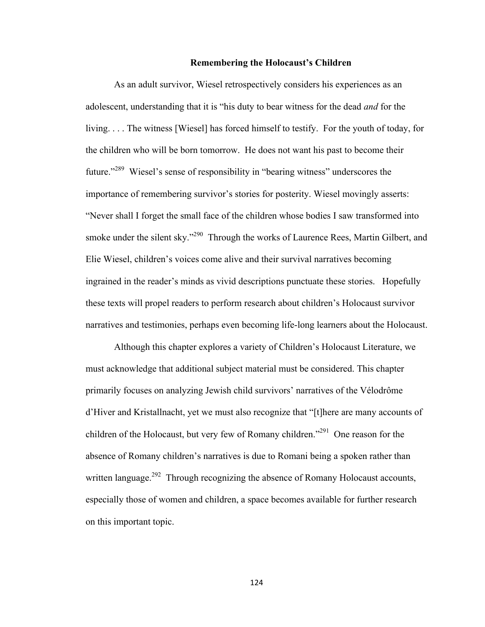# **Remembering the Holocaust's Children**

As an adult survivor, Wiesel retrospectively considers his experiences as an adolescent, understanding that it is "his duty to bear witness for the dead *and* for the living. . . . The witness [Wiesel] has forced himself to testify. For the youth of today, for the children who will be born tomorrow. He does not want his past to become their future."<sup>289</sup> Wiesel's sense of responsibility in "bearing witness" underscores the importance of remembering survivor's stories for posterity. Wiesel movingly asserts: "Never shall I forget the small face of the children whose bodies I saw transformed into smoke under the silent sky."<sup>290</sup> Through the works of Laurence Rees, Martin Gilbert, and Elie Wiesel, children's voices come alive and their survival narratives becoming ingrained in the reader's minds as vivid descriptions punctuate these stories. Hopefully these texts will propel readers to perform research about children's Holocaust survivor narratives and testimonies, perhaps even becoming life-long learners about the Holocaust.

Although this chapter explores a variety of Children's Holocaust Literature, we must acknowledge that additional subject material must be considered. This chapter primarily focuses on analyzing Jewish child survivors' narratives of the Vélodrôme d'Hiver and Kristallnacht, yet we must also recognize that "[t]here are many accounts of children of the Holocaust, but very few of Romany children."<sup>291</sup> One reason for the absence of Romany children's narratives is due to Romani being a spoken rather than written language.<sup>292</sup> Through recognizing the absence of Romany Holocaust accounts, especially those of women and children, a space becomes available for further research on this important topic.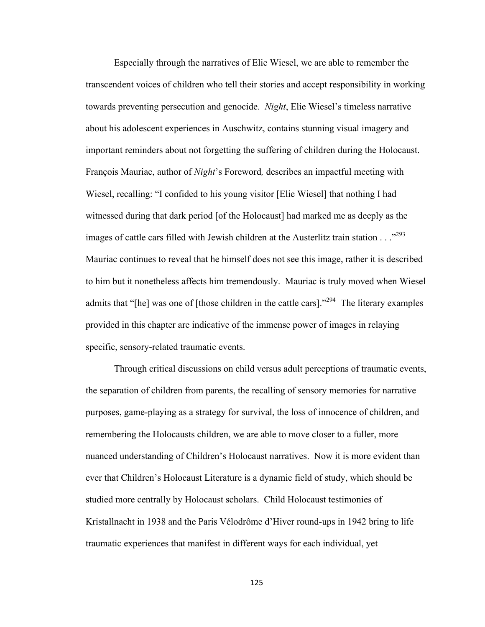Especially through the narratives of Elie Wiesel, we are able to remember the transcendent voices of children who tell their stories and accept responsibility in working towards preventing persecution and genocide. *Night*, Elie Wiesel's timeless narrative about his adolescent experiences in Auschwitz, contains stunning visual imagery and important reminders about not forgetting the suffering of children during the Holocaust. François Mauriac, author of *Night*'s Foreword*,* describes an impactful meeting with Wiesel, recalling: "I confided to his young visitor [Elie Wiesel] that nothing I had witnessed during that dark period [of the Holocaust] had marked me as deeply as the images of cattle cars filled with Jewish children at the Austerlitz train station  $\ldots$ <sup>293</sup> Mauriac continues to reveal that he himself does not see this image, rather it is described to him but it nonetheless affects him tremendously. Mauriac is truly moved when Wiesel admits that "[he] was one of [those children in the cattle cars]."294 The literary examples provided in this chapter are indicative of the immense power of images in relaying specific, sensory-related traumatic events.

Through critical discussions on child versus adult perceptions of traumatic events, the separation of children from parents, the recalling of sensory memories for narrative purposes, game-playing as a strategy for survival, the loss of innocence of children, and remembering the Holocausts children, we are able to move closer to a fuller, more nuanced understanding of Children's Holocaust narratives. Now it is more evident than ever that Children's Holocaust Literature is a dynamic field of study, which should be studied more centrally by Holocaust scholars. Child Holocaust testimonies of Kristallnacht in 1938 and the Paris Vélodrôme d'Hiver round-ups in 1942 bring to life traumatic experiences that manifest in different ways for each individual, yet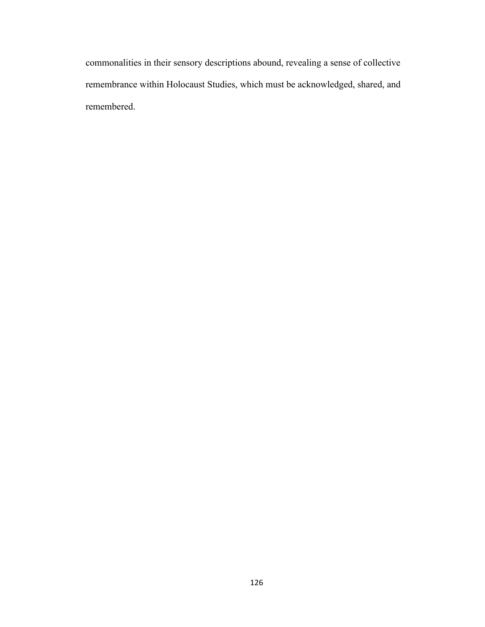commonalities in their sensory descriptions abound, revealing a sense of collective remembrance within Holocaust Studies, which must be acknowledged, shared, and remembered.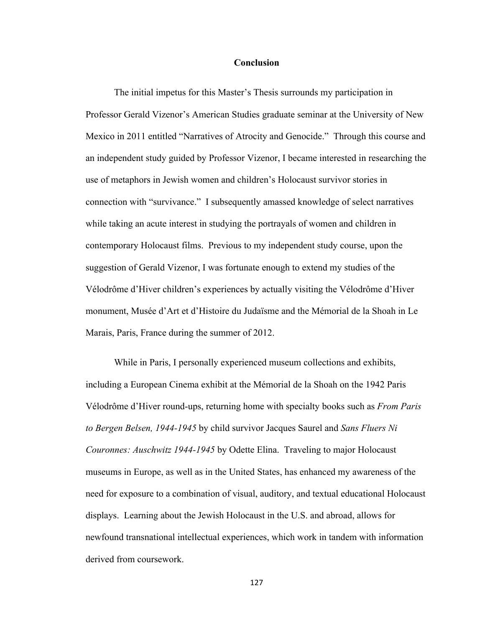# **Conclusion**

The initial impetus for this Master's Thesis surrounds my participation in Professor Gerald Vizenor's American Studies graduate seminar at the University of New Mexico in 2011 entitled "Narratives of Atrocity and Genocide." Through this course and an independent study guided by Professor Vizenor, I became interested in researching the use of metaphors in Jewish women and children's Holocaust survivor stories in connection with "survivance." I subsequently amassed knowledge of select narratives while taking an acute interest in studying the portrayals of women and children in contemporary Holocaust films. Previous to my independent study course, upon the suggestion of Gerald Vizenor, I was fortunate enough to extend my studies of the Vélodrôme d'Hiver children's experiences by actually visiting the Vélodrôme d'Hiver monument, Musée d'Art et d'Histoire du Judaïsme and the Mémorial de la Shoah in Le Marais, Paris, France during the summer of 2012.

While in Paris, I personally experienced museum collections and exhibits, including a European Cinema exhibit at the Mémorial de la Shoah on the 1942 Paris Vélodrôme d'Hiver round-ups, returning home with specialty books such as *From Paris to Bergen Belsen, 1944-1945* by child survivor Jacques Saurel and *Sans Fluers Ni Couronnes: Auschwitz 1944-1945* by Odette Elina. Traveling to major Holocaust museums in Europe, as well as in the United States, has enhanced my awareness of the need for exposure to a combination of visual, auditory, and textual educational Holocaust displays. Learning about the Jewish Holocaust in the U.S. and abroad, allows for newfound transnational intellectual experiences, which work in tandem with information derived from coursework.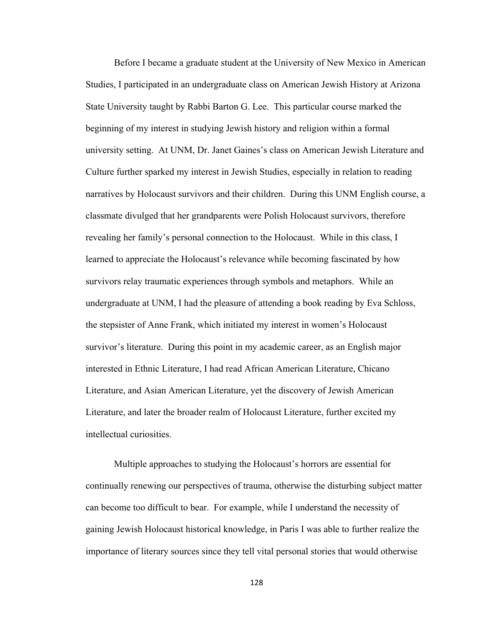Before I became a graduate student at the University of New Mexico in American Studies, I participated in an undergraduate class on American Jewish History at Arizona State University taught by Rabbi Barton G. Lee. This particular course marked the beginning of my interest in studying Jewish history and religion within a formal university setting. At UNM, Dr. Janet Gaines's class on American Jewish Literature and Culture further sparked my interest in Jewish Studies, especially in relation to reading narratives by Holocaust survivors and their children. During this UNM English course, a classmate divulged that her grandparents were Polish Holocaust survivors, therefore revealing her family's personal connection to the Holocaust. While in this class, I learned to appreciate the Holocaust's relevance while becoming fascinated by how survivors relay traumatic experiences through symbols and metaphors. While an undergraduate at UNM, I had the pleasure of attending a book reading by Eva Schloss, the stepsister of Anne Frank, which initiated my interest in women's Holocaust survivor's literature. During this point in my academic career, as an English major interested in Ethnic Literature, I had read African American Literature, Chicano Literature, and Asian American Literature, yet the discovery of Jewish American Literature, and later the broader realm of Holocaust Literature, further excited my intellectual curiosities.

Multiple approaches to studying the Holocaust's horrors are essential for continually renewing our perspectives of trauma, otherwise the disturbing subject matter can become too difficult to bear. For example, while I understand the necessity of gaining Jewish Holocaust historical knowledge, in Paris I was able to further realize the importance of literary sources since they tell vital personal stories that would otherwise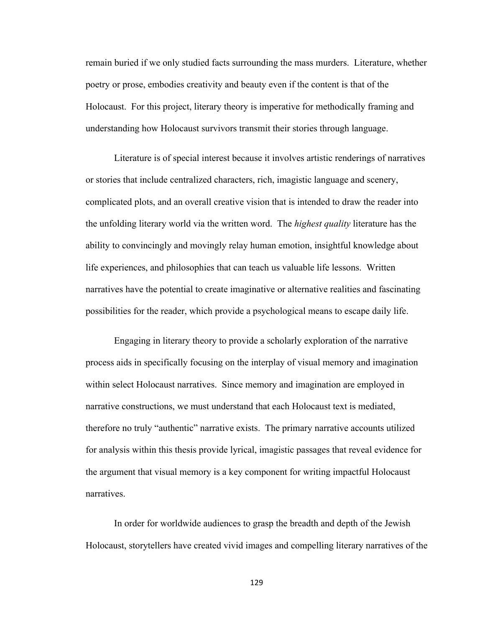remain buried if we only studied facts surrounding the mass murders. Literature, whether poetry or prose, embodies creativity and beauty even if the content is that of the Holocaust. For this project, literary theory is imperative for methodically framing and understanding how Holocaust survivors transmit their stories through language.

Literature is of special interest because it involves artistic renderings of narratives or stories that include centralized characters, rich, imagistic language and scenery, complicated plots, and an overall creative vision that is intended to draw the reader into the unfolding literary world via the written word. The *highest quality* literature has the ability to convincingly and movingly relay human emotion, insightful knowledge about life experiences, and philosophies that can teach us valuable life lessons. Written narratives have the potential to create imaginative or alternative realities and fascinating possibilities for the reader, which provide a psychological means to escape daily life.

Engaging in literary theory to provide a scholarly exploration of the narrative process aids in specifically focusing on the interplay of visual memory and imagination within select Holocaust narratives. Since memory and imagination are employed in narrative constructions, we must understand that each Holocaust text is mediated, therefore no truly "authentic" narrative exists. The primary narrative accounts utilized for analysis within this thesis provide lyrical, imagistic passages that reveal evidence for the argument that visual memory is a key component for writing impactful Holocaust narratives.

In order for worldwide audiences to grasp the breadth and depth of the Jewish Holocaust, storytellers have created vivid images and compelling literary narratives of the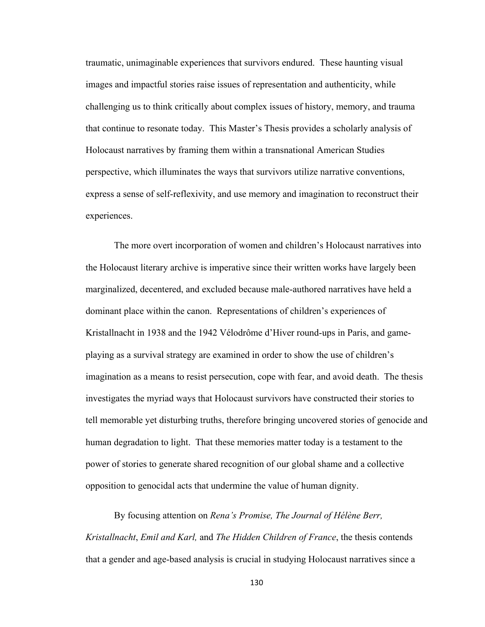traumatic, unimaginable experiences that survivors endured. These haunting visual images and impactful stories raise issues of representation and authenticity, while challenging us to think critically about complex issues of history, memory, and trauma that continue to resonate today. This Master's Thesis provides a scholarly analysis of Holocaust narratives by framing them within a transnational American Studies perspective, which illuminates the ways that survivors utilize narrative conventions, express a sense of self-reflexivity, and use memory and imagination to reconstruct their experiences.

The more overt incorporation of women and children's Holocaust narratives into the Holocaust literary archive is imperative since their written works have largely been marginalized, decentered, and excluded because male-authored narratives have held a dominant place within the canon. Representations of children's experiences of Kristallnacht in 1938 and the 1942 Vélodrôme d'Hiver round-ups in Paris, and gameplaying as a survival strategy are examined in order to show the use of children's imagination as a means to resist persecution, cope with fear, and avoid death. The thesis investigates the myriad ways that Holocaust survivors have constructed their stories to tell memorable yet disturbing truths, therefore bringing uncovered stories of genocide and human degradation to light. That these memories matter today is a testament to the power of stories to generate shared recognition of our global shame and a collective opposition to genocidal acts that undermine the value of human dignity.

By focusing attention on *Rena's Promise, The Journal of Hélène Berr, Kristallnacht*, *Emil and Karl,* and *The Hidden Children of France*, the thesis contends that a gender and age-based analysis is crucial in studying Holocaust narratives since a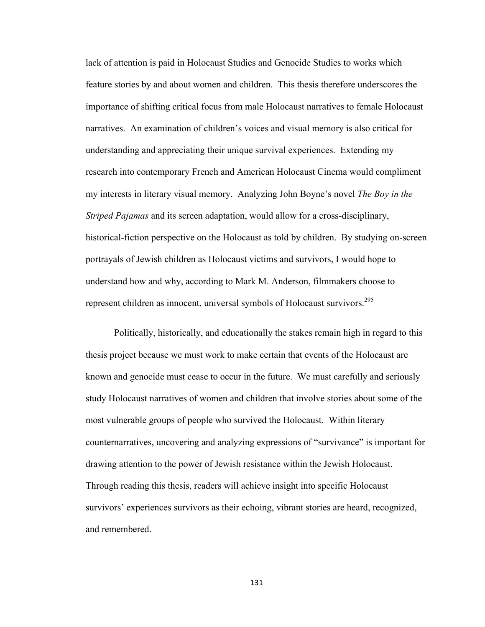lack of attention is paid in Holocaust Studies and Genocide Studies to works which feature stories by and about women and children. This thesis therefore underscores the importance of shifting critical focus from male Holocaust narratives to female Holocaust narratives. An examination of children's voices and visual memory is also critical for understanding and appreciating their unique survival experiences. Extending my research into contemporary French and American Holocaust Cinema would compliment my interests in literary visual memory. Analyzing John Boyne's novel *The Boy in the Striped Pajamas* and its screen adaptation, would allow for a cross-disciplinary, historical-fiction perspective on the Holocaust as told by children. By studying on-screen portrayals of Jewish children as Holocaust victims and survivors, I would hope to understand how and why, according to Mark M. Anderson, filmmakers choose to represent children as innocent, universal symbols of Holocaust survivors.<sup>295</sup>

Politically, historically, and educationally the stakes remain high in regard to this thesis project because we must work to make certain that events of the Holocaust are known and genocide must cease to occur in the future. We must carefully and seriously study Holocaust narratives of women and children that involve stories about some of the most vulnerable groups of people who survived the Holocaust. Within literary counternarratives, uncovering and analyzing expressions of "survivance" is important for drawing attention to the power of Jewish resistance within the Jewish Holocaust. Through reading this thesis, readers will achieve insight into specific Holocaust survivors' experiences survivors as their echoing, vibrant stories are heard, recognized, and remembered.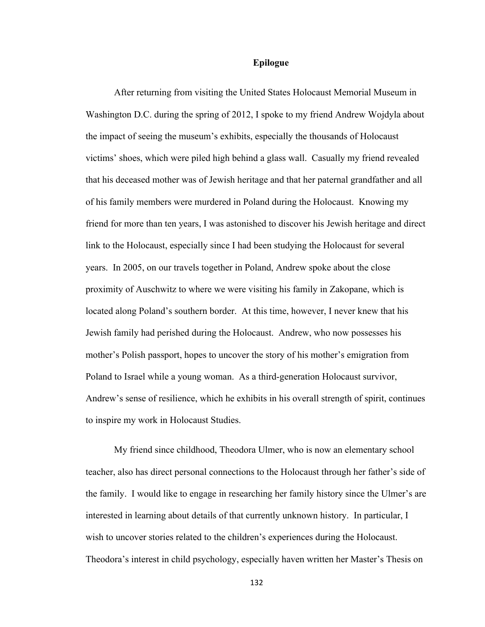# **Epilogue**

After returning from visiting the United States Holocaust Memorial Museum in Washington D.C. during the spring of 2012, I spoke to my friend Andrew Wojdyla about the impact of seeing the museum's exhibits, especially the thousands of Holocaust victims' shoes, which were piled high behind a glass wall. Casually my friend revealed that his deceased mother was of Jewish heritage and that her paternal grandfather and all of his family members were murdered in Poland during the Holocaust. Knowing my friend for more than ten years, I was astonished to discover his Jewish heritage and direct link to the Holocaust, especially since I had been studying the Holocaust for several years. In 2005, on our travels together in Poland, Andrew spoke about the close proximity of Auschwitz to where we were visiting his family in Zakopane, which is located along Poland's southern border. At this time, however, I never knew that his Jewish family had perished during the Holocaust. Andrew, who now possesses his mother's Polish passport, hopes to uncover the story of his mother's emigration from Poland to Israel while a young woman. As a third-generation Holocaust survivor, Andrew's sense of resilience, which he exhibits in his overall strength of spirit, continues to inspire my work in Holocaust Studies.

My friend since childhood, Theodora Ulmer, who is now an elementary school teacher, also has direct personal connections to the Holocaust through her father's side of the family. I would like to engage in researching her family history since the Ulmer's are interested in learning about details of that currently unknown history. In particular, I wish to uncover stories related to the children's experiences during the Holocaust. Theodora's interest in child psychology, especially haven written her Master's Thesis on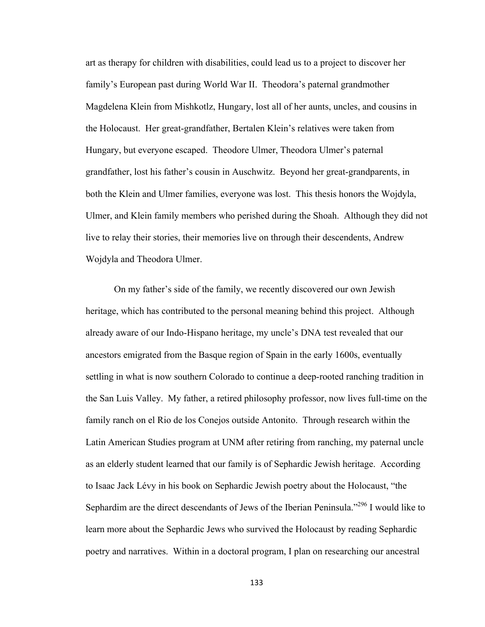art as therapy for children with disabilities, could lead us to a project to discover her family's European past during World War II. Theodora's paternal grandmother Magdelena Klein from Mishkotlz, Hungary, lost all of her aunts, uncles, and cousins in the Holocaust. Her great-grandfather, Bertalen Klein's relatives were taken from Hungary, but everyone escaped. Theodore Ulmer, Theodora Ulmer's paternal grandfather, lost his father's cousin in Auschwitz. Beyond her great-grandparents, in both the Klein and Ulmer families, everyone was lost. This thesis honors the Wojdyla, Ulmer, and Klein family members who perished during the Shoah. Although they did not live to relay their stories, their memories live on through their descendents, Andrew Wojdyla and Theodora Ulmer.

On my father's side of the family, we recently discovered our own Jewish heritage, which has contributed to the personal meaning behind this project. Although already aware of our Indo-Hispano heritage, my uncle's DNA test revealed that our ancestors emigrated from the Basque region of Spain in the early 1600s, eventually settling in what is now southern Colorado to continue a deep-rooted ranching tradition in the San Luis Valley. My father, a retired philosophy professor, now lives full-time on the family ranch on el Rio de los Conejos outside Antonito. Through research within the Latin American Studies program at UNM after retiring from ranching, my paternal uncle as an elderly student learned that our family is of Sephardic Jewish heritage. According to Isaac Jack Lévy in his book on Sephardic Jewish poetry about the Holocaust, "the Sephardim are the direct descendants of Jews of the Iberian Peninsula."<sup>296</sup> I would like to learn more about the Sephardic Jews who survived the Holocaust by reading Sephardic poetry and narratives. Within in a doctoral program, I plan on researching our ancestral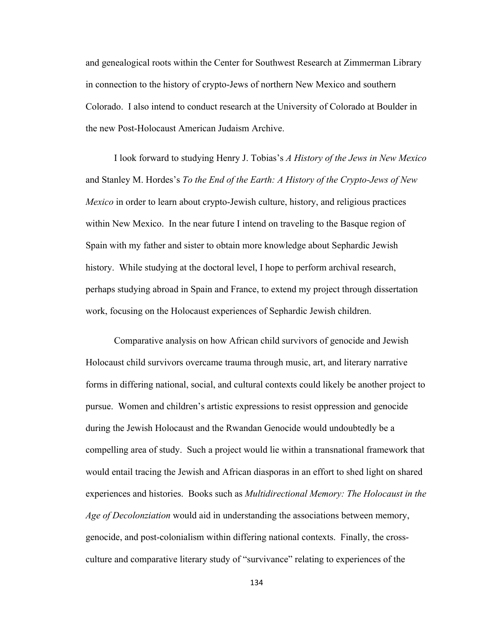and genealogical roots within the Center for Southwest Research at Zimmerman Library in connection to the history of crypto-Jews of northern New Mexico and southern Colorado. I also intend to conduct research at the University of Colorado at Boulder in the new Post-Holocaust American Judaism Archive.

I look forward to studying Henry J. Tobias's *A History of the Jews in New Mexico* and Stanley M. Hordes's *To the End of the Earth: A History of the Crypto-Jews of New Mexico* in order to learn about crypto-Jewish culture, history, and religious practices within New Mexico. In the near future I intend on traveling to the Basque region of Spain with my father and sister to obtain more knowledge about Sephardic Jewish history. While studying at the doctoral level, I hope to perform archival research, perhaps studying abroad in Spain and France, to extend my project through dissertation work, focusing on the Holocaust experiences of Sephardic Jewish children.

Comparative analysis on how African child survivors of genocide and Jewish Holocaust child survivors overcame trauma through music, art, and literary narrative forms in differing national, social, and cultural contexts could likely be another project to pursue. Women and children's artistic expressions to resist oppression and genocide during the Jewish Holocaust and the Rwandan Genocide would undoubtedly be a compelling area of study. Such a project would lie within a transnational framework that would entail tracing the Jewish and African diasporas in an effort to shed light on shared experiences and histories. Books such as *Multidirectional Memory: The Holocaust in the Age of Decolonziation* would aid in understanding the associations between memory, genocide, and post-colonialism within differing national contexts. Finally, the crossculture and comparative literary study of "survivance" relating to experiences of the

134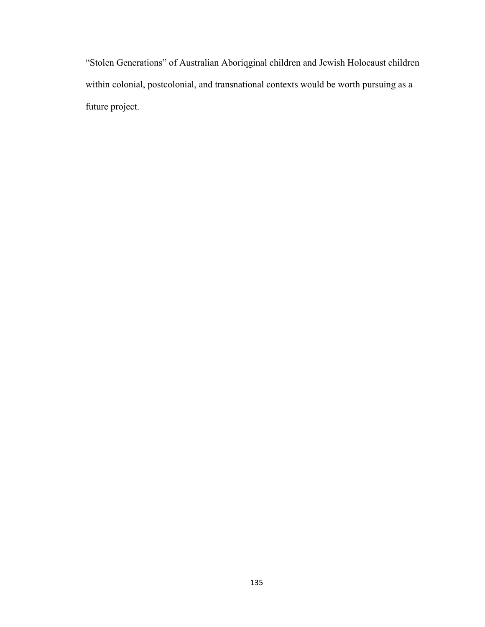"Stolen Generations" of Australian Aboriqginal children and Jewish Holocaust children within colonial, postcolonial, and transnational contexts would be worth pursuing as a future project.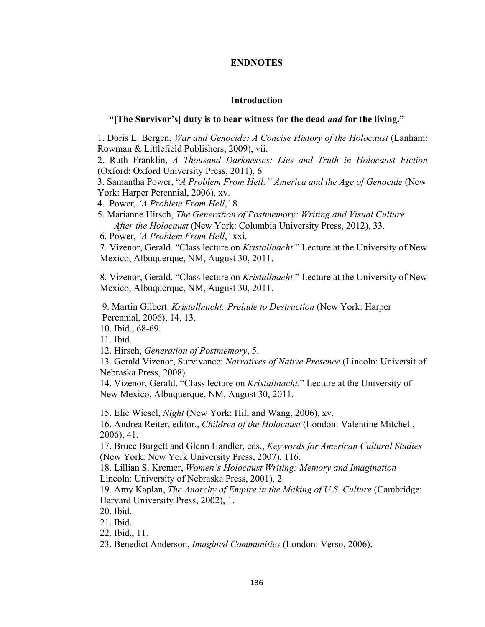# **ENDNOTES**

## **Introduction**

## **"[The Survivor's] duty is to bear witness for the dead** *and* **for the living."**

1. Doris L. Bergen, *War and Genocide: A Concise History of the Holocaust* (Lanham: Rowman & Littlefield Publishers, 2009), vii.

2. Ruth Franklin, *A Thousand Darknesses: Lies and Truth in Holocaust Fiction* (Oxford: Oxford University Press, 2011), 6.

3. Samantha Power, "*A Problem From Hell:" America and the Age of Genocide* (New York: Harper Perennial, 2006), xv.

4. Power, *'A Problem From Hell*,*'* 8.

 5. Marianne Hirsch, *The Generation of Postmemory: Writing and Visual Culture After the Holocaust* (New York: Columbia University Press, 2012), 33.

6. Power, *'A Problem From Hell*,*'* xxi.

7. Vizenor, Gerald. "Class lecture on *Kristallnacht*." Lecture at the University of New Mexico, Albuquerque, NM, August 30, 2011.

8. Vizenor, Gerald. "Class lecture on *Kristallnacht*." Lecture at the University of New Mexico, Albuquerque, NM, August 30, 2011.

9. Martin Gilbert. *Kristallnacht: Prelude to Destruction* (New York: Harper Perennial, 2006), 14, 13.

10. Ibid., 68-69.

11. Ibid.

12. Hirsch, *Generation of Postmemory*, 5.

13. Gerald Vizenor, Survivance: *Narratives of Native Presence* (Lincoln: Universit of Nebraska Press, 2008).

14. Vizenor, Gerald. "Class lecture on *Kristallnacht*." Lecture at the University of New Mexico, Albuquerque, NM, August 30, 2011.

15. Elie Wiesel, *Night* (New York: Hill and Wang, 2006), xv.

16. Andrea Reiter, editor., *Children of the Holocaust* (London: Valentine Mitchell, 2006), 41.

17. Bruce Burgett and Glenn Handler, eds., *Keywords for American Cultural Studies* (New York: New York University Press, 2007), 116.

18. Lillian S. Kremer, *Women's Holocaust Writing: Memory and Imagination* Lincoln: University of Nebraska Press, 2001), 2.

19. Amy Kaplan, *The Anarchy of Empire in the Making of U.S. Culture* (Cambridge: Harvard University Press, 2002), 1.

20. Ibid.

21. Ibid.

22. Ibid., 11.

23. Benedict Anderson, *Imagined Communities* (London: Verso, 2006).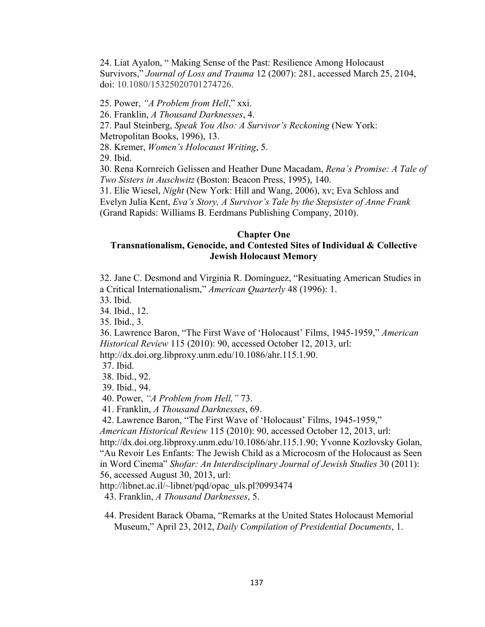24. Liat Ayalon, " Making Sense of the Past: Resilience Among Holocaust Survivors," *Journal of Loss and Trauma* 12 (2007): 281, accessed March 25, 2104, doi: 10.1080/15325020701274726.

25. Power, *"A Problem from Hell*," xxi.

26. Franklin, *A Thousand Darknesses*, 4.

27. Paul Steinberg, *Speak You Also: A Survivor's Reckoning* (New York:

Metropolitan Books, 1996), 13.

28. Kremer, *Women's Holocaust Writing*, 5.

29. Ibid.

30. Rena Kornreich Gelissen and Heather Dune Macadam, *Rena's Promise: A Tale of Two Sisters in Auschwitz* (Boston: Beacon Press, 1995), 140.

31. Elie Wiesel, *Night* (New York: Hill and Wang, 2006), xv; Eva Schloss and Evelyn Julia Kent, *Eva's Story, A Survivor's Tale by the Stepsister of Anne Frank*

(Grand Rapids: Williams B. Eerdmans Publishing Company, 2010).

## **Chapter One**

# **Transnationalism, Genocide, and Contested Sites of Individual & Collective Jewish Holocaust Memory**

32. Jane C. Desmond and Virginia R. Domínguez, "Resituating American Studies in a Critical Internationalism," *American Quarterly* 48 (1996): 1.

33. Ibid.

34. Ibid., 12.

35. Ibid., 3.

36. Lawrence Baron, "The First Wave of 'Holocaust' Films, 1945-1959," *American Historical Review* 115 (2010): 90, accessed October 12, 2013, url:

http://dx.doi.org.libproxy.unm.edu/10.1086/ahr.115.1.90.

37. Ibid.

38. Ibid., 92.

39. Ibid., 94.

40. Power, *"A Problem from Hell,"* 73.

41. Franklin, *A Thousand Darknesses*, 69.

42. Lawrence Baron, "The First Wave of 'Holocaust' Films, 1945-1959,"

*American Historical Review* 115 (2010): 90, accessed October 12, 2013, url:

http://dx.doi.org.libproxy.unm.edu/10.1086/ahr.115.1.90; Yvonne Kozlovsky Golan, "Au Revoir Les Enfants: The Jewish Child as a Microcosm of the Holocaust as Seen in Word Cinema" *Shofar: An Interdisciplinary Journal of Jewish Studies* 30 (2011): 56, accessed August 30, 2013, url:

http://libnet.ac.il/~libnet/pqd/opac\_uls.pl?0993474

43. Franklin, *A Thousand Darknesses*, 5.

 44. President Barack Obama, "Remarks at the United States Holocaust Memorial Museum," April 23, 2012, *Daily Compilation of Presidential Documents*, 1.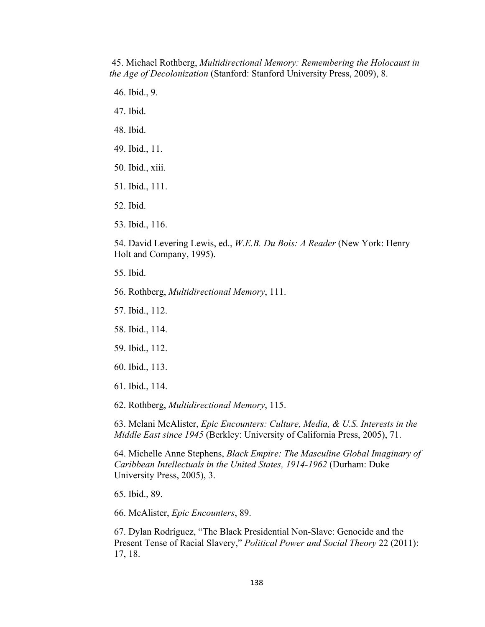45. Michael Rothberg, *Multidirectional Memory: Remembering the Holocaust in the Age of Decolonization* (Stanford: Stanford University Press, 2009), 8.

- 46. Ibid., 9.
- 47. Ibid.
- 48. Ibid.
- 49. Ibid., 11.
- 50. Ibid., xiii.
- 51. Ibid., 111.
- 52. Ibid.
- 53. Ibid., 116.

54. David Levering Lewis, ed., *W.E.B. Du Bois: A Reader* (New York: Henry Holt and Company, 1995).

- 55. Ibid.
- 56. Rothberg, *Multidirectional Memory*, 111.
- 57. Ibid., 112.
- 58. Ibid., 114.
- 59. Ibid., 112.
- 60. Ibid., 113.
- 61. Ibid., 114.

62. Rothberg, *Multidirectional Memory*, 115.

63. Melani McAlister, *Epic Encounters: Culture, Media, & U.S. Interests in the Middle East since 1945* (Berkley: University of California Press, 2005), 71.

64. Michelle Anne Stephens, *Black Empire: The Masculine Global Imaginary of Caribbean Intellectuals in the United States, 1914-1962* (Durham: Duke University Press, 2005), 3.

65. Ibid., 89.

66. McAlister, *Epic Encounters*, 89.

67. Dylan Rodríguez, "The Black Presidential Non-Slave: Genocide and the Present Tense of Racial Slavery," *Political Power and Social Theory* 22 (2011): 17, 18.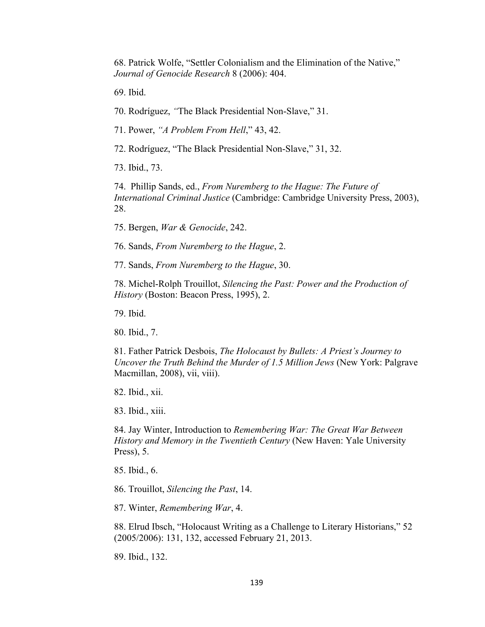68. Patrick Wolfe, "Settler Colonialism and the Elimination of the Native," *Journal of Genocide Research* 8 (2006): 404.

69. Ibid.

70. Rodríguez, *"*The Black Presidential Non-Slave," 31.

71. Power, *"A Problem From Hell*," 43, 42.

72. Rodríguez, "The Black Presidential Non-Slave," 31, 32.

73. Ibid., 73.

74. Phillip Sands, ed., *From Nuremberg to the Hague: The Future of International Criminal Justice* (Cambridge: Cambridge University Press, 2003), 28.

75. Bergen, *War & Genocide*, 242.

76. Sands, *From Nuremberg to the Hague*, 2.

77. Sands, *From Nuremberg to the Hague*, 30.

78. Michel-Rolph Trouillot, *Silencing the Past: Power and the Production of History* (Boston: Beacon Press, 1995), 2.

79. Ibid.

80. Ibid., 7.

81. Father Patrick Desbois, *The Holocaust by Bullets: A Priest's Journey to Uncover the Truth Behind the Murder of 1.5 Million Jews* (New York: Palgrave Macmillan, 2008), vii, viii).

82. Ibid., xii.

83. Ibid., xiii.

84. Jay Winter, Introduction to *Remembering War: The Great War Between History and Memory in the Twentieth Century* (New Haven: Yale University Press), 5.

85. Ibid., 6.

86. Trouillot, *Silencing the Past*, 14.

87. Winter, *Remembering War*, 4.

88. Elrud Ibsch, "Holocaust Writing as a Challenge to Literary Historians," 52 (2005/2006): 131, 132, accessed February 21, 2013.

89. Ibid., 132.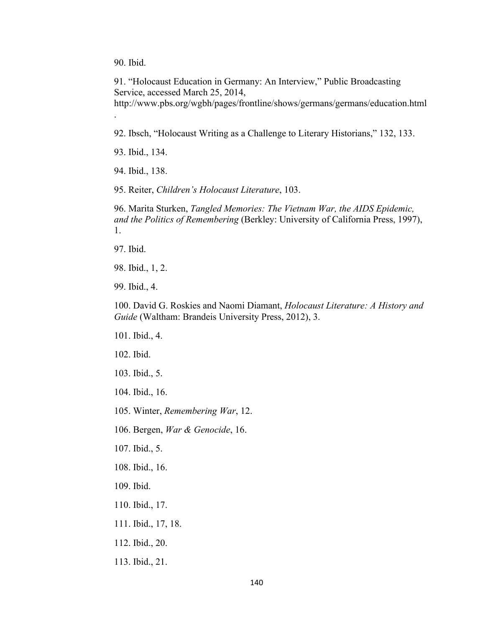90. Ibid.

.

91. "Holocaust Education in Germany: An Interview," Public Broadcasting Service, accessed March 25, 2014, http://www.pbs.org/wgbh/pages/frontline/shows/germans/germans/education.html

92. Ibsch, "Holocaust Writing as a Challenge to Literary Historians," 132, 133.

93. Ibid., 134.

94. Ibid., 138.

95. Reiter, *Children's Holocaust Literature*, 103.

96. Marita Sturken, *Tangled Memories: The Vietnam War, the AIDS Epidemic, and the Politics of Remembering* (Berkley: University of California Press, 1997), 1.

97. Ibid.

98. Ibid., 1, 2.

99. Ibid., 4.

100. David G. Roskies and Naomi Diamant, *Holocaust Literature: A History and Guide* (Waltham: Brandeis University Press, 2012), 3.

101. Ibid., 4.

102. Ibid.

103. Ibid., 5.

104. Ibid., 16.

105. Winter, *Remembering War*, 12.

106. Bergen, *War & Genocide*, 16.

107. Ibid., 5.

108. Ibid., 16.

109. Ibid.

110. Ibid., 17.

111. Ibid., 17, 18.

112. Ibid., 20.

113. Ibid., 21.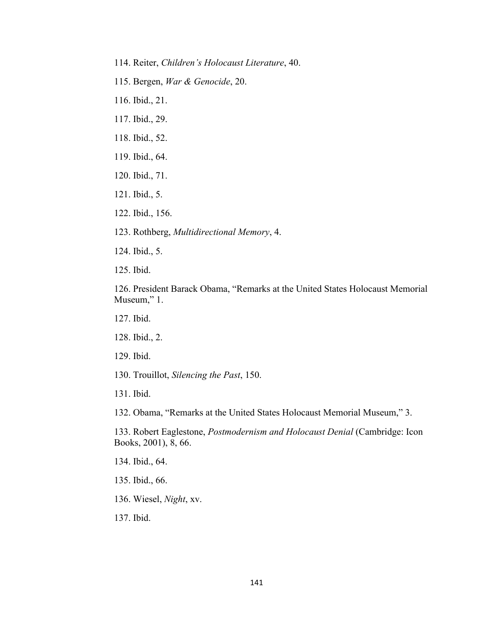- 114. Reiter, *Children's Holocaust Literature*, 40.
- 115. Bergen, *War & Genocide*, 20.
- 116. Ibid., 21.
- 117. Ibid., 29.
- 118. Ibid., 52.
- 119. Ibid., 64.
- 120. Ibid., 71.
- 121. Ibid., 5.
- 122. Ibid., 156.
- 123. Rothberg, *Multidirectional Memory*, 4.
- 124. Ibid., 5.
- 125. Ibid.

126. President Barack Obama, "Remarks at the United States Holocaust Memorial Museum," 1.

- 127. Ibid.
- 128. Ibid., 2.
- 129. Ibid.
- 130. Trouillot, *Silencing the Past*, 150.
- 131. Ibid.

132. Obama, "Remarks at the United States Holocaust Memorial Museum," 3.

133. Robert Eaglestone, *Postmodernism and Holocaust Denial* (Cambridge: Icon Books, 2001), 8, 66.

- 134. Ibid., 64.
- 135. Ibid., 66.
- 136. Wiesel, *Night*, xv.
- 137. Ibid.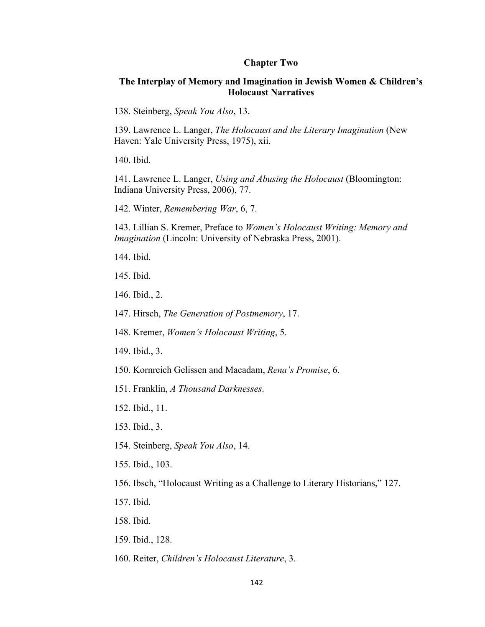#### **Chapter Two**

## **The Interplay of Memory and Imagination in Jewish Women & Children's Holocaust Narratives**

138. Steinberg, *Speak You Also*, 13.

139. Lawrence L. Langer, *The Holocaust and the Literary Imagination* (New Haven: Yale University Press, 1975), xii.

140. Ibid.

141. Lawrence L. Langer, *Using and Abusing the Holocaust* (Bloomington: Indiana University Press, 2006), 77.

142. Winter, *Remembering War*, 6, 7.

143. Lillian S. Kremer, Preface to *Women's Holocaust Writing: Memory and Imagination* (Lincoln: University of Nebraska Press, 2001).

144. Ibid.

145. Ibid.

146. Ibid., 2.

147. Hirsch, *The Generation of Postmemory*, 17.

148. Kremer, *Women's Holocaust Writing*, 5.

149. Ibid., 3.

150. Kornreich Gelissen and Macadam, *Rena's Promise*, 6.

151. Franklin, *A Thousand Darknesses*.

152. Ibid., 11.

153. Ibid., 3.

154. Steinberg, *Speak You Also*, 14.

155. Ibid., 103.

156. Ibsch, "Holocaust Writing as a Challenge to Literary Historians," 127.

157. Ibid.

158. Ibid.

159. Ibid., 128.

160. Reiter, *Children's Holocaust Literature*, 3.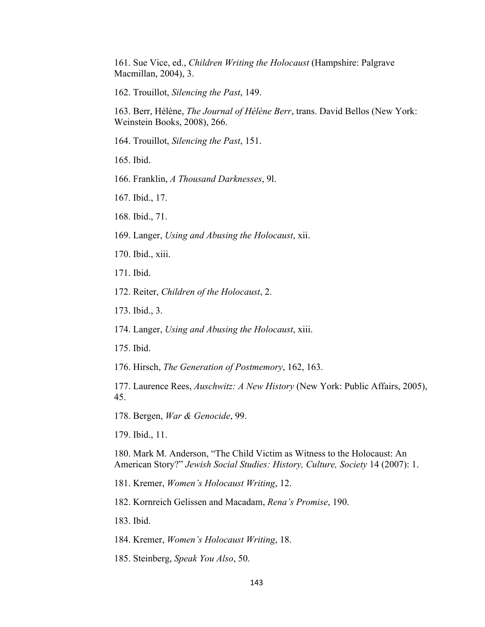161. Sue Vice, ed., *Children Writing the Holocaust* (Hampshire: Palgrave Macmillan, 2004), 3.

162. Trouillot, *Silencing the Past*, 149.

163. Berr, Hélène, *The Journal of Hélène Berr*, trans. David Bellos (New York: Weinstein Books, 2008), 266.

164. Trouillot, *Silencing the Past*, 151.

165. Ibid.

- 166. Franklin, *A Thousand Darknesses*, 9l.
- 167. Ibid., 17.
- 168. Ibid., 71.
- 169. Langer, *Using and Abusing the Holocaust*, xii.
- 170. Ibid., xiii.
- 171. Ibid.
- 172. Reiter, *Children of the Holocaust*, 2.
- 173. Ibid., 3.
- 174. Langer, *Using and Abusing the Holocaust*, xiii.
- 175. Ibid.
- 176. Hirsch, *The Generation of Postmemory*, 162, 163.

177. Laurence Rees, *Auschwitz: A New History* (New York: Public Affairs, 2005), 45.

178. Bergen, *War & Genocide*, 99.

179. Ibid., 11.

180. Mark M. Anderson, "The Child Victim as Witness to the Holocaust: An American Story?" *Jewish Social Studies: History, Culture, Society* 14 (2007): 1.

181. Kremer, *Women's Holocaust Writing*, 12.

182. Kornreich Gelissen and Macadam, *Rena's Promise*, 190.

183. Ibid.

184. Kremer, *Women's Holocaust Writing*, 18.

185. Steinberg, *Speak You Also*, 50.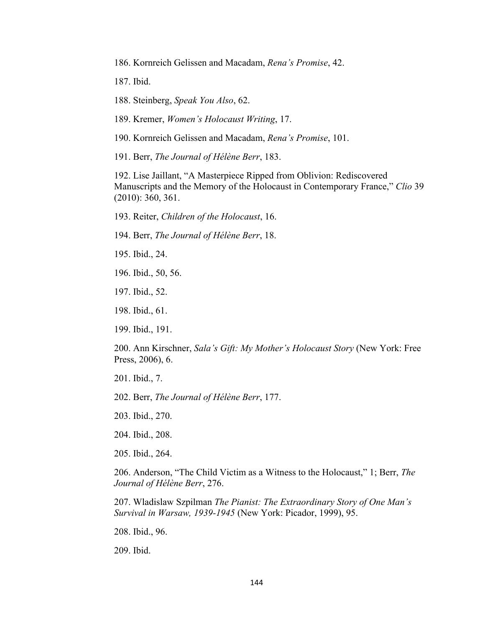186. Kornreich Gelissen and Macadam, *Rena's Promise*, 42.

187. Ibid.

188. Steinberg, *Speak You Also*, 62.

189. Kremer, *Women's Holocaust Writing*, 17.

190. Kornreich Gelissen and Macadam, *Rena's Promise*, 101.

191. Berr, *The Journal of Hélène Berr*, 183.

192. Lise Jaillant, "A Masterpiece Ripped from Oblivion: Rediscovered Manuscripts and the Memory of the Holocaust in Contemporary France," *Clio* 39 (2010): 360, 361.

193. Reiter, *Children of the Holocaust*, 16.

194. Berr, *The Journal of Hélène Berr*, 18.

195. Ibid., 24.

- 196. Ibid., 50, 56.
- 197. Ibid., 52.
- 198. Ibid., 61.
- 199. Ibid., 191.

200. Ann Kirschner, *Sala's Gift: My Mother's Holocaust Story* (New York: Free Press, 2006), 6.

201. Ibid., 7.

202. Berr, *The Journal of Hélène Berr*, 177.

203. Ibid., 270.

204. Ibid., 208.

205. Ibid., 264.

206. Anderson, "The Child Victim as a Witness to the Holocaust," 1; Berr, *The Journal of Hélène Berr*, 276.

207. Wladislaw Szpilman *The Pianist: The Extraordinary Story of One Man's Survival in Warsaw, 1939-1945* (New York: Picador, 1999), 95.

208. Ibid., 96.

209. Ibid.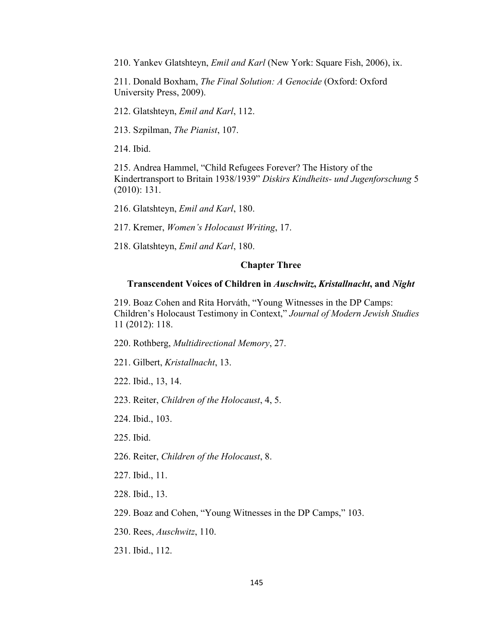210. Yankev Glatshteyn, *Emil and Karl* (New York: Square Fish, 2006), ix.

211. Donald Boxham, *The Final Solution: A Genocide* (Oxford: Oxford University Press, 2009).

212. Glatshteyn, *Emil and Karl*, 112.

213. Szpilman, *The Pianist*, 107.

214. Ibid.

215. Andrea Hammel, "Child Refugees Forever? The History of the Kindertransport to Britain 1938/1939" *Diskirs Kindheits- und Jugenforschung* 5 (2010): 131.

216. Glatshteyn, *Emil and Karl*, 180.

217. Kremer, *Women's Holocaust Writing*, 17.

218. Glatshteyn, *Emil and Karl*, 180.

#### **Chapter Three**

#### **Transcendent Voices of Children in** *Auschwitz***,** *Kristallnacht***, and** *Night*

219. Boaz Cohen and Rita Horváth, "Young Witnesses in the DP Camps: Children's Holocaust Testimony in Context," *Journal of Modern Jewish Studies*  11 (2012): 118.

220. Rothberg, *Multidirectional Memory*, 27.

221. Gilbert, *Kristallnacht*, 13.

222. Ibid., 13, 14.

223. Reiter, *Children of the Holocaust*, 4, 5.

224. Ibid., 103.

225. Ibid.

226. Reiter, *Children of the Holocaust*, 8.

227. Ibid., 11.

228. Ibid., 13.

229. Boaz and Cohen, "Young Witnesses in the DP Camps," 103.

230. Rees, *Auschwitz*, 110.

231. Ibid., 112.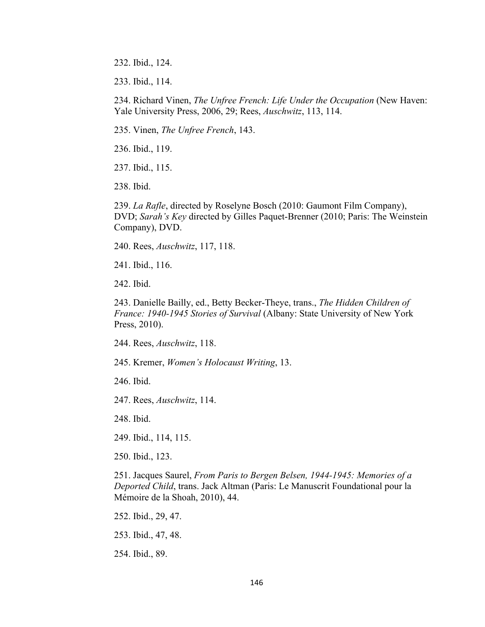232. Ibid., 124.

233. Ibid., 114.

234. Richard Vinen, *The Unfree French: Life Under the Occupation* (New Haven: Yale University Press, 2006, 29; Rees, *Auschwitz*, 113, 114.

235. Vinen, *The Unfree French*, 143.

236. Ibid., 119.

237. Ibid., 115.

238. Ibid.

239. *La Rafle*, directed by Roselyne Bosch (2010: Gaumont Film Company), DVD; *Sarah's Key* directed by Gilles Paquet-Brenner (2010; Paris: The Weinstein Company), DVD.

240. Rees, *Auschwitz*, 117, 118.

241. Ibid., 116.

242. Ibid.

243. Danielle Bailly, ed., Betty Becker-Theye, trans., *The Hidden Children of France: 1940-1945 Stories of Survival* (Albany: State University of New York Press, 2010).

244. Rees, *Auschwitz*, 118.

245. Kremer, *Women's Holocaust Writing*, 13.

246. Ibid.

247. Rees, *Auschwitz*, 114.

248. Ibid.

249. Ibid., 114, 115.

250. Ibid., 123.

251. Jacques Saurel, *From Paris to Bergen Belsen, 1944-1945: Memories of a Deported Child*, trans. Jack Altman (Paris: Le Manuscrit Foundational pour la Mémoire de la Shoah, 2010), 44.

252. Ibid., 29, 47.

253. Ibid., 47, 48.

254. Ibid., 89.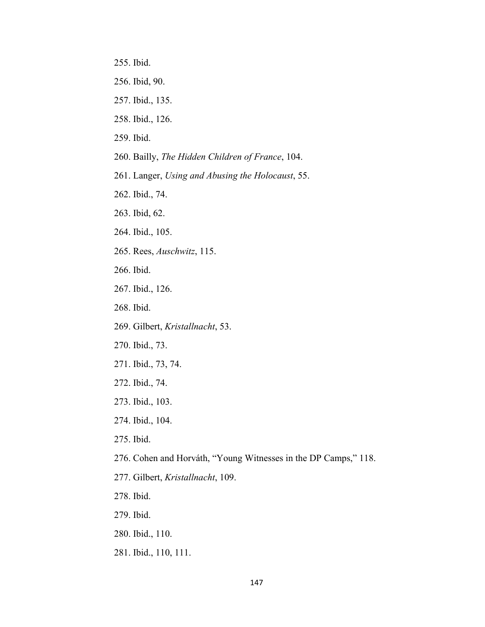- 255. Ibid.
- 256. Ibid, 90.
- 257. Ibid., 135.
- 258. Ibid., 126.
- 259. Ibid.
- 260. Bailly, *The Hidden Children of France*, 104.
- 261. Langer, *Using and Abusing the Holocaust*, 55.
- 262. Ibid., 74.
- 263. Ibid, 62.
- 264. Ibid., 105.
- 265. Rees, *Auschwitz*, 115.
- 266. Ibid.
- 267. Ibid., 126.
- 268. Ibid.
- 269. Gilbert, *Kristallnacht*, 53.
- 270. Ibid., 73.
- 271. Ibid., 73, 74.
- 272. Ibid., 74.
- 273. Ibid., 103.
- 274. Ibid., 104.
- 275. Ibid.
- 276. Cohen and Horváth, "Young Witnesses in the DP Camps," 118.
- 277. Gilbert, *Kristallnacht*, 109.
- 278. Ibid.
- 279. Ibid.
- 280. Ibid., 110.
- 281. Ibid., 110, 111.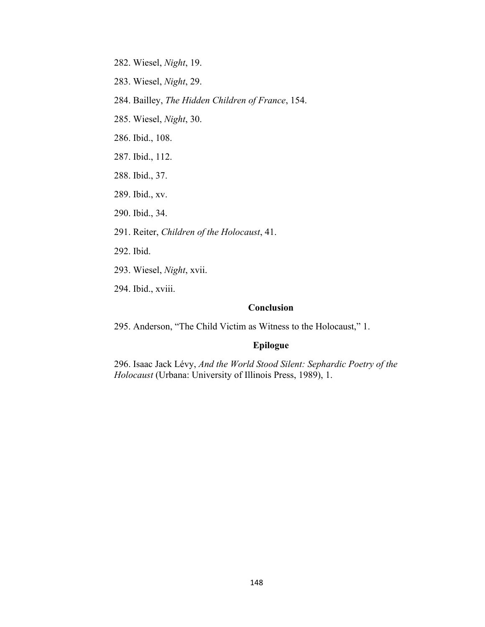- 282. Wiesel, *Night*, 19.
- 283. Wiesel, *Night*, 29.
- 284. Bailley, *The Hidden Children of France*, 154.
- 285. Wiesel, *Night*, 30.
- 286. Ibid., 108.
- 287. Ibid., 112.
- 288. Ibid., 37.
- 289. Ibid., xv.
- 290. Ibid., 34.
- 291. Reiter, *Children of the Holocaust*, 41.
- 292. Ibid.
- 293. Wiesel, *Night*, xvii.
- 294. Ibid., xviii.

# **Conclusion**

295. Anderson, "The Child Victim as Witness to the Holocaust," 1.

## **Epilogue**

296. Isaac Jack Lévy, *And the World Stood Silent: Sephardic Poetry of the Holocaust* (Urbana: University of Illinois Press, 1989), 1.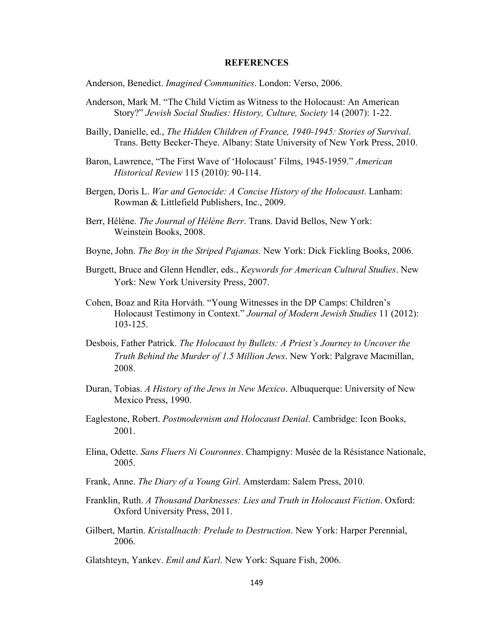#### **REFERENCES**

Anderson, Benedict. *Imagined Communities*. London: Verso, 2006.

- Anderson, Mark M. "The Child Victim as Witness to the Holocaust: An American Story?" *Jewish Social Studies: History, Culture, Society* 14 (2007): 1-22.
- Bailly, Danielle, ed., *The Hidden Children of France, 1940-1945: Stories of Survival*. Trans. Betty Becker-Theye. Albany: State University of New York Press, 2010.
- Baron, Lawrence, "The First Wave of 'Holocaust' Films, 1945-1959." *American Historical Review* 115 (2010): 90-114.
- Bergen, Doris L. *War and Genocide: A Concise History of the Holocaust*. Lanham: Rowman & Littlefield Publishers, Inc., 2009.
- Berr, Hélène. *The Journal of Hélène Berr*. Trans. David Bellos, New York: Weinstein Books, 2008.
- Boyne, John. *The Boy in the Striped Pajamas*. New York: Dick Fickling Books, 2006.
- Burgett, Bruce and Glenn Hendler, eds., *Keywords for American Cultural Studies*. New York: New York University Press, 2007.
- Cohen, Boaz and Rita Horváth. "Young Witnesses in the DP Camps: Children's Holocaust Testimony in Context." *Journal of Modern Jewish Studies* 11 (2012): 103-125.
- Desbois, Father Patrick. *The Holocaust by Bullets: A Priest's Journey to Uncover the Truth Behind the Murder of 1.5 Million Jews*. New York: Palgrave Macmillan, 2008.
- Duran, Tobias. *A History of the Jews in New Mexico*. Albuquerque: University of New Mexico Press, 1990.
- Eaglestone, Robert. *Postmodernism and Holocaust Denial*. Cambridge: Icon Books, 2001.
- Elina, Odette. *Sans Fluers Ni Couronnes*. Champigny: Musée de la Résistance Nationale, 2005.
- Frank, Anne. *The Diary of a Young Girl*. Amsterdam: Salem Press, 2010.
- Franklin, Ruth. *A Thousand Darknesses: Lies and Truth in Holocaust Fiction*. Oxford: Oxford University Press, 2011.
- Gilbert, Martin. *Kristallnacth: Prelude to Destruction*. New York: Harper Perennial, 2006.

Glatshteyn, Yankev. *Emil and Karl*. New York: Square Fish, 2006.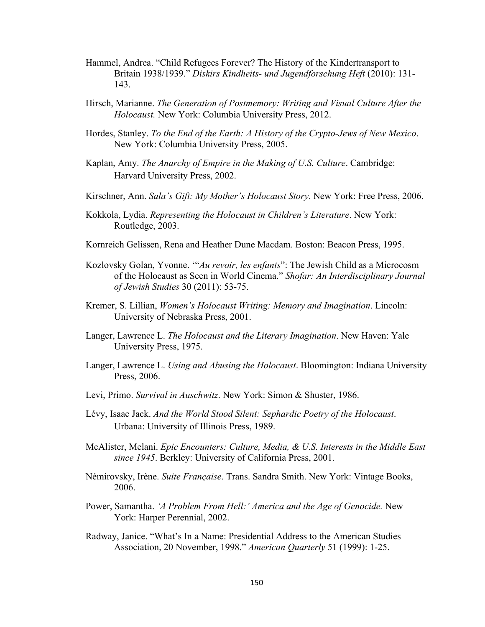- Hammel, Andrea. "Child Refugees Forever? The History of the Kindertransport to Britain 1938/1939." *Diskirs Kindheits- und Jugendforschung Heft* (2010): 131- 143.
- Hirsch, Marianne. *The Generation of Postmemory: Writing and Visual Culture After the Holocaust.* New York: Columbia University Press, 2012.
- Hordes, Stanley. *To the End of the Earth: A History of the Crypto-Jews of New Mexico*. New York: Columbia University Press, 2005.
- Kaplan, Amy. *The Anarchy of Empire in the Making of U.S. Culture*. Cambridge: Harvard University Press, 2002.
- Kirschner, Ann. *Sala's Gift: My Mother's Holocaust Story*. New York: Free Press, 2006.
- Kokkola, Lydia. *Representing the Holocaust in Children's Literature*. New York: Routledge, 2003.
- Kornreich Gelissen, Rena and Heather Dune Macdam. Boston: Beacon Press, 1995.
- Kozlovsky Golan, Yvonne. '"*Au revoir, les enfants*": The Jewish Child as a Microcosm of the Holocaust as Seen in World Cinema." *Shofar: An Interdisciplinary Journal of Jewish Studies* 30 (2011): 53-75.
- Kremer, S. Lillian, *Women's Holocaust Writing: Memory and Imagination*. Lincoln: University of Nebraska Press, 2001.
- Langer, Lawrence L. *The Holocaust and the Literary Imagination*. New Haven: Yale University Press, 1975.
- Langer, Lawrence L. *Using and Abusing the Holocaust*. Bloomington: Indiana University Press, 2006.
- Levi, Primo. *Survival in Auschwitz*. New York: Simon & Shuster, 1986.
- Lévy, Isaac Jack. *And the World Stood Silent: Sephardic Poetry of the Holocaust*. Urbana: University of Illinois Press, 1989.
- McAlister, Melani. *Epic Encounters: Culture, Media, & U.S. Interests in the Middle East since 1945*. Berkley: University of California Press, 2001.
- Némirovsky, Irène. *Suite Française*. Trans. Sandra Smith. New York: Vintage Books, 2006.
- Power, Samantha. 'A Problem From Hell:' America and the Age of Genocide. New York: Harper Perennial, 2002.
- Radway, Janice. "What's In a Name: Presidential Address to the American Studies Association, 20 November, 1998." *American Quarterly* 51 (1999): 1-25.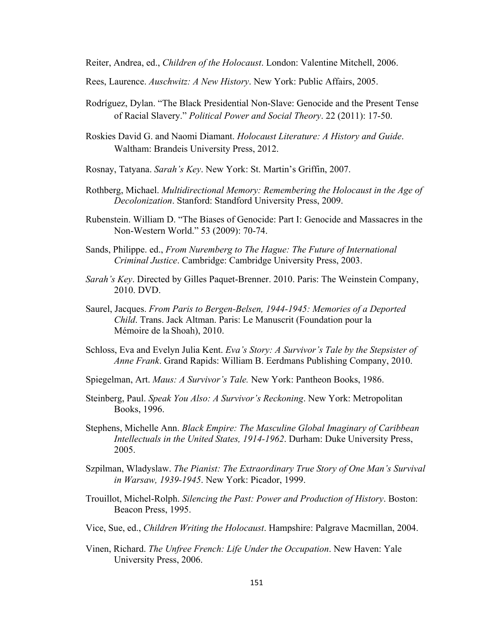Reiter, Andrea, ed., *Children of the Holocaust*. London: Valentine Mitchell, 2006.

Rees, Laurence. *Auschwitz: A New History*. New York: Public Affairs, 2005.

- Rodríguez, Dylan. "The Black Presidential Non-Slave: Genocide and the Present Tense of Racial Slavery." *Political Power and Social Theory*. 22 (2011): 17-50.
- Roskies David G. and Naomi Diamant. *Holocaust Literature: A History and Guide*. Waltham: Brandeis University Press, 2012.
- Rosnay, Tatyana. *Sarah's Key*. New York: St. Martin's Griffin, 2007.
- Rothberg, Michael. *Multidirectional Memory: Remembering the Holocaust in the Age of Decolonization*. Stanford: Standford University Press, 2009.
- Rubenstein. William D. "The Biases of Genocide: Part I: Genocide and Massacres in the Non-Western World." 53 (2009): 70-74.
- Sands, Philippe. ed., *From Nuremberg to The Hague: The Future of International Criminal Justice*. Cambridge: Cambridge University Press, 2003.
- *Sarah's Key*. Directed by Gilles Paquet-Brenner. 2010. Paris: The Weinstein Company, 2010. DVD.
- Saurel, Jacques. *From Paris to Bergen-Belsen, 1944-1945: Memories of a Deported Child*. Trans. Jack Altman. Paris: Le Manuscrit (Foundation pour la Mémoire de la Shoah), 2010.
- Schloss, Eva and Evelyn Julia Kent. *Eva's Story: A Survivor's Tale by the Stepsister of Anne Frank*. Grand Rapids: William B. Eerdmans Publishing Company, 2010.
- Spiegelman, Art. *Maus: A Survivor's Tale.* New York: Pantheon Books, 1986.
- Steinberg, Paul. *Speak You Also: A Survivor's Reckoning*. New York: Metropolitan Books, 1996.
- Stephens, Michelle Ann. *Black Empire: The Masculine Global Imaginary of Caribbean Intellectuals in the United States, 1914-1962*. Durham: Duke University Press, 2005.
- Szpilman, Wladyslaw. *The Pianist: The Extraordinary True Story of One Man's Survival in Warsaw, 1939-1945*. New York: Picador, 1999.
- Trouillot, Michel-Rolph. *Silencing the Past: Power and Production of History*. Boston: Beacon Press, 1995.
- Vice, Sue, ed., *Children Writing the Holocaust*. Hampshire: Palgrave Macmillan, 2004.
- Vinen, Richard. *The Unfree French: Life Under the Occupation*. New Haven: Yale University Press, 2006.